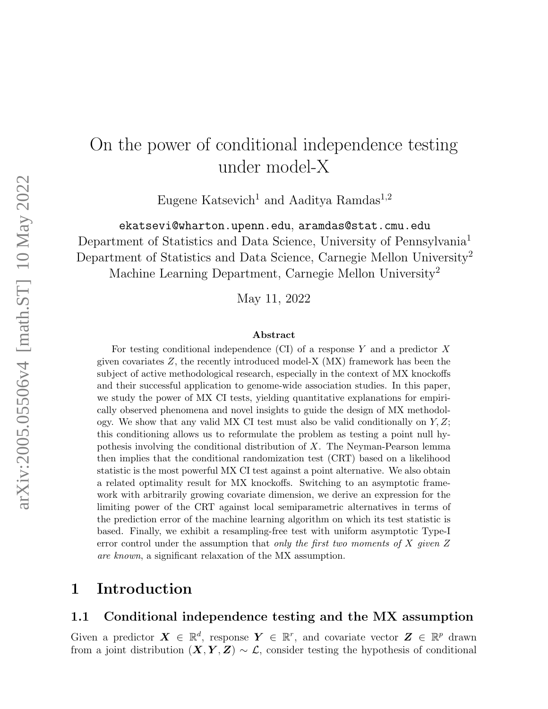# On the power of conditional independence testing under model-X

Eugene Katsevich<sup>1</sup> and Aaditya Ramdas<sup>1,2</sup>

ekatsevi@wharton.upenn.edu, aramdas@stat.cmu.edu Department of Statistics and Data Science, University of Pennsylvania<sup>1</sup> Department of Statistics and Data Science, Carnegie Mellon University<sup>2</sup> Machine Learning Department, Carnegie Mellon University<sup>2</sup>

May 11, 2022

#### Abstract

For testing conditional independence (CI) of a response  $Y$  and a predictor  $X$ given covariates  $Z$ , the recently introduced model- $X$  (MX) framework has been the subject of active methodological research, especially in the context of MX knockoffs and their successful application to genome-wide association studies. In this paper, we study the power of MX CI tests, yielding quantitative explanations for empirically observed phenomena and novel insights to guide the design of MX methodology. We show that any valid MX CI test must also be valid conditionally on  $Y, Z$ ; this conditioning allows us to reformulate the problem as testing a point null hypothesis involving the conditional distribution of X. The Neyman-Pearson lemma then implies that the conditional randomization test (CRT) based on a likelihood statistic is the most powerful MX CI test against a point alternative. We also obtain a related optimality result for MX knockoffs. Switching to an asymptotic framework with arbitrarily growing covariate dimension, we derive an expression for the limiting power of the CRT against local semiparametric alternatives in terms of the prediction error of the machine learning algorithm on which its test statistic is based. Finally, we exhibit a resampling-free test with uniform asymptotic Type-I error control under the assumption that only the first two moments of  $X$  given  $Z$ are known, a significant relaxation of the MX assumption.

### 1 Introduction

### 1.1 Conditional independence testing and the MX assumption

Given a predictor  $\mathbf{X} \in \mathbb{R}^d$ , response  $\mathbf{Y} \in \mathbb{R}^r$ , and covariate vector  $\mathbf{Z} \in \mathbb{R}^p$  drawn from a joint distribution  $(X, Y, Z) \sim \mathcal{L}$ , consider testing the hypothesis of conditional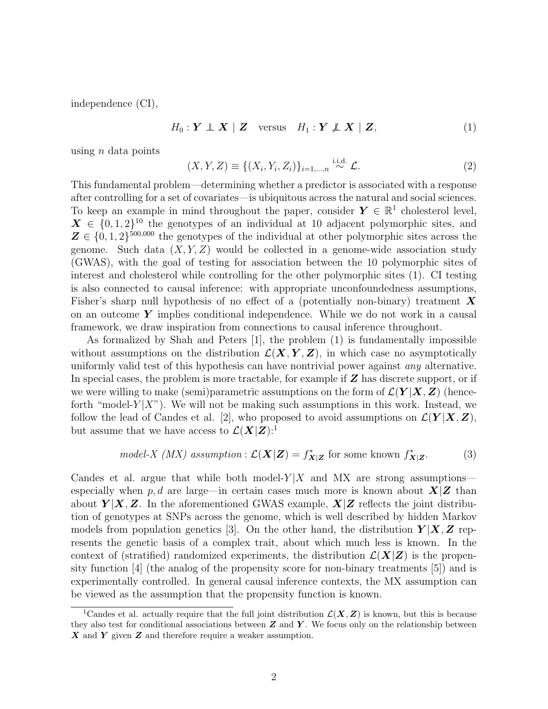independence (CI),

<span id="page-1-0"></span>
$$
H_0: \mathbf{Y} \perp \!\!\!\! \perp \mathbf{X} \mid \mathbf{Z} \quad \text{versus} \quad H_1: \mathbf{Y} \not\!\!\! \perp \mathbf{X} \mid \mathbf{Z}, \tag{1}
$$

using  $n$  data points

<span id="page-1-2"></span>
$$
(X, Y, Z) \equiv \{ (X_i, Y_i, Z_i) \}_{i=1,\dots,n} \stackrel{\text{i.i.d.}}{\sim} \mathcal{L}.
$$
 (2)

This fundamental problem—determining whether a predictor is associated with a response after controlling for a set of covariates—is ubiquitous across the natural and social sciences. To keep an example in mind throughout the paper, consider  $Y \in \mathbb{R}^1$  cholesterol level,  $\mathbf{X} \in \{0, 1, 2\}^{10}$  the genotypes of an individual at 10 adjacent polymorphic sites, and  $\mathbf{Z} \in \{0, 1, 2\}^{500,000}$  the genotypes of the individual at other polymorphic sites across the genome. Such data  $(X, Y, Z)$  would be collected in a genome-wide association study (GWAS), with the goal of testing for association between the 10 polymorphic sites of interest and cholesterol while controlling for the other polymorphic sites [\(1\)](#page-1-0). CI testing is also connected to causal inference: with appropriate unconfoundedness assumptions, Fisher's sharp null hypothesis of no effect of a (potentially non-binary) treatment  $\boldsymbol{X}$ on an outcome  $\boldsymbol{Y}$  implies conditional independence. While we do not work in a causal framework, we draw inspiration from connections to causal inference throughout.

As formalized by Shah and Peters [\[1\]](#page-26-0), the problem [\(1\)](#page-1-0) is fundamentally impossible without assumptions on the distribution  $\mathcal{L}(X, Y, Z)$ , in which case no asymptotically uniformly valid test of this hypothesis can have nontrivial power against any alternative. In special cases, the problem is more tractable, for example if  $Z$  has discrete support, or if we were willing to make (semi)parametric assumptions on the form of  $\mathcal{L}(Y | X, Z)$  (henceforth "model- $Y|X$ "). We will not be making such assumptions in this work. Instead, we follow the lead of Candes et al. [\[2\]](#page-26-1), who proposed to avoid assumptions on  $\mathcal{L}(\boldsymbol{Y}|\boldsymbol{X},\boldsymbol{Z})$ , but assume that we have access to  $\mathcal{L}(\mathbf{X}|\mathbf{Z})$ :

model-X (MX) assumption: 
$$
\mathcal{L}(\mathbf{X}|\mathbf{Z}) = f_{\mathbf{X}|\mathbf{Z}}^*
$$
 for some known  $f_{\mathbf{X}|\mathbf{Z}}^*$ . (3)

Candes et al. argue that while both model- $Y|X$  and MX are strong assumptions especially when p, d are large—in certain cases much more is known about  $X\mathcal{Z}$  than about  $Y|X, Z$ . In the aforementioned GWAS example,  $X|Z$  reflects the joint distribution of genotypes at SNPs across the genome, which is well described by hidden Markov models from population genetics [\[3\]](#page-26-2). On the other hand, the distribution  $Y|X, Z$  represents the genetic basis of a complex trait, about which much less is known. In the context of (stratified) randomized experiments, the distribution  $\mathcal{L}(X|Z)$  is the propensity function [\[4\]](#page-26-3) (the analog of the propensity score for non-binary treatments [\[5\]](#page-26-4)) and is experimentally controlled. In general causal inference contexts, the MX assumption can be viewed as the assumption that the propensity function is known.

<span id="page-1-1"></span><sup>&</sup>lt;sup>1</sup>Candes et al. actually require that the full joint distribution  $\mathcal{L}(X, Z)$  is known, but this is because they also test for conditional associations between  $Z$  and  $Y$ . We focus only on the relationship between  $X$  and  $Y$  given  $Z$  and therefore require a weaker assumption.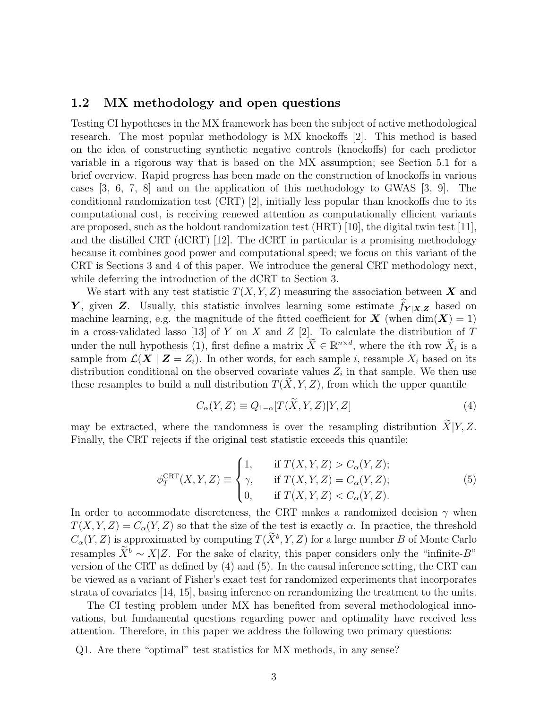### 1.2 MX methodology and open questions

Testing CI hypotheses in the MX framework has been the subject of active methodological research. The most popular methodology is MX knockoffs [\[2\]](#page-26-1). This method is based on the idea of constructing synthetic negative controls (knockoffs) for each predictor variable in a rigorous way that is based on the MX assumption; see Section [5.1](#page-23-0) for a brief overview. Rapid progress has been made on the construction of knockoffs in various cases [\[3,](#page-26-2) [6,](#page-26-5) [7,](#page-26-6) [8\]](#page-26-7) and on the application of this methodology to GWAS [\[3,](#page-26-2) [9\]](#page-26-8). The conditional randomization test (CRT) [\[2\]](#page-26-1), initially less popular than knockoffs due to its computational cost, is receiving renewed attention as computationally efficient variants are proposed, such as the holdout randomization test (HRT) [\[10\]](#page-26-9), the digital twin test [\[11\]](#page-26-10), and the distilled CRT (dCRT) [\[12\]](#page-27-0). The dCRT in particular is a promising methodology because it combines good power and computational speed; we focus on this variant of the CRT is Sections [3](#page-8-0) and [4](#page-18-0) of this paper. We introduce the general CRT methodology next, while deferring the introduction of the dCRT to Section [3.](#page-8-0)

We start with any test statistic  $T(X, Y, Z)$  measuring the association between X and Y, given Z. Usually, this statistic involves learning some estimate  $f_{Y|X,Z}$  based on machine learning, e.g. the magnitude of the fitted coefficient for  $\boldsymbol{X}$  (when  $\dim(\boldsymbol{X}) = 1$ ) in a cross-validated lasso [\[13\]](#page-27-1) of Y on X and Z [\[2\]](#page-26-1). To calculate the distribution of T under the null hypothesis [\(1\)](#page-1-0), first define a matrix  $\widetilde{X} \in \mathbb{R}^{n \times d}$ , where the *i*th row  $\widetilde{X}_i$  is a sample from  $\mathcal{L}(\mathbf{X} \mid \mathbf{Z} = Z_i)$ . In other words, for each sample i, resample  $X_i$  based on its distribution conditional on the observed covariate values  $Z_i$  in that sample. We then use these resamples to build a null distribution  $T(X, Y, Z)$ , from which the upper quantile

<span id="page-2-0"></span>
$$
C_{\alpha}(Y,Z) \equiv Q_{1-\alpha}[T(\overline{X},Y,Z)|Y,Z]
$$
\n(4)

may be extracted, where the randomness is over the resampling distribution  $\widetilde{X}|Y, Z$ . Finally, the CRT rejects if the original test statistic exceeds this quantile:

<span id="page-2-1"></span>
$$
\phi_T^{\text{CRT}}(X, Y, Z) \equiv \begin{cases} 1, & \text{if } T(X, Y, Z) > C_\alpha(Y, Z); \\ \gamma, & \text{if } T(X, Y, Z) = C_\alpha(Y, Z); \\ 0, & \text{if } T(X, Y, Z) < C_\alpha(Y, Z). \end{cases} \tag{5}
$$

In order to accommodate discreteness, the CRT makes a randomized decision  $\gamma$  when  $T(X, Y, Z) = C_{\alpha}(Y, Z)$  so that the size of the test is exactly  $\alpha$ . In practice, the threshold  $C_{\alpha}(Y, Z)$  is approximated by computing  $T(X^b, Y, Z)$  for a large number B of Monte Carlo resamples  $\widetilde{X}^b \sim X|Z$ . For the sake of clarity, this paper considers only the "infinite-B" version of the CRT as defined by [\(4\)](#page-2-0) and [\(5\)](#page-2-1). In the causal inference setting, the CRT can be viewed as a variant of Fisher's exact test for randomized experiments that incorporates strata of covariates [\[14,](#page-27-2) [15\]](#page-27-3), basing inference on rerandomizing the treatment to the units.

The CI testing problem under MX has benefited from several methodological innovations, but fundamental questions regarding power and optimality have received less attention. Therefore, in this paper we address the following two primary questions:

Q1. Are there "optimal" test statistics for MX methods, in any sense?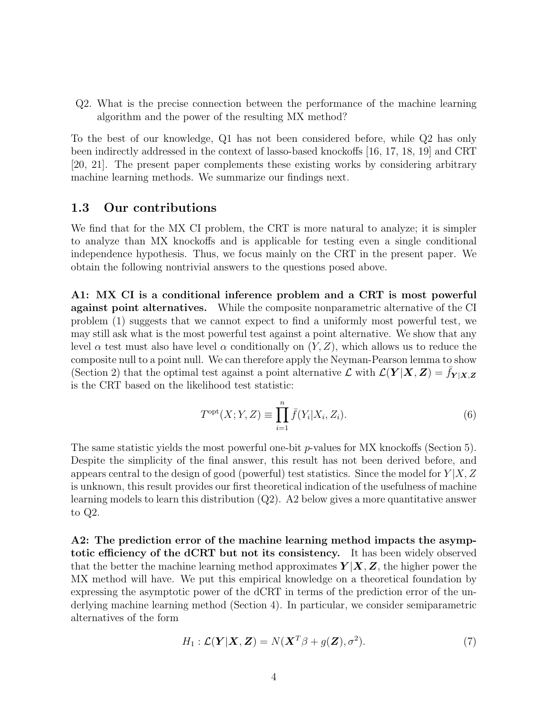Q2. What is the precise connection between the performance of the machine learning algorithm and the power of the resulting MX method?

To the best of our knowledge, Q1 has not been considered before, while Q2 has only been indirectly addressed in the context of lasso-based knockoffs [\[16,](#page-27-4) [17,](#page-27-5) [18,](#page-27-6) [19\]](#page-27-7) and CRT [\[20,](#page-27-8) [21\]](#page-27-9). The present paper complements these existing works by considering arbitrary machine learning methods. We summarize our findings next.

### 1.3 Our contributions

We find that for the MX CI problem, the CRT is more natural to analyze; it is simpler to analyze than MX knockoffs and is applicable for testing even a single conditional independence hypothesis. Thus, we focus mainly on the CRT in the present paper. We obtain the following nontrivial answers to the questions posed above.

A1: MX CI is a conditional inference problem and a CRT is most powerful against point alternatives. While the composite nonparametric alternative of the CI problem [\(1\)](#page-1-0) suggests that we cannot expect to find a uniformly most powerful test, we may still ask what is the most powerful test against a point alternative. We show that any level  $\alpha$  test must also have level  $\alpha$  conditionally on  $(Y, Z)$ , which allows us to reduce the composite null to a point null. We can therefore apply the Neyman-Pearson lemma to show (Section [2\)](#page-5-0) that the optimal test against a point alternative  $\mathcal{L}$  with  $\mathcal{L}(\boldsymbol{Y}|\boldsymbol{X},\boldsymbol{Z})=f_{\boldsymbol{Y}|\boldsymbol{X},\boldsymbol{Z}}$ is the CRT based on the likelihood test statistic:

$$
T^{\text{opt}}(X;Y,Z) \equiv \prod_{i=1}^{n} \bar{f}(Y_i|X_i, Z_i).
$$
\n(6)

The same statistic yields the most powerful one-bit  $p$ -values for MX knockoffs (Section [5\)](#page-22-0). Despite the simplicity of the final answer, this result has not been derived before, and appears central to the design of good (powerful) test statistics. Since the model for  $Y|X, Z$ is unknown, this result provides our first theoretical indication of the usefulness of machine learning models to learn this distribution  $(Q2)$ . A2 below gives a more quantitative answer to Q2.

A2: The prediction error of the machine learning method impacts the asymptotic efficiency of the dCRT but not its consistency. It has been widely observed that the better the machine learning method approximates  $Y|X, Z$ , the higher power the MX method will have. We put this empirical knowledge on a theoretical foundation by expressing the asymptotic power of the dCRT in terms of the prediction error of the underlying machine learning method (Section [4\)](#page-18-0). In particular, we consider semiparametric alternatives of the form

$$
H_1: \mathcal{L}(\mathbf{Y}|\mathbf{X}, \mathbf{Z}) = N(\mathbf{X}^T \beta + g(\mathbf{Z}), \sigma^2). \tag{7}
$$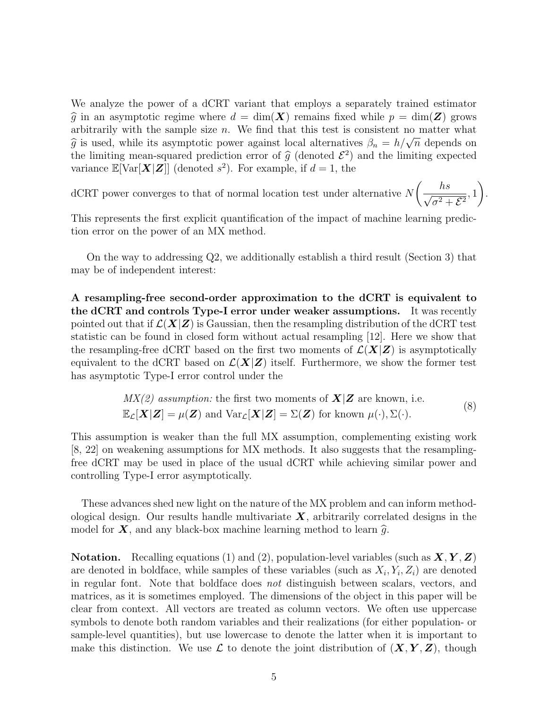We analyze the power of a dCRT variant that employs a separately trained estimator  $\hat{g}$  in an asymptotic regime where  $d = \dim(X)$  remains fixed while  $p = \dim(Z)$  grows arbitrarily with the sample size  $n$ . We find that this test is consistent no matter what about any with the sample size *n*. We find that this test is consistent no<br> $\hat{g}$  is used, while its asymptotic power against local alternatives  $\beta_n = h/\sqrt{h}$  $\overline{n}$  depends on the limiting mean-squared prediction error of  $\hat{g}$  (denoted  $\mathcal{E}^2$ ) and the limiting expected<br>variance  $\mathbb{E}[\text{Var}[\mathbf{X} | \mathbf{Z}]]$  (denoted  $e^2$ ). For example, if  $d = 1$ , the variance  $\mathbb{E}[\text{Var}[\boldsymbol{X}|\boldsymbol{Z}]]$  (denoted  $s^2$ ). For example, if  $d=1$ , the

dCRT power converges to that of normal location test under alternative N  $\left(\frac{hs}{\sqrt{2}}\right)$  $\frac{n\omega}{\sigma^2 + \mathcal{E}^2}$ , 1  $\setminus$ .

This represents the first explicit quantification of the impact of machine learning prediction error on the power of an MX method.

On the way to addressing Q2, we additionally establish a third result (Section [3\)](#page-8-0) that may be of independent interest:

A resampling-free second-order approximation to the dCRT is equivalent to the dCRT and controls Type-I error under weaker assumptions. It was recently pointed out that if  $\mathcal{L}(X|Z)$  is Gaussian, then the resampling distribution of the dCRT test statistic can be found in closed form without actual resampling [\[12\]](#page-27-0). Here we show that the resampling-free dCRT based on the first two moments of  $\mathcal{L}(X|Z)$  is asymptotically equivalent to the dCRT based on  $\mathcal{L}(X|Z)$  itself. Furthermore, we show the former test has asymptotic Type-I error control under the

$$
MX(2) assumption: the first two moments of  $\mathbf{X}|\mathbf{Z}$  are known, i.e.  $\mathbb{E}_{\mathcal{L}}[\mathbf{X}|\mathbf{Z}] = \mu(\mathbf{Z})$  and  $\text{Var}_{\mathcal{L}}[\mathbf{X}|\mathbf{Z}] = \Sigma(\mathbf{Z})$  for known  $\mu(\cdot), \Sigma(\cdot)$ . (8)
$$

This assumption is weaker than the full MX assumption, complementing existing work [\[8,](#page-26-7) [22\]](#page-27-10) on weakening assumptions for MX methods. It also suggests that the resamplingfree dCRT may be used in place of the usual dCRT while achieving similar power and controlling Type-I error asymptotically.

These advances shed new light on the nature of the MX problem and can inform methodological design. Our results handle multivariate  $X$ , arbitrarily correlated designs in the model for  $X$ , and any black-box machine learning method to learn  $\hat{g}$ .

**Notation.** Recalling equations [\(1\)](#page-1-0) and [\(2\)](#page-1-2), population-level variables (such as  $X, Y, Z$ ) are denoted in boldface, while samples of these variables (such as  $X_i, Y_i, Z_i$ ) are denoted in regular font. Note that boldface does not distinguish between scalars, vectors, and matrices, as it is sometimes employed. The dimensions of the object in this paper will be clear from context. All vectors are treated as column vectors. We often use uppercase symbols to denote both random variables and their realizations (for either population- or sample-level quantities), but use lowercase to denote the latter when it is important to make this distinction. We use  $\mathcal L$  to denote the joint distribution of  $(X, Y, Z)$ , though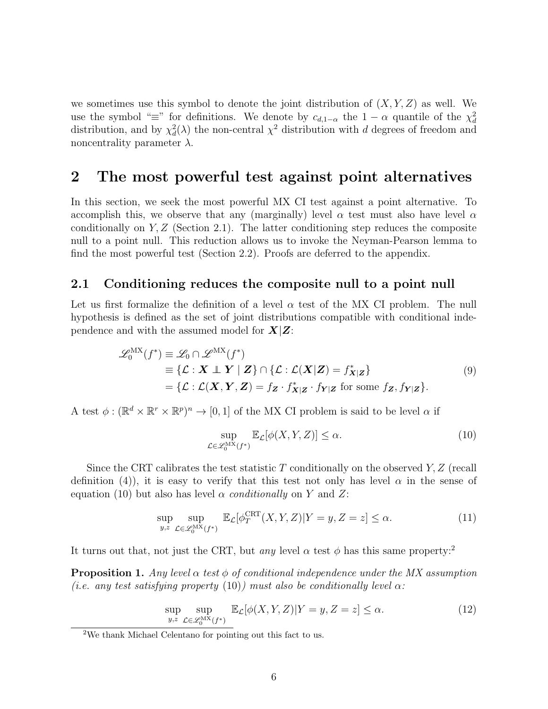we sometimes use this symbol to denote the joint distribution of  $(X, Y, Z)$  as well. We use the symbol " $\equiv$ " for definitions. We denote by  $c_{d,1-\alpha}$  the  $1-\alpha$  quantile of the  $\chi^2_d$ distribution, and by  $\chi^2_d(\lambda)$  the non-central  $\chi^2$  distribution with d degrees of freedom and noncentrality parameter  $\lambda$ .

### <span id="page-5-0"></span>2 The most powerful test against point alternatives

In this section, we seek the most powerful MX CI test against a point alternative. To accomplish this, we observe that any (marginally) level  $\alpha$  test must also have level  $\alpha$ conditionally on  $Y, Z$  (Section [2.1\)](#page-5-1). The latter conditioning step reduces the composite null to a point null. This reduction allows us to invoke the Neyman-Pearson lemma to find the most powerful test (Section [2.2\)](#page-6-0). Proofs are deferred to the appendix.

### <span id="page-5-1"></span>2.1 Conditioning reduces the composite null to a point null

Let us first formalize the definition of a level  $\alpha$  test of the MX CI problem. The null hypothesis is defined as the set of joint distributions compatible with conditional independence and with the assumed model for  $X|Z$ :

$$
\mathcal{L}_0^{\text{MX}}(f^*) \equiv \mathcal{L}_0 \cap \mathcal{L}^{\text{MX}}(f^*)
$$
  
\n
$$
\equiv \{ \mathcal{L} : \mathbf{X} \perp \mathbf{Y} \mid \mathbf{Z} \} \cap \{ \mathcal{L} : \mathcal{L}(\mathbf{X}|\mathbf{Z}) = f_{\mathbf{X}|\mathbf{Z}}^* \} \tag{9}
$$
  
\n
$$
= \{ \mathcal{L} : \mathcal{L}(\mathbf{X}, \mathbf{Y}, \mathbf{Z}) = f_{\mathbf{Z}} \cdot f_{\mathbf{X}|\mathbf{Z}}^* \cdot f_{\mathbf{Y}|\mathbf{Z}} \text{ for some } f_{\mathbf{Z}}, f_{\mathbf{Y}|\mathbf{Z}} \}. \tag{9}
$$

<span id="page-5-5"></span>A test  $\phi: (\mathbb{R}^d \times \mathbb{R}^r \times \mathbb{R}^p)^n \to [0, 1]$  of the MX CI problem is said to be level  $\alpha$  if

<span id="page-5-2"></span>
$$
\sup_{\mathcal{L}\in\mathscr{L}_{0}^{\mathrm{MX}}(f^{*})}\mathbb{E}_{\mathcal{L}}[\phi(X,Y,Z)]\le\alpha.
$$
\n(10)

Since the CRT calibrates the test statistic T conditionally on the observed  $Y, Z$  (recall definition [\(4\)](#page-2-0)), it is easy to verify that this test not only has level  $\alpha$  in the sense of equation [\(10\)](#page-5-2) but also has level  $\alpha$  conditionally on Y and Z:

$$
\sup_{y,z} \sup_{\mathcal{L}\in\mathcal{L}_0^{\text{MX}}(f^*)} \mathbb{E}_{\mathcal{L}}[\phi_T^{\text{CRT}}(X,Y,Z)|Y=y,Z=z] \le \alpha.
$$
 (11)

It turns out that, not just the CRT, but *any* level  $\alpha$  test  $\phi$  has this same property:<sup>[2](#page-5-3)</sup>

<span id="page-5-4"></span>**Proposition 1.** Any level  $\alpha$  test  $\phi$  of conditional independence under the MX assumption (i.e. any test satisfying property [\(10\)](#page-5-2)) must also be conditionally level  $\alpha$ :

$$
\sup_{y,z} \sup_{\mathcal{L}\in\mathcal{L}_0^{\text{MX}}(f^*)} \mathbb{E}_{\mathcal{L}}[\phi(X,Y,Z)|Y=y,Z=z] \le \alpha.
$$
 (12)

<span id="page-5-3"></span><sup>2</sup>We thank Michael Celentano for pointing out this fact to us.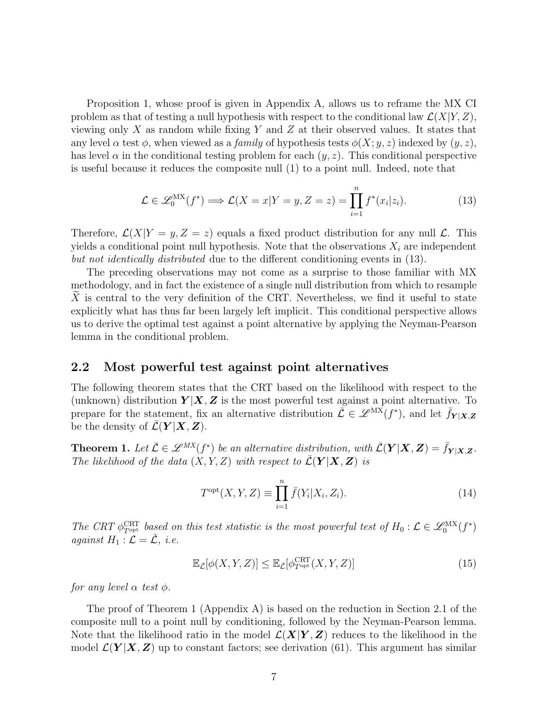Proposition [1,](#page-5-4) whose proof is given in Appendix [A,](#page-29-0) allows us to reframe the MX CI problem as that of testing a null hypothesis with respect to the conditional law  $\mathcal{L}(X|Y,Z)$ , viewing only X as random while fixing Y and Z at their observed values. It states that any level  $\alpha$  test  $\phi$ , when viewed as a *family* of hypothesis tests  $\phi(X; y, z)$  indexed by  $(y, z)$ , has level  $\alpha$  in the conditional testing problem for each  $(y, z)$ . This conditional perspective is useful because it reduces the composite null [\(1\)](#page-1-0) to a point null. Indeed, note that

<span id="page-6-1"></span>
$$
\mathcal{L} \in \mathcal{L}_0^{\text{MX}}(f^*) \Longrightarrow \mathcal{L}(X = x | Y = y, Z = z) = \prod_{i=1}^n f^*(x_i | z_i).
$$
 (13)

Therefore,  $\mathcal{L}(X|Y=y, Z=z)$  equals a fixed product distribution for any null  $\mathcal{L}$ . This yields a conditional point null hypothesis. Note that the observations  $X_i$  are independent but not identically distributed due to the different conditioning events in  $(13)$ .

The preceding observations may not come as a surprise to those familiar with MX methodology, and in fact the existence of a single null distribution from which to resample X is central to the very definition of the CRT. Nevertheless, we find it useful to state explicitly what has thus far been largely left implicit. This conditional perspective allows us to derive the optimal test against a point alternative by applying the Neyman-Pearson lemma in the conditional problem.

### <span id="page-6-0"></span>2.2 Most powerful test against point alternatives

The following theorem states that the CRT based on the likelihood with respect to the (unknown) distribution  $Y|X, Z$  is the most powerful test against a point alternative. To prepare for the statement, fix an alternative distribution  $\mathcal{L} \in \mathscr{L}^{\mathbf{MX}}(f^*)$ , and let  $\bar{f}_{Y|X,Z}$ be the density of  $\bar{\mathcal{L}}(\mathbf{Y} | \mathbf{X}, \mathbf{Z})$ .

<span id="page-6-2"></span>**Theorem 1.** Let  $\bar{\mathcal{L}} \in \mathcal{L}^{MX}(f^*)$  be an alternative distribution, with  $\bar{\mathcal{L}}(\bm{Y} | \bm{X}, \bm{Z}) = \bar{f}_{\bm{Y} | \bm{X}, \bm{Z}}$ . The likelihood of the data  $(X, Y, Z)$  with respect to  $\overline{\mathcal{L}}(\boldsymbol{Y} | \boldsymbol{X}, \boldsymbol{Z})$  is

$$
T^{\text{opt}}(X, Y, Z) \equiv \prod_{i=1}^{n} \bar{f}(Y_i | X_i, Z_i).
$$
 (14)

The CRT  $\phi_{T^{opt}}^{CRT}$  based on this test statistic is the most powerful test of  $H_0: \mathcal{L} \in \mathscr{L}_0^{MX}(f^*)$ against  $H_1 : \mathcal{L} = \overline{\mathcal{L}}, i.e.$ 

<span id="page-6-3"></span> $\mathbb{E}_{\bar{\mathcal{L}}}[\phi(X, Y, Z)] \leq \mathbb{E}_{\bar{\mathcal{L}}}[\phi_{T^{\text{opt}}}^{\text{CRT}}(X, Y, Z)]$ (15)

for any level  $\alpha$  test  $\phi$ .

The proof of Theorem [1](#page-6-2) (Appendix [A\)](#page-29-0) is based on the reduction in Section [2.1](#page-5-1) of the composite null to a point null by conditioning, followed by the Neyman-Pearson lemma. Note that the likelihood ratio in the model  $\mathcal{L}(\boldsymbol{X}|\boldsymbol{Y}, \boldsymbol{Z})$  reduces to the likelihood in the model  $\mathcal{L}(Y|\boldsymbol{X},\boldsymbol{Z})$  up to constant factors; see derivation [\(61\)](#page-30-0). This argument has similar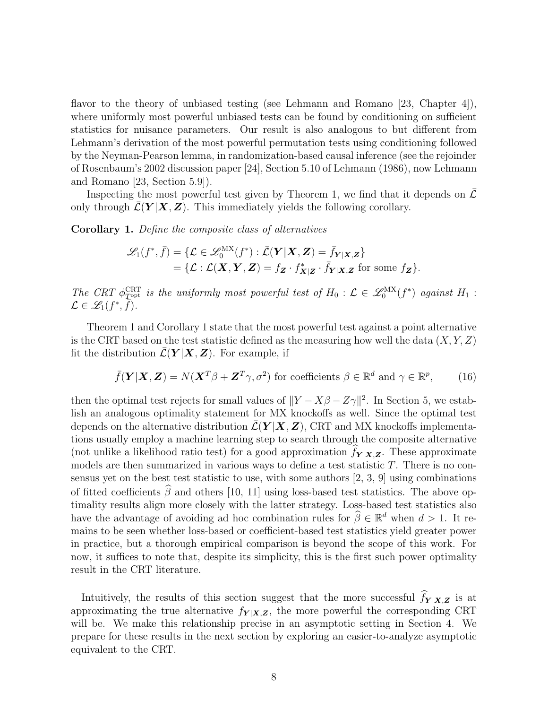flavor to the theory of unbiased testing (see Lehmann and Romano [\[23,](#page-27-11) Chapter 4]), where uniformly most powerful unbiased tests can be found by conditioning on sufficient statistics for nuisance parameters. Our result is also analogous to but different from Lehmann's derivation of the most powerful permutation tests using conditioning followed by the Neyman-Pearson lemma, in randomization-based causal inference (see the rejoinder of Rosenbaum's 2002 discussion paper [\[24\]](#page-27-12), Section 5.10 of Lehmann (1986), now Lehmann and Romano [\[23,](#page-27-11) Section 5.9]).

Inspecting the most powerful test given by Theorem [1,](#page-6-2) we find that it depends on  $\mathcal L$ only through  $\mathcal{L}(\boldsymbol{Y} | \boldsymbol{X}, \boldsymbol{Z})$ . This immediately yields the following corollary.

<span id="page-7-0"></span>Corollary 1. Define the composite class of alternatives

$$
\mathcal{L}_1(f^*, \bar{f}) = \{ \mathcal{L} \in \mathcal{L}_0^{\text{MX}}(f^*) : \bar{\mathcal{L}}(\mathbf{Y}|\mathbf{X}, \mathbf{Z}) = \bar{f}_{\mathbf{Y}|\mathbf{X}, \mathbf{Z}} \} = \{ \mathcal{L} : \mathcal{L}(\mathbf{X}, \mathbf{Y}, \mathbf{Z}) = f_{\mathbf{Z}} \cdot f_{\mathbf{X}|\mathbf{Z}}^* \cdot \bar{f}_{\mathbf{Y}|\mathbf{X}, \mathbf{Z}} \text{ for some } f_{\mathbf{Z}} \}.
$$

The CRT  $\phi_{\text{Top}^{\text{R}}}\phi_{\text{Top}^{\text{R}}}$  is the uniformly most powerful test of  $H_0: \mathcal{L} \in \mathscr{L}_0^{\text{MX}}(f^*)$  against  $H_1$ :  $\mathcal{L} \in \mathscr{L}_1(f^*, \overline{\overline{f}}).$ 

Theorem [1](#page-6-2) and Corollary [1](#page-7-0) state that the most powerful test against a point alternative is the CRT based on the test statistic defined as the measuring how well the data  $(X, Y, Z)$ fit the distribution  $\mathcal{L}(\boldsymbol{Y} | \boldsymbol{X}, \boldsymbol{Z})$ . For example, if

$$
\bar{f}(\mathbf{Y}|\mathbf{X}, \mathbf{Z}) = N(\mathbf{X}^T \beta + \mathbf{Z}^T \gamma, \sigma^2) \text{ for coefficients } \beta \in \mathbb{R}^d \text{ and } \gamma \in \mathbb{R}^p, \qquad (16)
$$

then the optimal test rejects for small values of  $||Y - X\beta - Z\gamma||^2$ . In Section [5,](#page-22-0) we establish an analogous optimality statement for MX knockoffs as well. Since the optimal test depends on the alternative distribution  $\mathcal{L}(\boldsymbol{Y} | \boldsymbol{X}, \boldsymbol{Z})$ , CRT and MX knockoffs implementations usually employ a machine learning step to search through the composite alternative (not unlike a likelihood ratio test) for a good approximation  $f_{Y|X,Z}$ . These approximate models are then summarized in various ways to define a test statistic  $T$ . There is no consensus yet on the best test statistic to use, with some authors  $[2, 3, 9]$  $[2, 3, 9]$  $[2, 3, 9]$  using combinations of fitted coefficients  $\widehat{\beta}$  and others [\[10,](#page-26-9) [11\]](#page-26-10) using loss-based test statistics. The above optimality results align more closely with the latter strategy. Loss-based test statistics also have the advantage of avoiding ad hoc combination rules for  $\widehat{\beta} \in \mathbb{R}^d$  when  $d > 1$ . It remains to be seen whether loss-based or coefficient-based test statistics yield greater power in practice, but a thorough empirical comparison is beyond the scope of this work. For now, it suffices to note that, despite its simplicity, this is the first such power optimality result in the CRT literature.

Intuitively, the results of this section suggest that the more successful  $f_{Y|X,Z}$  is at approximating the true alternative  $f_{Y|X,Z}$ , the more powerful the corresponding CRT will be. We make this relationship precise in an asymptotic setting in Section [4.](#page-18-0) We prepare for these results in the next section by exploring an easier-to-analyze asymptotic equivalent to the CRT.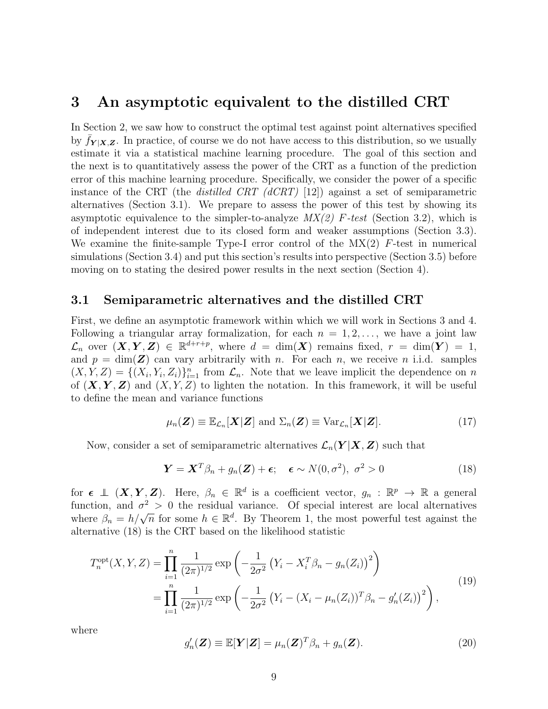### <span id="page-8-0"></span>3 An asymptotic equivalent to the distilled CRT

In Section [2,](#page-5-0) we saw how to construct the optimal test against point alternatives specified by  $f_{Y|X,Z}$ . In practice, of course we do not have access to this distribution, so we usually estimate it via a statistical machine learning procedure. The goal of this section and the next is to quantitatively assess the power of the CRT as a function of the prediction error of this machine learning procedure. Specifically, we consider the power of a specific instance of the CRT (the *distilled CRT (dCRT)* [\[12\]](#page-27-0)) against a set of semiparametric alternatives (Section [3.1\)](#page-8-1). We prepare to assess the power of this test by showing its asymptotic equivalence to the simpler-to-analyze  $MX(2)$  F-test (Section [3.2\)](#page-10-0), which is of independent interest due to its closed form and weaker assumptions (Section [3.3\)](#page-12-0). We examine the finite-sample Type-I error control of the  $MX(2)$  F-test in numerical simulations (Section [3.4\)](#page-13-0) and put this section's results into perspective (Section [3.5\)](#page-17-0) before moving on to stating the desired power results in the next section (Section [4\)](#page-18-0).

### <span id="page-8-1"></span>3.1 Semiparametric alternatives and the distilled CRT

First, we define an asymptotic framework within which we will work in Sections [3](#page-8-0) and [4.](#page-18-0) Following a triangular array formalization, for each  $n = 1, 2, \ldots$ , we have a joint law  $\mathcal{L}_n$  over  $(X, Y, Z) \in \mathbb{R}^{d+r+p}$ , where  $d = \dim(X)$  remains fixed,  $r = \dim(Y) = 1$ , and  $p = \dim(Z)$  can vary arbitrarily with n. For each n, we receive n i.i.d. samples  $(X, Y, Z) = \{(X_i, Y_i, Z_i)\}_{i=1}^n$  from  $\mathcal{L}_n$ . Note that we leave implicit the dependence on n of  $(X, Y, Z)$  and  $(X, Y, Z)$  to lighten the notation. In this framework, it will be useful to define the mean and variance functions

<span id="page-8-4"></span>
$$
\mu_n(\mathbf{Z}) \equiv \mathbb{E}_{\mathcal{L}_n}[\mathbf{X}|\mathbf{Z}] \text{ and } \Sigma_n(\mathbf{Z}) \equiv \text{Var}_{\mathcal{L}_n}[\mathbf{X}|\mathbf{Z}]. \tag{17}
$$

Now, consider a set of semiparametric alternatives  $\mathcal{L}_n(Y|X, Z)$  such that

<span id="page-8-2"></span>
$$
\mathbf{Y} = \mathbf{X}^T \beta_n + g_n(\mathbf{Z}) + \boldsymbol{\epsilon}; \quad \boldsymbol{\epsilon} \sim N(0, \sigma^2), \ \sigma^2 > 0 \tag{18}
$$

for  $\boldsymbol{\epsilon} \perp (X, Y, Z)$ . Here,  $\beta_n \in \mathbb{R}^d$  is a coefficient vector,  $g_n : \mathbb{R}^p \to \mathbb{R}$  a general function, and  $\sigma^2 > 0$  the residual variance. Of special interest are local alternatives where  $\beta_n = h/\sqrt{n}$  for some  $h \in \mathbb{R}^d$ . By Theorem [1,](#page-6-2) the most powerful test against the alternative [\(18\)](#page-8-2) is the CRT based on the likelihood statistic

<span id="page-8-3"></span>
$$
T_n^{\text{opt}}(X, Y, Z) = \prod_{i=1}^n \frac{1}{(2\pi)^{1/2}} \exp\left(-\frac{1}{2\sigma^2} \left(Y_i - X_i^T \beta_n - g_n(Z_i)\right)^2\right)
$$
  
= 
$$
\prod_{i=1}^n \frac{1}{(2\pi)^{1/2}} \exp\left(-\frac{1}{2\sigma^2} \left(Y_i - (X_i - \mu_n(Z_i))^T \beta_n - g'_n(Z_i)\right)^2\right),
$$
 (19)

where

<span id="page-8-5"></span>
$$
g'_n(\mathbf{Z}) \equiv \mathbb{E}[\mathbf{Y}|\mathbf{Z}] = \mu_n(\mathbf{Z})^T \beta_n + g_n(\mathbf{Z}). \tag{20}
$$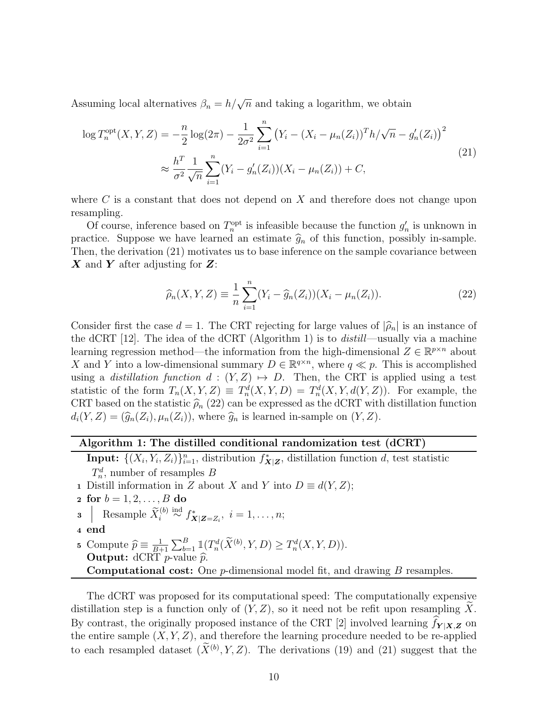Assuming local alternatives  $\beta_n = h/\sqrt{n}$  and taking a logarithm, we obtain

<span id="page-9-0"></span>
$$
\log T_n^{\text{opt}}(X, Y, Z) = -\frac{n}{2} \log(2\pi) - \frac{1}{2\sigma^2} \sum_{i=1}^n \left( Y_i - (X_i - \mu_n(Z_i))^T h / \sqrt{n} - g'_n(Z_i) \right)^2
$$
  

$$
\approx \frac{h^T}{\sigma^2} \frac{1}{\sqrt{n}} \sum_{i=1}^n (Y_i - g'_n(Z_i))(X_i - \mu_n(Z_i)) + C,
$$
 (21)

where  $C$  is a constant that does not depend on  $X$  and therefore does not change upon resampling.

Of course, inference based on  $T_n^{\text{opt}}$  is infeasible because the function  $g'_n$  is unknown in practice. Suppose we have learned an estimate  $\hat{g}_n$  of this function, possibly in-sample. Then, the derivation [\(21\)](#page-9-0) motivates us to base inference on the sample covariance between  $\boldsymbol{X}$  and  $\boldsymbol{Y}$  after adjusting for  $\boldsymbol{Z}$ :

<span id="page-9-2"></span>
$$
\widehat{\rho}_n(X, Y, Z) \equiv \frac{1}{n} \sum_{i=1}^n (Y_i - \widehat{g}_n(Z_i))(X_i - \mu_n(Z_i)).
$$
\n(22)

Consider first the case  $d = 1$ . The CRT rejecting for large values of  $|\hat{\rho}_n|$  is an instance of the dCRT [\[12\]](#page-27-0). The idea of the dCRT (Algorithm [1\)](#page-9-1) is to distill—usually via a machine learning regression method—the information from the high-dimensional  $Z \in \mathbb{R}^{p \times n}$  about X and Y into a low-dimensional summary  $D \in \mathbb{R}^{q \times n}$ , where  $q \ll p$ . This is accomplished using a distillation function  $d : (Y, Z) \mapsto D$ . Then, the CRT is applied using a test statistic of the form  $T_n(X, Y, Z) \equiv T_n^d(X, Y, D) = T_n^d(X, Y, d(Y, Z))$ . For example, the CRT based on the statistic  $\hat{\rho}_n$  [\(22\)](#page-9-2) can be expressed as the dCRT with distillation function  $d_i(Y, Z) = (\widehat{g}_n(Z_i), \mu_n(Z_i))$ , where  $\widehat{g}_n$  is learned in-sample on  $(Y, Z)$ .

#### Algorithm 1: The distilled conditional randomization test (dCRT)

Input:  $\{(X_i, Y_i, Z_i)\}_{i=1}^n$ , distribution  $f_{\mathbf{X}|\mathbf{Z}}^*$ , distillation function d, test statistic  $T_n^d$ , number of resamples B 1 Distill information in Z about X and Y into  $D \equiv d(Y, Z)$ ;

\n- **2 for** 
$$
b = 1, 2, \ldots, B
$$
 do
\n- **3** | Resample  $\widetilde{X}_i^{(b)} \stackrel{\text{ind}}{\sim} f_{\mathbf{X}|\mathbf{Z} = Z_i}$ ,  $i = 1, \ldots, n$ ;
\n- **4 end**
\n- **5 Compute**  $\widehat{p} \equiv \frac{1}{B+1} \sum_{b=1}^B \mathbb{1}(T_n^d(\widetilde{X}^{(b)}, Y, D) \geq T_n^d(X, Y, D)).$
\n- **Output:** dCRT *p*-value  $\widehat{p}$ .
\n- **Computational cost:** One *p*-dimensional model fit, and drawing *B* resamples.
\n

<span id="page-9-1"></span>The dCRT was proposed for its computational speed: The computationally expensive distillation step is a function only of  $(Y, Z)$ , so it need not be refit upon resampling X. By contrast, the originally proposed instance of the CRT [\[2\]](#page-26-1) involved learning  $f_{Y|X,Z}$  on the entire sample  $(X, Y, Z)$ , and therefore the learning procedure needed to be re-applied to each resampled dataset  $(\tilde{X}^{(b)}, Y, Z)$ . The derivations [\(19\)](#page-8-3) and [\(21\)](#page-9-0) suggest that the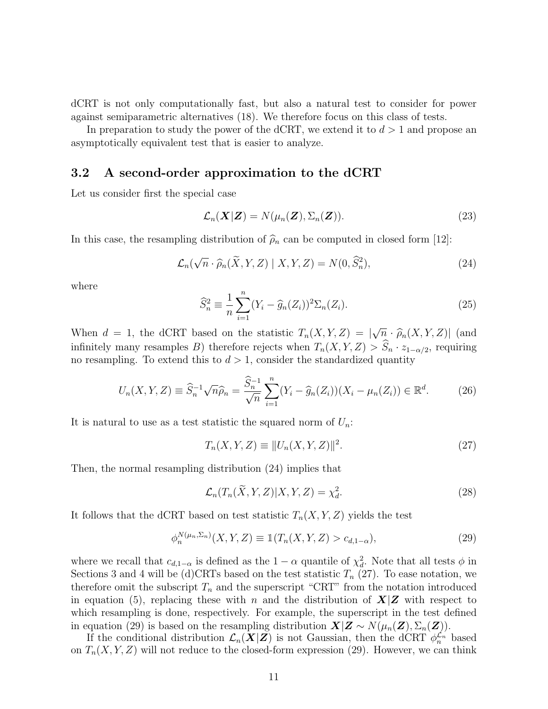dCRT is not only computationally fast, but also a natural test to consider for power against semiparametric alternatives [\(18\)](#page-8-2). We therefore focus on this class of tests.

In preparation to study the power of the dCRT, we extend it to  $d > 1$  and propose an asymptotically equivalent test that is easier to analyze.

#### <span id="page-10-0"></span>3.2 A second-order approximation to the dCRT

Let us consider first the special case

$$
\mathcal{L}_n(\mathbf{X}|\mathbf{Z}) = N(\mu_n(\mathbf{Z}), \Sigma_n(\mathbf{Z})).
$$
\n(23)

In this case, the resampling distribution of  $\hat{\rho}_n$  can be computed in closed form [\[12\]](#page-27-0):

<span id="page-10-1"></span>
$$
\mathcal{L}_n(\sqrt{n} \cdot \widehat{\rho}_n(\widetilde{X}, Y, Z) \mid X, Y, Z) = N(0, \widehat{S}_n^2), \tag{24}
$$

where

<span id="page-10-4"></span>
$$
\widehat{S}_n^2 \equiv \frac{1}{n} \sum_{i=1}^n (Y_i - \widehat{g}_n(Z_i))^2 \Sigma_n(Z_i). \tag{25}
$$

When  $d = 1$ , the dCRT based on the statistic  $T_n(X, Y, Z) = |$  $\overline{n} \cdot \widehat{\rho}_n(X, Y, Z)$  (and infinitely many resamples B) therefore rejects when  $T_n(X, Y, Z) > \widehat{S}_n \cdot z_{1-\alpha/2}$ , requiring no resampling. To extend this to  $d > 1$ , consider the standardized quantity

<span id="page-10-5"></span>
$$
U_n(X, Y, Z) \equiv \hat{S}_n^{-1} \sqrt{n} \hat{\rho}_n = \frac{\hat{S}_n^{-1}}{\sqrt{n}} \sum_{i=1}^n (Y_i - \hat{g}_n(Z_i))(X_i - \mu_n(Z_i)) \in \mathbb{R}^d.
$$
 (26)

It is natural to use as a test statistic the squared norm of  $U_n$ :

<span id="page-10-2"></span>
$$
T_n(X, Y, Z) \equiv ||U_n(X, Y, Z)||^2.
$$
\n(27)

Then, the normal resampling distribution [\(24\)](#page-10-1) implies that

$$
\mathcal{L}_n(T_n(\widetilde{X}, Y, Z)|X, Y, Z) = \chi_d^2. \tag{28}
$$

It follows that the dCRT based on test statistic  $T_n(X, Y, Z)$  yields the test

<span id="page-10-3"></span>
$$
\phi_n^{N(\mu_n, \Sigma_n)}(X, Y, Z) \equiv \mathbb{1}(T_n(X, Y, Z) > c_{d, 1-\alpha}),\tag{29}
$$

where we recall that  $c_{d,1-\alpha}$  is defined as the  $1-\alpha$  quantile of  $\chi^2_d$ . Note that all tests  $\phi$  in Sections [3](#page-8-0) and [4](#page-18-0) will be (d)CRTs based on the test statistic  $T_n$  [\(27\)](#page-10-2). To ease notation, we therefore omit the subscript  $T_n$  and the superscript "CRT" from the notation introduced in equation [\(5\)](#page-2-1), replacing these with n and the distribution of  $X|Z$  with respect to which resampling is done, respectively. For example, the superscript in the test defined in equation [\(29\)](#page-10-3) is based on the resampling distribution  $X|Z \sim N(\mu_n(Z), \Sigma_n(Z)).$ 

If the conditional distribution  $\mathcal{L}_n(X|Z)$  is not Gaussian, then the dCRT  $\phi_n^{\mathcal{L}_n}$  based on  $T_n(X, Y, Z)$  will not reduce to the closed-form expression [\(29\)](#page-10-3). However, we can think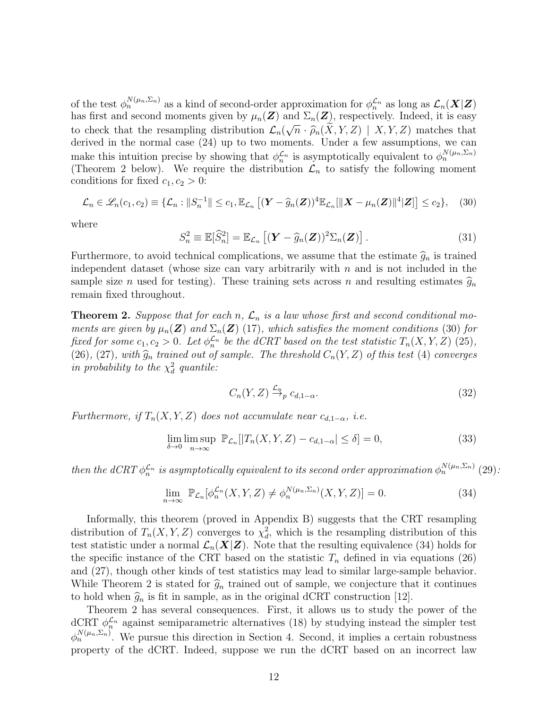of the test  $\phi_n^{N(\mu_n, \Sigma_n)}$  as a kind of second-order approximation for  $\phi_n^{\mathcal{L}_n}$  as long as  $\mathcal{L}_n(\mathbf{X}|\mathbf{Z})$ has first and second moments given by  $\mu_n(\mathbf{Z})$  and  $\Sigma_n(\mathbf{Z})$ , respectively. Indeed, it is easy to check that the resampling distribution  $\mathcal{L}_n(\sqrt{n} \cdot \widehat{\rho}_n(X, Y, Z) \mid X, Y, Z)$  matches that derived in the normal case (24) up to two moments. Under a few assumptions, we can derived in the normal case [\(24\)](#page-10-1) up to two moments. Under a few assumptions, we can make this intuition precise by showing that  $\phi_n^{\mathcal{L}_n}$  is asymptotically equivalent to  $\phi_n^{N(\mu_n, \Sigma_n)}$ (Theorem [2](#page-11-0) below). We require the distribution  $\mathcal{L}_n$  to satisfy the following moment conditions for fixed  $c_1, c_2 > 0$ :

<span id="page-11-1"></span>
$$
\mathcal{L}_n \in \mathscr{L}_n(c_1, c_2) \equiv \{ \mathcal{L}_n : ||S_n^{-1}|| \le c_1, \mathbb{E}_{\mathcal{L}_n} \left[ (\boldsymbol{Y} - \widehat{g}_n(\boldsymbol{Z}))^4 \mathbb{E}_{\mathcal{L}_n} [||\boldsymbol{X} - \mu_n(\boldsymbol{Z})||^4 | \boldsymbol{Z} \right] \right] \le c_2 \}, \quad (30)
$$

where

$$
S_n^2 \equiv \mathbb{E}[\widehat{S}_n^2] = \mathbb{E}_{\mathcal{L}_n} \left[ (\boldsymbol{Y} - \widehat{g}_n(\boldsymbol{Z}))^2 \Sigma_n(\boldsymbol{Z}) \right]. \tag{31}
$$

Furthermore, to avoid technical complications, we assume that the estimate  $\hat{g}_n$  is trained independent dataset (whose size can vary arbitrarily with  $n$  and is not included in the sample size *n* used for testing). These training sets across *n* and resulting estimates  $\hat{g}_n$ remain fixed throughout.

<span id="page-11-0"></span>**Theorem 2.** Suppose that for each n,  $\mathcal{L}_n$  is a law whose first and second conditional moments are given by  $\mu_n(\mathbf{Z})$  and  $\Sigma_n(\mathbf{Z})$  [\(17\)](#page-8-4), which satisfies the moment conditions [\(30\)](#page-11-1) for fixed for some  $c_1, c_2 > 0$ . Let  $\phi_n^{\mathcal{L}_n}$  be the dCRT based on the test statistic  $T_n(X, Y, Z)$  [\(25\)](#page-10-4), [\(26\)](#page-10-5), [\(27\)](#page-10-2), with  $\widehat{g}_n$  trained out of sample. The threshold  $C_n(Y, Z)$  of this test [\(4\)](#page-2-0) converges in probability to the  $\chi_d^2$  quantile:

<span id="page-11-3"></span>
$$
C_n(Y, Z) \xrightarrow{\mathcal{L}_n} c_{d, 1-\alpha}.\tag{32}
$$

Furthermore, if  $T_n(X, Y, Z)$  does not accumulate near  $c_{d,1-\alpha}$ , i.e.

<span id="page-11-4"></span>
$$
\lim_{\delta \to 0} \limsup_{n \to \infty} \mathbb{P}_{\mathcal{L}_n}[|T_n(X, Y, Z) - c_{d, 1-\alpha}| \le \delta] = 0,
$$
\n(33)

then the dCRT  $\phi_n^{\mathcal{L}_n}$  is asymptotically equivalent to its second order approximation  $\phi_n^{N(\mu_n,\Sigma_n)}$  [\(29\)](#page-10-3):

<span id="page-11-2"></span>
$$
\lim_{n \to \infty} \mathbb{P}_{\mathcal{L}_n}[\phi_n^{\mathcal{L}_n}(X, Y, Z) \neq \phi_n^{N(\mu_n, \Sigma_n)}(X, Y, Z)] = 0.
$$
\n(34)

Informally, this theorem (proved in Appendix [B\)](#page-30-1) suggests that the CRT resampling distribution of  $T_n(X, Y, Z)$  converges to  $\chi^2_d$ , which is the resampling distribution of this test statistic under a normal  $\mathcal{L}_n(X|Z)$ . Note that the resulting equivalence [\(34\)](#page-11-2) holds for the specific instance of the CRT based on the statistic  $T_n$  defined in via equations [\(26\)](#page-10-5) and [\(27\)](#page-10-2), though other kinds of test statistics may lead to similar large-sample behavior. While Theorem [2](#page-11-0) is stated for  $\hat{g}_n$  trained out of sample, we conjecture that it continues to hold when  $\hat{g}_n$  is fit in sample, as in the original dCRT construction [\[12\]](#page-27-0).

Theorem [2](#page-11-0) has several consequences. First, it allows us to study the power of the dCRT  $\phi_n^{\mathcal{L}_n}$  against semiparametric alternatives [\(18\)](#page-8-2) by studying instead the simpler test  $\phi_n^{N(\mu_n, \Sigma_n)}$ . We pursue this direction in Section [4.](#page-18-0) Second, it implies a certain robustness property of the dCRT. Indeed, suppose we run the dCRT based on an incorrect law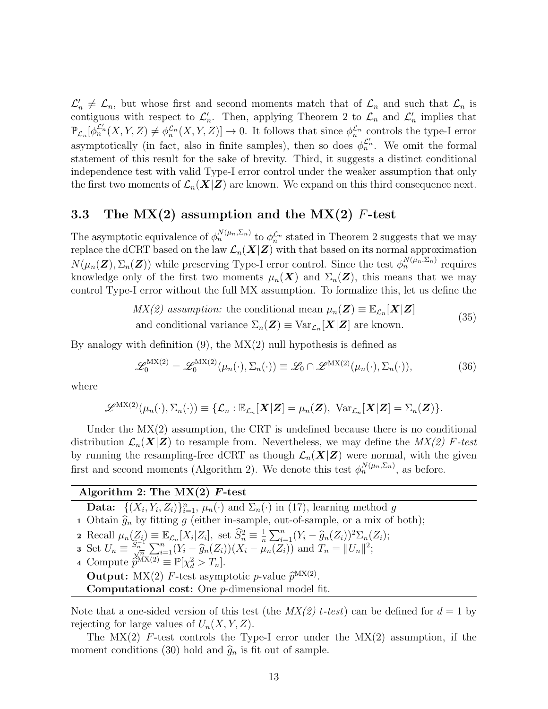$\mathcal{L}'_n \neq \mathcal{L}_n$ , but whose first and second moments match that of  $\mathcal{L}_n$  and such that  $\mathcal{L}_n$  is contiguous with respect to  $\mathcal{L}'_n$ . Then, applying Theorem [2](#page-11-0) to  $\mathcal{L}_n$  and  $\mathcal{L}'_n$  implies that  $\mathbb{P}_{\mathcal{L}_n}[\phi_n^{\mathcal{L}'_n}(X,Y,Z)\neq \phi_n^{\mathcal{L}_n}(X,Y,Z)]\to 0.$  It follows that since  $\phi_n^{\mathcal{L}_n}$  controls the type-I error asymptotically (in fact, also in finite samples), then so does  $\phi_n^{\mathcal{L}'_n}$ . We omit the formal statement of this result for the sake of brevity. Third, it suggests a distinct conditional independence test with valid Type-I error control under the weaker assumption that only the first two moments of  $\mathcal{L}_n(X|Z)$  are known. We expand on this third consequence next.

### <span id="page-12-0"></span>3.3 The  $MX(2)$  assumption and the  $MX(2)$  F-test

The asymptotic equivalence of  $\phi_n^{N(\mu_n, \Sigma_n)}$  to  $\phi_n^{\mathcal{L}_n}$  stated in Theorem [2](#page-11-0) suggests that we may replace the dCRT based on the law  $\mathcal{L}_n(X|Z)$  with that based on its normal approximation  $N(\mu_n(\mathbf{Z}), \Sigma_n(\mathbf{Z}))$  while preserving Type-I error control. Since the test  $\phi_n^{N(\mu_n, \Sigma_n)}$  requires knowledge only of the first two moments  $\mu_n(\boldsymbol{X})$  and  $\Sigma_n(\boldsymbol{Z})$ , this means that we may control Type-I error without the full MX assumption. To formalize this, let us define the

$$
MX(2) assumption: the conditional mean  $\mu_n(\mathbf{Z}) \equiv \mathbb{E}_{\mathcal{L}_n}[\mathbf{X}|\mathbf{Z}]$   
and conditional variance  $\Sigma_n(\mathbf{Z}) \equiv \text{Var}_{\mathcal{L}_n}[\mathbf{X}|\mathbf{Z}]$  are known. (35)
$$

<span id="page-12-2"></span>By analogy with definition  $(9)$ , the  $MX(2)$  null hypothesis is defined as

$$
\mathcal{L}_0^{\text{MX}(2)} = \mathcal{L}_0^{\text{MX}(2)}(\mu_n(\cdot), \Sigma_n(\cdot)) \equiv \mathcal{L}_0 \cap \mathcal{L}^{\text{MX}(2)}(\mu_n(\cdot), \Sigma_n(\cdot)),\tag{36}
$$

where

$$
\mathscr{L}^{\mathrm{MX}(2)}(\mu_n(\cdot),\Sigma_n(\cdot))\equiv \{\mathcal{L}_n:\mathbb{E}_{\mathcal{L}_n}[\boldsymbol{X}|\boldsymbol{Z}]=\mu_n(\boldsymbol{Z}),\ \mathrm{Var}_{\mathcal{L}_n}[\boldsymbol{X}|\boldsymbol{Z}]=\Sigma_n(\boldsymbol{Z})\}.
$$

Under the MX(2) assumption, the CRT is undefined because there is no conditional distribution  $\mathcal{L}_n(X|Z)$  to resample from. Nevertheless, we may define the  $MX(2)$  F-test by running the resampling-free dCRT as though  $\mathcal{L}_n(X|Z)$  were normal, with the given first and second moments (Algorithm [2\)](#page-12-1). We denote this test  $\phi_n^{N(\mu_n, \Sigma_n)}$ , as before.

#### Algorithm 2: The  $MX(2)$  F-test

**Data:**  $\{(X_i, Y_i, Z_i)\}_{i=1}^n$ ,  $\mu_n(\cdot)$  and  $\Sigma_n(\cdot)$  in [\(17\)](#page-8-4), learning method g

1 Obtain  $\hat{g}_n$  by fitting g (either in-sample, out-of-sample, or a mix of both);

2 Recall  $\mu_n(Z_i) \equiv \mathbb{E}_{\mathcal{L}_n}[X_i|Z_i],$  set  $\widehat{S}_n^2 \equiv \frac{1}{n}$ 2 Recall  $\mu_n(Z_i) \equiv \mathbb{E}_{\mathcal{L}_n}[X_i|Z_i]$ , set  $\widehat{S}_n^2 \equiv \frac{1}{n} \sum_{i=1}^n (Y_i - \widehat{g}_n(Z_i))^2 \sum_n (Z_i)$ ;<br>3 Set  $U_n \equiv \frac{\widehat{S}_n^{-1}}{\sqrt{n}} \sum_{i=1}^n (Y_i - \widehat{g}_n(Z_i))(X_i - \mu_n(Z_i))$  and  $T_n = ||U_n||^2$ ;

<span id="page-12-1"></span>4 Compute  $\widetilde{p}^{\text{MX}(2)} \equiv \mathbb{P}[\chi_d^2 > T_n].$ **Output:** MX(2) F-test asymptotic *p*-value  $\hat{p}^{MX(2)}$ .<br>Computational cost: One *n* dimensional model f **Computational cost:** One  $p$ -dimensional model fit.

Note that a one-sided version of this test (the  $MX(2)$  t-test) can be defined for  $d = 1$  by rejecting for large values of  $U_n(X, Y, Z)$ .

The  $MX(2)$  F-test controls the Type-I error under the  $MX(2)$  assumption, if the moment conditions [\(30\)](#page-11-1) hold and  $\hat{g}_n$  is fit out of sample.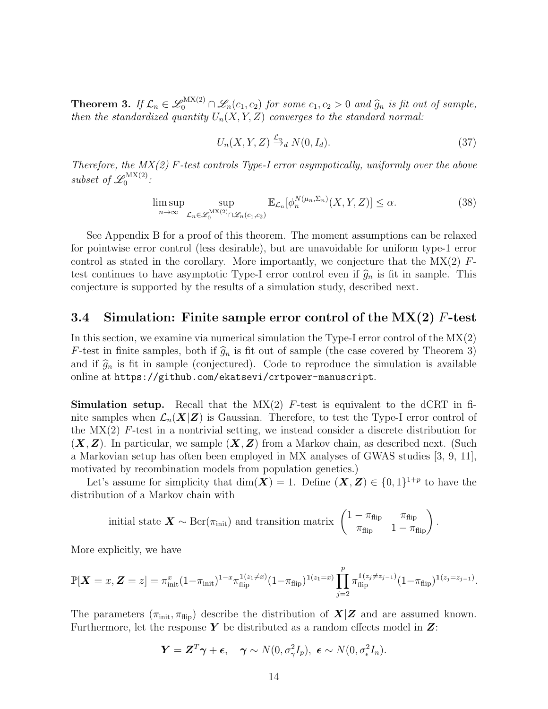<span id="page-13-1"></span>**Theorem 3.** If  $\mathcal{L}_n \in \mathcal{L}_0^{\text{MX}(2)} \cap \mathcal{L}_n(c_1, c_2)$  for some  $c_1, c_2 > 0$  and  $\widehat{g}_n$  is fit out of sample, then the standard permeliant is the standard permeliant. then the standardized quantity  $U_n(X, Y, Z)$  converges to the standard normal:

<span id="page-13-2"></span>
$$
U_n(X, Y, Z) \xrightarrow{\mathcal{L}_n} N(0, I_d). \tag{37}
$$

Therefore, the  $MX(2)$  F-test controls Type-I error asympotically, uniformly over the above subset of  $\mathscr{L}^{\text{MX}(2)}_0$ , <sup>(2)</sup> міл<br>0

<span id="page-13-3"></span>
$$
\limsup_{n \to \infty} \sup_{\mathcal{L}_n \in \mathcal{L}_0^{\text{MX}(2)} \cap \mathcal{L}_n(c_1, c_2)} \mathbb{E}_{\mathcal{L}_n}[\phi_n^{\text{N}(\mu_n, \Sigma_n)}(X, Y, Z)] \le \alpha.
$$
 (38)

See Appendix [B](#page-30-1) for a proof of this theorem. The moment assumptions can be relaxed for pointwise error control (less desirable), but are unavoidable for uniform type-1 error control as stated in the corollary. More importantly, we conjecture that the  $MX(2)$  Ftest continues to have asymptotic Type-I error control even if  $\hat{g}_n$  is fit in sample. This conjecture is supported by the results of a simulation study, described next.

#### <span id="page-13-0"></span>3.4 Simulation: Finite sample error control of the  $MX(2)$  F-test

In this section, we examine via numerical simulation the Type-I error control of the MX(2) F-test in finite samples, both if  $\hat{g}_n$  is fit out of sample (the case covered by Theorem [3\)](#page-13-1) and if  $\hat{g}_n$  is fit in sample (conjectured). Code to reproduce the simulation is available online at <https://github.com/ekatsevi/crtpower-manuscript>.

**Simulation setup.** Recall that the  $MX(2)$  F-test is equivalent to the dCRT in finite samples when  $\mathcal{L}_n(X|Z)$  is Gaussian. Therefore, to test the Type-I error control of the  $MX(2)$  F-test in a nontrivial setting, we instead consider a discrete distribution for  $(X, Z)$ . In particular, we sample  $(X, Z)$  from a Markov chain, as described next. (Such a Markovian setup has often been employed in MX analyses of GWAS studies [\[3,](#page-26-2) [9,](#page-26-8) [11\]](#page-26-10), motivated by recombination models from population genetics.)

Let's assume for simplicity that  $\dim(\mathbf{X}) = 1$ . Define  $(\mathbf{X}, \mathbf{Z}) \in \{0, 1\}^{1+p}$  to have the distribution of a Markov chain with

initial state 
$$
\mathbf{X} \sim \text{Ber}(\pi_{\text{init}})
$$
 and transition matrix  $\begin{pmatrix} 1 - \pi_{\text{flip}} & \pi_{\text{flip}} \\ \pi_{\text{flip}} & 1 - \pi_{\text{flip}} \end{pmatrix}$ .

More explicitly, we have

$$
\mathbb{P}[\boldsymbol{X} = x, \boldsymbol{Z} = z] = \pi_{\text{init}}^x (1 - \pi_{\text{init}})^{1 - x} \pi_{\text{flip}}^{1(z_1 \neq x)} (1 - \pi_{\text{flip}})^{1(z_1 = x)} \prod_{j=2}^p \pi_{\text{flip}}^{1(z_j \neq z_{j-1})} (1 - \pi_{\text{flip}})^{1(z_j = z_{j-1})}.
$$

The parameters  $(\pi_{\text{init}}, \pi_{\text{flip}})$  describe the distribution of  $X|Z$  and are assumed known. Furthermore, let the response Y be distributed as a random effects model in  $Z$ :

$$
\boldsymbol{Y} = \boldsymbol{Z}^T \boldsymbol{\gamma} + \boldsymbol{\epsilon}, \quad \boldsymbol{\gamma} \sim N(0, \sigma_{\gamma}^2 I_p), \ \boldsymbol{\epsilon} \sim N(0, \sigma_{\epsilon}^2 I_n).
$$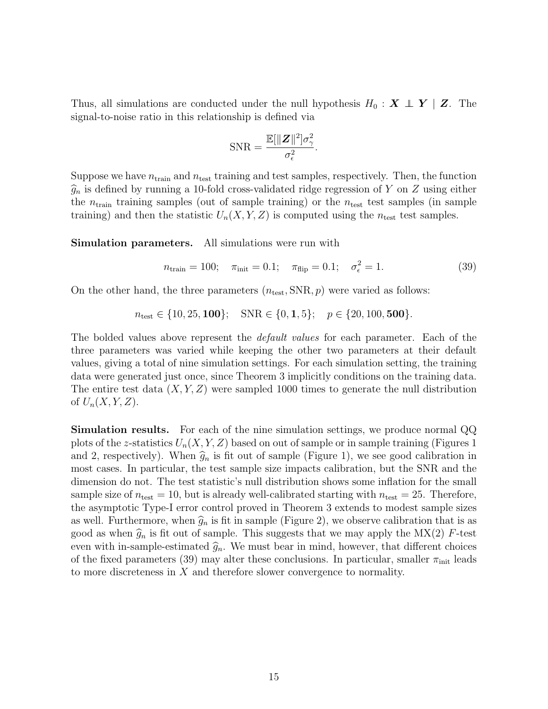Thus, all simulations are conducted under the null hypothesis  $H_0 : X \perp Y \mid Z$ . The signal-to-noise ratio in this relationship is defined via

$$
SNR = \frac{\mathbb{E}[\|\mathbf{Z}\|^2]\sigma_{\gamma}^2}{\sigma_{\epsilon}^2}.
$$

Suppose we have  $n_{\text{train}}$  and  $n_{\text{test}}$  training and test samples, respectively. Then, the function  $\widehat{g}_n$  is defined by running a 10-fold cross-validated ridge regression of Y on Z using either the  $n_{\text{train}}$  training samples (out of sample training) or the  $n_{\text{test}}$  test samples (in sample training) and then the statistic  $U_n(X, Y, Z)$  is computed using the  $n_{\text{test}}$  test samples.

Simulation parameters. All simulations were run with

<span id="page-14-0"></span>
$$
n_{\text{train}} = 100; \quad \pi_{\text{init}} = 0.1; \quad \pi_{\text{flip}} = 0.1; \quad \sigma_{\epsilon}^2 = 1. \tag{39}
$$

On the other hand, the three parameters  $(n_{\text{test}}, \text{SNR}, p)$  were varied as follows:

 $n_{\text{test}} \in \{10, 25, 100\}; \quad \text{SNR} \in \{0, 1, 5\}; \quad p \in \{20, 100, 500\}.$ 

The bolded values above represent the *default values* for each parameter. Each of the three parameters was varied while keeping the other two parameters at their default values, giving a total of nine simulation settings. For each simulation setting, the training data were generated just once, since Theorem [3](#page-13-1) implicitly conditions on the training data. The entire test data  $(X, Y, Z)$  were sampled 1000 times to generate the null distribution of  $U_n(X, Y, Z)$ .

Simulation results. For each of the nine simulation settings, we produce normal QQ plots of the z-statistics  $U_n(X, Y, Z)$  based on out of sample or in sample training (Figures [1](#page-15-0)) and [2,](#page-16-0) respectively). When  $\hat{g}_n$  is fit out of sample (Figure [1\)](#page-15-0), we see good calibration in most cases. In particular, the test sample size impacts calibration, but the SNR and the dimension do not. The test statistic's null distribution shows some inflation for the small sample size of  $n_{\text{test}} = 10$ , but is already well-calibrated starting with  $n_{\text{test}} = 25$ . Therefore, the asymptotic Type-I error control proved in Theorem [3](#page-13-1) extends to modest sample sizes as well. Furthermore, when  $\widehat{g}_n$  is fit in sample (Figure [2\)](#page-16-0), we observe calibration that is as good as when  $\hat{g}_n$  is fit out of sample. This suggests that we may apply the MX(2) F-test even with in-sample-estimated  $\hat{g}_n$ . We must bear in mind, however, that different choices of the fixed parameters [\(39\)](#page-14-0) may alter these conclusions. In particular, smaller  $\pi_{\text{init}}$  leads to more discreteness in  $X$  and therefore slower convergence to normality.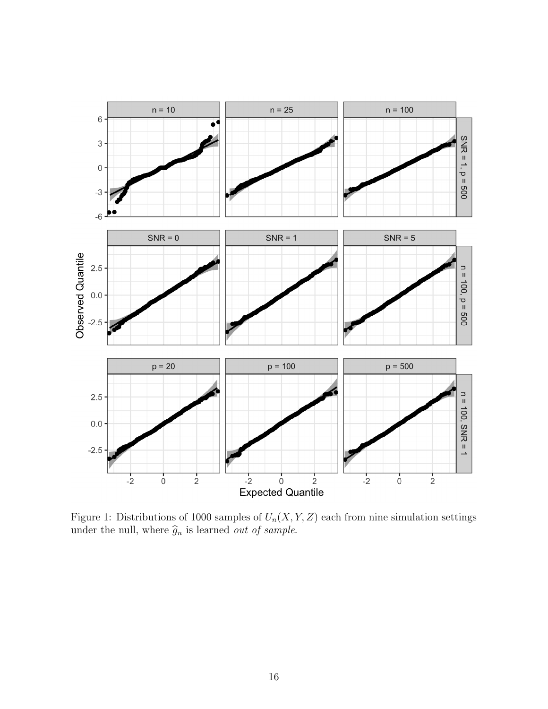<span id="page-15-0"></span>

Figure 1: Distributions of 1000 samples of  $U_n(X, Y, Z)$  each from nine simulation settings under the null, where  $\widehat{g}_n$  is learned *out of sample*.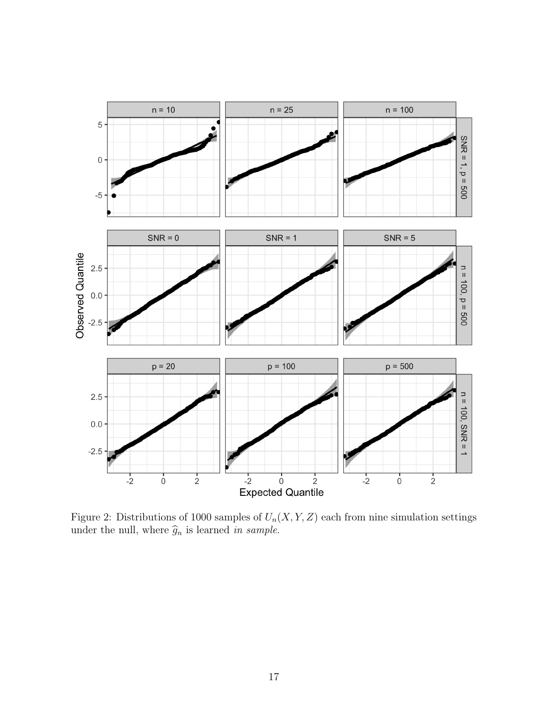<span id="page-16-0"></span>

Figure 2: Distributions of 1000 samples of  $U_n(X, Y, Z)$  each from nine simulation settings under the null, where  $\widehat{g}_n$  is learned in sample.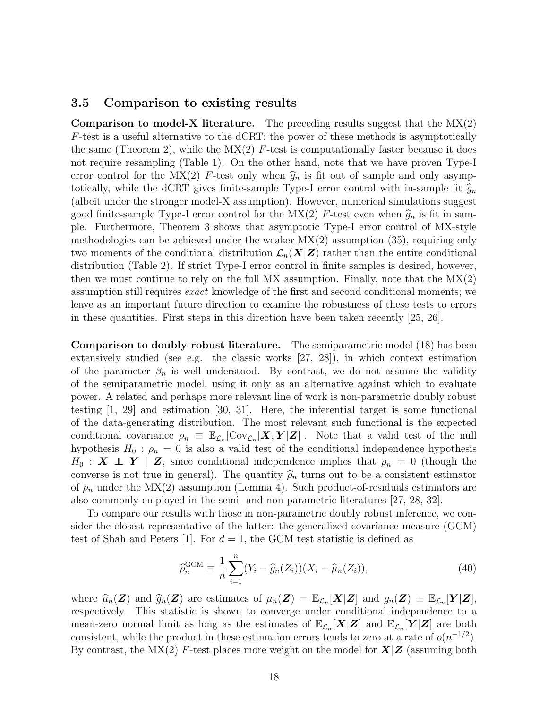### <span id="page-17-0"></span>3.5 Comparison to existing results

**Comparison to model-X literature.** The preceding results suggest that the  $MX(2)$ F-test is a useful alternative to the dCRT: the power of these methods is asymptotically the same (Theorem [2\)](#page-11-0), while the  $MX(2)$  F-test is computationally faster because it does not require resampling (Table [1\)](#page-18-1). On the other hand, note that we have proven Type-I error control for the MX(2) F-test only when  $\hat{g}_n$  is fit out of sample and only asymptotically, while the dCRT gives finite-sample Type-I error control with in-sample fit  $\hat{g}_n$ (albeit under the stronger model-X assumption). However, numerical simulations suggest good finite-sample Type-I error control for the  $MX(2)$  F-test even when  $\hat{g}_n$  is fit in sample. Furthermore, Theorem [3](#page-13-1) shows that asymptotic Type-I error control of MX-style methodologies can be achieved under the weaker MX(2) assumption [\(35\)](#page-12-2), requiring only two moments of the conditional distribution  $\mathcal{L}_n(X|Z)$  rather than the entire conditional distribution (Table [2\)](#page-18-2). If strict Type-I error control in finite samples is desired, however, then we must continue to rely on the full MX assumption. Finally, note that the  $MX(2)$ assumption still requires exact knowledge of the first and second conditional moments; we leave as an important future direction to examine the robustness of these tests to errors in these quantities. First steps in this direction have been taken recently [\[25,](#page-27-13) [26\]](#page-27-14).

Comparison to doubly-robust literature. The semiparametric model [\(18\)](#page-8-2) has been extensively studied (see e.g. the classic works [\[27,](#page-28-0) [28\]](#page-28-1)), in which context estimation of the parameter  $\beta_n$  is well understood. By contrast, we do not assume the validity of the semiparametric model, using it only as an alternative against which to evaluate power. A related and perhaps more relevant line of work is non-parametric doubly robust testing [\[1,](#page-26-0) [29\]](#page-28-2) and estimation [\[30,](#page-28-3) [31\]](#page-28-4). Here, the inferential target is some functional of the data-generating distribution. The most relevant such functional is the expected conditional covariance  $\rho_n \equiv \mathbb{E}_{\mathcal{L}_n}[\text{Cov}_{\mathcal{L}_n}[\mathbf{X}, \mathbf{Y}|\mathbf{Z}]]$ . Note that a valid test of the null hypothesis  $H_0$ :  $\rho_n = 0$  is also a valid test of the conditional independence hypothesis  $H_0$  :  $\mathbf{X} \perp \!\!\!\! \perp \mathbf{Y}$  |  $\mathbf{Z}$ , since conditional independence implies that  $\rho_n = 0$  (though the converse is not true in general). The quantity  $\hat{\rho}_n$  turns out to be a consistent estimator of  $\rho_n$  under the MX(2) assumption (Lemma [4\)](#page-38-0). Such product-of-residuals estimators are also commonly employed in the semi- and non-parametric literatures [\[27,](#page-28-0) [28,](#page-28-1) [32\]](#page-28-5).

To compare our results with those in non-parametric doubly robust inference, we consider the closest representative of the latter: the generalized covariance measure (GCM) test of Shah and Peters [\[1\]](#page-26-0). For  $d = 1$ , the GCM test statistic is defined as

$$
\widehat{\rho}_n^{\text{GCM}} \equiv \frac{1}{n} \sum_{i=1}^n (Y_i - \widehat{g}_n(Z_i))(X_i - \widehat{\mu}_n(Z_i)),\tag{40}
$$

where  $\widehat{\mu}_n(\mathbf{Z})$  and  $\widehat{g}_n(\mathbf{Z})$  are estimates of  $\mu_n(\mathbf{Z}) = \mathbb{E}_{\mathcal{L}_n}[\mathbf{X}|\mathbf{Z}]$  and  $g_n(\mathbf{Z}) \equiv \mathbb{E}_{\mathcal{L}_n}[\mathbf{Y}|\mathbf{Z}],$ <br>respectively. This statistic is shown to converse under conditional independence respectively. This statistic is shown to converge under conditional independence to a mean-zero normal limit as long as the estimates of  $\mathbb{E}_{\mathcal{L}_n}[\bm{X}|\bm{Z}]$  and  $\mathbb{E}_{\mathcal{L}_n}[\bm{Y}|\bm{Z}]$  are both consistent, while the product in these estimation errors tends to zero at a rate of  $o(n^{-1/2})$ . By contrast, the  $MX(2)$  F-test places more weight on the model for  $X|Z$  (assuming both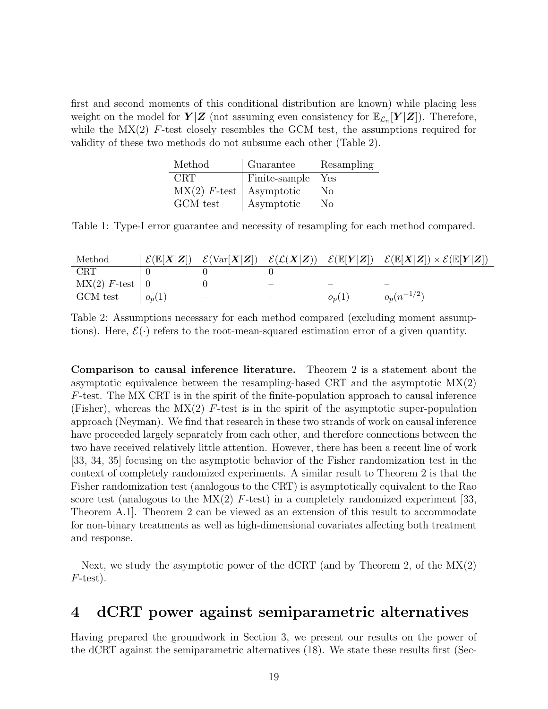<span id="page-18-1"></span>first and second moments of this conditional distribution are known) while placing less weight on the model for  $Y|Z$  (not assuming even consistency for  $\mathbb{E}_{\mathcal{L}_n}[Y|Z]$ ). Therefore, while the  $MX(2)$  F-test closely resembles the GCM test, the assumptions required for validity of these two methods do not subsume each other (Table [2\)](#page-18-2).

| Method                      | Guarantee     | Resampling     |
|-----------------------------|---------------|----------------|
| <b>CRT</b>                  | Finite-sample | Yes            |
| $MX(2)$ F-test   Asymptotic |               | No.            |
| GCM test                    | Asymptotic    | N <sub>0</sub> |

Table 1: Type-I error guarantee and necessity of resampling for each method compared.

<span id="page-18-2"></span>

| Method                    |          |   |                                 |                          | $\mathcal{E}(\mathbb{E}[X Z]) - \mathcal{E}(\text{Var}[X Z]) - \mathcal{E}(\mathcal{L}(X Z)) - \mathcal{E}(\mathbb{E}[Y Z]) - \mathcal{E}(\mathbb{E}[X Z]) \times \mathcal{E}(\mathbb{E}[Y Z])$ |
|---------------------------|----------|---|---------------------------------|--------------------------|-------------------------------------------------------------------------------------------------------------------------------------------------------------------------------------------------|
| <b>CRT</b>                |          |   |                                 | $\overline{\phantom{a}}$ |                                                                                                                                                                                                 |
| $\text{MX}(2)$ F-test   0 |          |   | $\hspace{0.1mm}-\hspace{0.1mm}$ | —                        |                                                                                                                                                                                                 |
| GCM test                  | $o_p(1)$ | _ | __                              | $o_p(1)$                 | $o_n(n^{-1/2})$                                                                                                                                                                                 |

Table 2: Assumptions necessary for each method compared (excluding moment assumptions). Here,  $\mathcal{E}(\cdot)$  refers to the root-mean-squared estimation error of a given quantity.

Comparison to causal inference literature. Theorem [2](#page-11-0) is a statement about the asymptotic equivalence between the resampling-based CRT and the asymptotic MX(2)  $F$ -test. The MX CRT is in the spirit of the finite-population approach to causal inference (Fisher), whereas the  $MX(2)$  F-test is in the spirit of the asymptotic super-population approach (Neyman). We find that research in these two strands of work on causal inference have proceeded largely separately from each other, and therefore connections between the two have received relatively little attention. However, there has been a recent line of work [\[33,](#page-28-6) [34,](#page-28-7) [35\]](#page-28-8) focusing on the asymptotic behavior of the Fisher randomization test in the context of completely randomized experiments. A similar result to Theorem [2](#page-11-0) is that the Fisher randomization test (analogous to the CRT) is asymptotically equivalent to the Rao score test (analogous to the  $MX(2)$  F-test) in a completely randomized experiment [\[33,](#page-28-6) Theorem A.1]. Theorem [2](#page-11-0) can be viewed as an extension of this result to accommodate for non-binary treatments as well as high-dimensional covariates affecting both treatment and response.

Next, we study the asymptotic power of the dCRT (and by Theorem [2,](#page-11-0) of the  $MX(2)$ )  $F$ -test).

### <span id="page-18-0"></span>4 dCRT power against semiparametric alternatives

Having prepared the groundwork in Section [3,](#page-8-0) we present our results on the power of the dCRT against the semiparametric alternatives [\(18\)](#page-8-2). We state these results first (Sec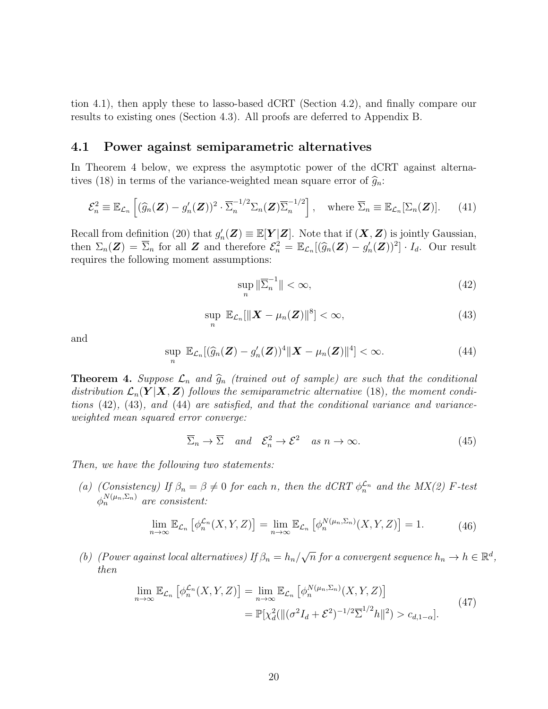tion [4.1\)](#page-19-0), then apply these to lasso-based dCRT (Section [4.2\)](#page-20-0), and finally compare our results to existing ones (Section [4.3\)](#page-21-0). All proofs are deferred to Appendix [B.](#page-30-1)

### <span id="page-19-0"></span>4.1 Power against semiparametric alternatives

In Theorem [4](#page-19-1) below, we express the asymptotic power of the dCRT against alterna-tives [\(18\)](#page-8-2) in terms of the variance-weighted mean square error of  $\hat{g}_n$ :

$$
\mathcal{E}_n^2 \equiv \mathbb{E}_{\mathcal{L}_n} \left[ (\widehat{g}_n(\mathbf{Z}) - g'_n(\mathbf{Z}))^2 \cdot \overline{\Sigma}_n^{-1/2} \Sigma_n(\mathbf{Z}) \overline{\Sigma}_n^{-1/2} \right], \quad \text{where } \overline{\Sigma}_n \equiv \mathbb{E}_{\mathcal{L}_n}[\Sigma_n(\mathbf{Z})]. \tag{41}
$$

Recall from definition [\(20\)](#page-8-5) that  $g'_n(\mathbf{Z}) \equiv \mathbb{E}[\mathbf{Y}|\mathbf{Z}]$ . Note that if  $(\mathbf{X}, \mathbf{Z})$  is jointly Gaussian, then  $\Sigma_n(\mathbf{Z}) = \overline{\Sigma}_n$  for all  $\mathbf{Z}$  and therefore  $\mathcal{E}_n^2 = \mathbb{E}_{\mathcal{L}_n}[(\widehat{g}_n(\mathbf{Z}) - g'_n(\mathbf{Z}))^2] \cdot I_d$ . Our result requires the following moment assumptions:

<span id="page-19-2"></span>
$$
\sup_{n} \|\overline{\Sigma}_{n}^{-1}\| < \infty,
$$
\n(42)

<span id="page-19-3"></span>
$$
\sup_{n} \mathbb{E}_{\mathcal{L}_n}[\|\boldsymbol{X} - \mu_n(\boldsymbol{Z})\|^8] < \infty,\tag{43}
$$

and

<span id="page-19-4"></span>
$$
\sup_{n} \mathbb{E}_{\mathcal{L}_n}[(\widehat{g}_n(\mathbf{Z}) - g'_n(\mathbf{Z}))^4 || \mathbf{X} - \mu_n(\mathbf{Z}) ||^4] < \infty.
$$
 (44)

<span id="page-19-1"></span>**Theorem 4.** Suppose  $\mathcal{L}_n$  and  $\widehat{g}_n$  (trained out of sample) are such that the conditional distribution  $\mathcal{L}_n(Y|X, Z)$  follows the semiparametric alternative [\(18\)](#page-8-2), the moment conditions [\(42\)](#page-19-2), [\(43\)](#page-19-3), and [\(44\)](#page-19-4) are satisfied, and that the conditional variance and varianceweighted mean squared error converge:

<span id="page-19-6"></span>
$$
\overline{\Sigma}_n \to \overline{\Sigma} \quad and \quad \mathcal{E}_n^2 \to \mathcal{E}^2 \quad as \quad n \to \infty. \tag{45}
$$

Then, we have the following two statements:

(a) (Consistency) If  $\beta_n = \beta \neq 0$  for each n, then the dCRT  $\phi_n^{\mathcal{L}_n}$  and the MX(2) F-test  $\phi_n^{N(\mu_n, \Sigma_n)}$  are consistent:

$$
\lim_{n \to \infty} \mathbb{E}_{\mathcal{L}_n} \left[ \phi_n^{\mathcal{L}_n}(X, Y, Z) \right] = \lim_{n \to \infty} \mathbb{E}_{\mathcal{L}_n} \left[ \phi_n^{N(\mu_n, \Sigma_n)}(X, Y, Z) \right] = 1. \tag{46}
$$

<span id="page-19-7"></span>(b) (Power against local alternatives) If  $\beta_n = h_n/$  $\sqrt{n}$  for a convergent sequence  $h_n \to h \in \mathbb{R}^d$ , then

<span id="page-19-5"></span>
$$
\lim_{n \to \infty} \mathbb{E}_{\mathcal{L}_n} \left[ \phi_n^{\mathcal{L}_n}(X, Y, Z) \right] = \lim_{n \to \infty} \mathbb{E}_{\mathcal{L}_n} \left[ \phi_n^{N(\mu_n, \Sigma_n)}(X, Y, Z) \right]
$$
\n
$$
= \mathbb{P}[\chi_d^2(\| (\sigma^2 I_d + \mathcal{E}^2)^{-1/2} \overline{\Sigma}^{1/2} h \|^2) > c_{d, 1 - \alpha}].
$$
\n(47)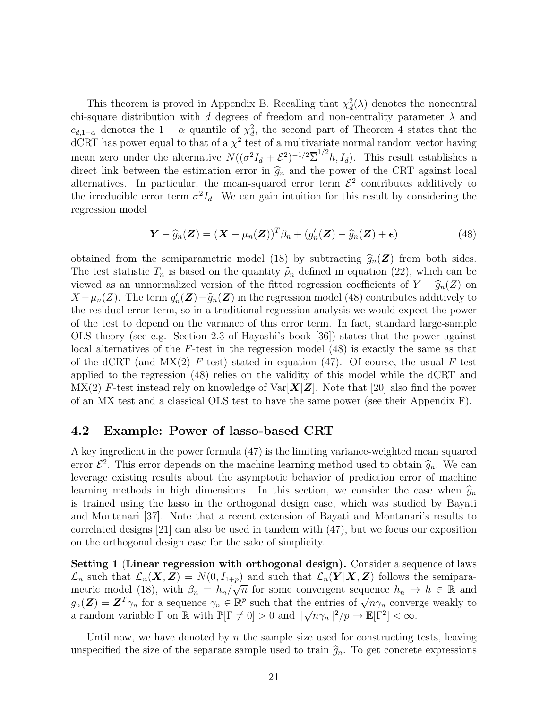This theorem is proved in Appendix [B.](#page-30-1) Recalling that  $\chi_d^2(\lambda)$  denotes the noncentral chi-square distribution with d degrees of freedom and non-centrality parameter  $\lambda$  and  $c_{d,1-\alpha}$  denotes the  $1-\alpha$  quantile of  $\chi^2_d$ , the second part of Theorem [4](#page-19-1) states that the  $\rm dCRT$  has power equal to that of a  $\chi^2$  test of a multivariate normal random vector having mean zero under the alternative  $N((\sigma^2 I_d + \mathcal{E}^2)^{-1/2} \overline{\Sigma}^{1/2} h, I_d)$ . This result establishes a direct link between the estimation error in  $\hat{g}_n$  and the power of the CRT against local alternatives. In particular, the mean-squared error term  $\mathcal{E}^2$  contributes additively to the irreducible error term  $\sigma^2 I_d$ . We can gain intuition for this result by considering the regression model

$$
\mathbf{Y} - \widehat{g}_n(\mathbf{Z}) = (\mathbf{X} - \mu_n(\mathbf{Z}))^T \beta_n + (g'_n(\mathbf{Z}) - \widehat{g}_n(\mathbf{Z}) + \epsilon)
$$
(48)

<span id="page-20-1"></span>obtained from the semiparametric model [\(18\)](#page-8-2) by subtracting  $\hat{g}_n(\mathbf{Z})$  from both sides. The test statistic  $T_n$  is based on the quantity  $\widehat{\rho}_n$  defined in equation [\(22\)](#page-9-2), which can be viewed as an unnormalized version of the fitted regression coefficients of  $Y - \hat{g}_n(Z)$  on  $X - \mu_n(Z)$ . The term  $g'_n(Z) - \widehat{g}_n(Z)$  in the regression model [\(48\)](#page-20-1) contributes additively to<br>the residual error term so in a traditional regression analysis we would expect the power the residual error term, so in a traditional regression analysis we would expect the power of the test to depend on the variance of this error term. In fact, standard large-sample OLS theory (see e.g. Section 2.3 of Hayashi's book [\[36\]](#page-28-9)) states that the power against local alternatives of the F-test in the regression model [\(48\)](#page-20-1) is exactly the same as that of the dCRT (and  $MX(2)$  F-test) stated in equation [\(47\)](#page-19-5). Of course, the usual F-test applied to the regression [\(48\)](#page-20-1) relies on the validity of this model while the dCRT and  $\text{MX}(2)$  F-test instead rely on knowledge of  $\text{Var}[\boldsymbol{X}|\boldsymbol{Z}]$ . Note that [\[20\]](#page-27-8) also find the power of an MX test and a classical OLS test to have the same power (see their Appendix F).

#### <span id="page-20-0"></span>4.2 Example: Power of lasso-based CRT

A key ingredient in the power formula [\(47\)](#page-19-5) is the limiting variance-weighted mean squared error  $\mathcal{E}^2$ . This error depends on the machine learning method used to obtain  $\hat{g}_n$ . We can<br>leverage existing results about the asymptotic behavior of prodiction error of machine leverage existing results about the asymptotic behavior of prediction error of machine learning methods in high dimensions. In this section, we consider the case when  $\hat{g}_n$ is trained using the lasso in the orthogonal design case, which was studied by Bayati and Montanari [\[37\]](#page-28-10). Note that a recent extension of Bayati and Montanari's results to correlated designs [\[21\]](#page-27-9) can also be used in tandem with [\(47\)](#page-19-5), but we focus our exposition on the orthogonal design case for the sake of simplicity.

<span id="page-20-2"></span>Setting 1 (Linear regression with orthogonal design). Consider a sequence of laws  $\mathcal{L}_n$  such that  $\mathcal{L}_n(\mathbf{X}, \mathbf{Z}) = N(0, I_{1+p})$  and such that  $\mathcal{L}_n(\mathbf{Y} | \mathbf{X}, \mathbf{Z})$  follows the semipara-metric model [\(18\)](#page-8-2), with  $\beta_n = h_n / \sqrt{n}$  for some convergent sequence  $h_n \to h \in \mathbb{R}$  and metric model (18), with  $\rho_n = n_n / \sqrt{n}$  for some convergent sequence  $n_n \to n \in \mathbb{R}$  and  $g_n(\mathbf{Z}) = \mathbf{Z}^T \gamma_n$  for a sequence  $\gamma_n \in \mathbb{R}^p$  such that the entries of  $\sqrt{n} \gamma_n$  converge weakly to a random variable  $\Gamma$  on  $\mathbb R$  with  $\mathbb P[\Gamma \neq 0] > 0$  and  $\|\sqrt{n}\gamma_n\|^2/p \to \mathbb E[\Gamma^2] < \infty$ .

Until now, we have denoted by  $n$  the sample size used for constructing tests, leaving unspecified the size of the separate sample used to train  $\hat{g}_n$ . To get concrete expressions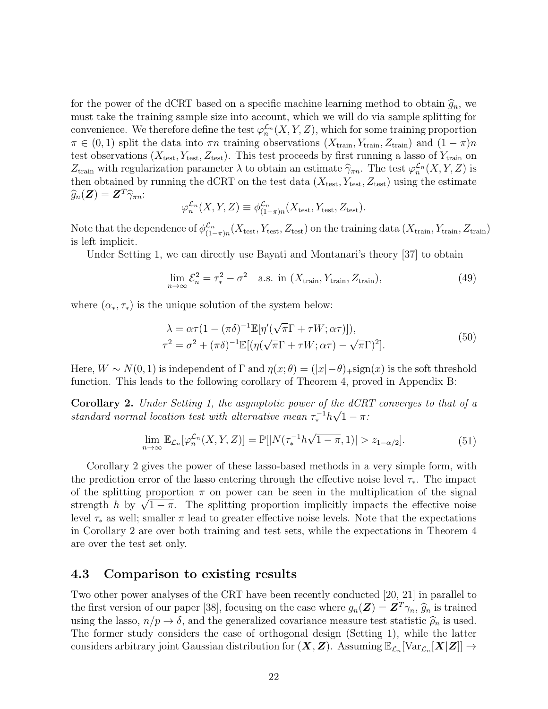for the power of the dCRT based on a specific machine learning method to obtain  $\hat{g}_n$ , we must take the training sample size into account, which we will do via sample splitting for convenience. We therefore define the test  $\varphi_n^{\mathcal{L}_n}(X, Y, Z)$ , which for some training proportion  $\pi \in (0,1)$  split the data into  $\pi n$  training observations  $(X_{\text{train}}, Y_{\text{train}}, Z_{\text{train}})$  and  $(1 - \pi)n$ test observations  $(X_{\text{test}}, Y_{\text{test}}, Z_{\text{test}})$ . This test proceeds by first running a lasso of  $Y_{\text{train}}$  on  $Z_{\text{train}}$  with regularization parameter λ to obtain an estimate  $\hat{\gamma}_{\pi n}$ . The test  $\varphi_n^{\mathcal{L}_n}(X, Y, Z)$  is<br>then obtained by running the dCBT on the test data (*X*, *V*, *Z*) using the estimate then obtained by running the dCRT on the test data  $(X_{test}, Y_{test}, Z_{test})$  using the estimate  $\widehat{g}_n(\boldsymbol{Z}) = \boldsymbol{Z}^T \widehat{\gamma}_{\pi n}$ 

$$
\varphi_n^{\mathcal{L}_n}(X, Y, Z) \equiv \phi_{(1-\pi)n}^{\mathcal{L}_n}(X_{\text{test}}, Y_{\text{test}}, Z_{\text{test}}).
$$

Note that the dependence of  $\phi_{(1)}^{\mathcal{L}_n}$  $\frac{\mathcal{L}_n}{(1-\pi)n}(X_{\text{test}}, Y_{\text{test}}, Z_{\text{test}})$  on the training data  $(X_{\text{train}}, Y_{\text{train}}, Z_{\text{train}})$ is left implicit.

Under Setting [1,](#page-20-2) we can directly use Bayati and Montanari's theory [\[37\]](#page-28-10) to obtain

<span id="page-21-3"></span>
$$
\lim_{n \to \infty} \mathcal{E}_n^2 = \tau_*^2 - \sigma^2 \quad \text{a.s. in } (X_{\text{train}}, Y_{\text{train}}, Z_{\text{train}}), \tag{49}
$$

<span id="page-21-2"></span>where  $(\alpha_*, \tau_*)$  is the unique solution of the system below:

$$
\lambda = \alpha \tau (1 - (\pi \delta)^{-1} \mathbb{E}[\eta'(\sqrt{\pi}\Gamma + \tau W; \alpha \tau)]),
$$
  
\n
$$
\tau^2 = \sigma^2 + (\pi \delta)^{-1} \mathbb{E}[(\eta(\sqrt{\pi}\Gamma + \tau W; \alpha \tau) - \sqrt{\pi}\Gamma)^2].
$$
\n(50)

Here,  $W \sim N(0, 1)$  is independent of  $\Gamma$  and  $\eta(x; \theta) = (|x| - \theta)$ +sign $(x)$  is the soft threshold function. This leads to the following corollary of Theorem [4,](#page-19-1) proved in Appendix [B:](#page-30-1)

<span id="page-21-1"></span>**Corollary 2.** Under Setting [1,](#page-20-2) the asymptotic power of the  $dCRT$  converges to that of a standard normal location test with alternative mean  $\tau_*^{-1}h\sqrt{1-\pi}$ :

$$
\lim_{n \to \infty} \mathbb{E}_{\mathcal{L}_n}[\varphi_n^{\mathcal{L}_n}(X, Y, Z)] = \mathbb{P}[|N(\tau_*^{-1}h\sqrt{1-\pi}, 1)| > z_{1-\alpha/2}]. \tag{51}
$$

Corollary [2](#page-21-1) gives the power of these lasso-based methods in a very simple form, with the prediction error of the lasso entering through the effective noise level  $\tau_*$ . The impact of the splitting proportion  $\pi$  on power can be seen in the multiplication of the signal of the splitting proportion  $\pi$  on power can be seen in the multiplication of the signal<br>strength h by  $\sqrt{1-\pi}$ . The splitting proportion implicitly impacts the effective noise level  $\tau_*$  as well; smaller  $\pi$  lead to greater effective noise levels. Note that the expectations in Corollary [2](#page-21-1) are over both training and test sets, while the expectations in Theorem [4](#page-19-1) are over the test set only.

### <span id="page-21-0"></span>4.3 Comparison to existing results

Two other power analyses of the CRT have been recently conducted [\[20,](#page-27-8) [21\]](#page-27-9) in parallel to the first version of our paper [\[38\]](#page-28-11), focusing on the case where  $g_n(\mathbf{Z}) = \mathbf{Z}^T \gamma_n$ ,  $\widehat{g}_n$  is trained using the lasso,  $n/p \to \delta$ , and the generalized covariance measure test statistic  $\hat{\rho}_n$  is used. The former study considers the case of orthogonal design (Setting [1\)](#page-20-2), while the latter considers arbitrary joint Gaussian distribution for  $(\bm{X}, \bm{Z})$ . Assuming  $\mathbb{E}_{\mathcal{L}_n}[\text{Var}_{\mathcal{L}_n}[\bm{X}|\bm{Z}]] \rightarrow$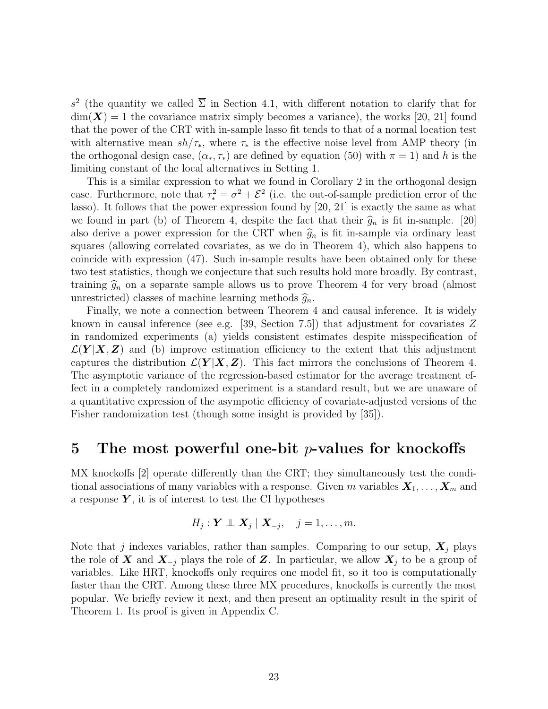s<sup>2</sup> (the quantity we called  $\overline{\Sigma}$  in Section [4.1,](#page-19-0) with different notation to clarify that for  $\dim(\mathbf{X}) = 1$  the covariance matrix simply becomes a variance), the works [\[20,](#page-27-8) [21\]](#page-27-9) found that the power of the CRT with in-sample lasso fit tends to that of a normal location test with alternative mean  $sh/\tau_*$ , where  $\tau_*$  is the effective noise level from AMP theory (in the orthogonal design case,  $(\alpha_*, \tau_*)$  are defined by equation [\(50\)](#page-21-2) with  $\pi = 1$ ) and h is the limiting constant of the local alternatives in Setting [1.](#page-20-2)

This is a similar expression to what we found in Corollary [2](#page-21-1) in the orthogonal design case. Furthermore, note that  $\tau_*^2 = \sigma^2 + \mathcal{E}^2$  (i.e. the out-of-sample prediction error of the lasso). It follows that the power expression found by [\[20,](#page-27-8) [21\]](#page-27-9) is exactly the same as what we found in part (b) of Theorem [4,](#page-19-1) despite the fact that their  $\hat{g}_n$  is fit in-sample. [\[20\]](#page-27-8) also derive a power expression for the CRT when  $\hat{g}_n$  is fit in-sample via ordinary least squares (allowing correlated covariates, as we do in Theorem [4\)](#page-19-1), which also happens to coincide with expression [\(47\)](#page-19-5). Such in-sample results have been obtained only for these two test statistics, though we conjecture that such results hold more broadly. By contrast, training  $\widehat{g}_n$  on a separate sample allows us to prove Theorem [4](#page-19-1) for very broad (almost unrestricted) classes of machine learning methods  $\widehat{g}_n$ .

Finally, we note a connection between Theorem [4](#page-19-1) and causal inference. It is widely known in causal inference (see e.g. [\[39,](#page-28-12) Section 7.5]) that adjustment for covariates Z in randomized experiments (a) yields consistent estimates despite misspecification of  $\mathcal{L}(\boldsymbol{Y} | \boldsymbol{X}, \boldsymbol{Z})$  and (b) improve estimation efficiency to the extent that this adjustment captures the distribution  $\mathcal{L}(\boldsymbol{Y} | \boldsymbol{X}, \boldsymbol{Z})$ . This fact mirrors the conclusions of Theorem [4.](#page-19-1) The asymptotic variance of the regression-based estimator for the average treatment effect in a completely randomized experiment is a standard result, but we are unaware of a quantitative expression of the asympotic efficiency of covariate-adjusted versions of the Fisher randomization test (though some insight is provided by [\[35\]](#page-28-8)).

### <span id="page-22-0"></span>5 The most powerful one-bit *p*-values for knockoffs

MX knockoffs [\[2\]](#page-26-1) operate differently than the CRT; they simultaneously test the conditional associations of many variables with a response. Given m variables  $X_1, \ldots, X_m$  and a response  $\boldsymbol{Y}$ , it is of interest to test the CI hypotheses

$$
H_j: \mathbf{Y} \perp \!\!\!\! \perp \mathbf{X}_j \mid \mathbf{X}_{-j}, \quad j = 1, \ldots, m.
$$

Note that j indexes variables, rather than samples. Comparing to our setup,  $\mathbf{X}_j$  plays the role of X and  $X_{-j}$  plays the role of Z. In particular, we allow  $X_j$  to be a group of variables. Like HRT, knockoffs only requires one model fit, so it too is computationally faster than the CRT. Among these three MX procedures, knockoffs is currently the most popular. We briefly review it next, and then present an optimality result in the spirit of Theorem [1.](#page-6-2) Its proof is given in Appendix [C.](#page-41-0)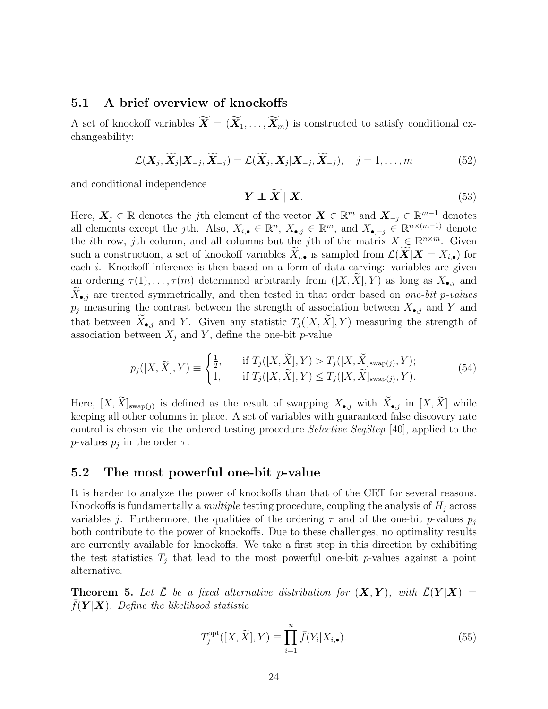### <span id="page-23-0"></span>5.1 A brief overview of knockoffs

A set of knockoff variables  $\widetilde{\mathbf{X}} = (\widetilde{\mathbf{X}}_1, \ldots, \widetilde{\mathbf{X}}_m)$  is constructed to satisfy conditional exchangeability:

<span id="page-23-3"></span>
$$
\mathcal{L}(\mathbf{X}_j, \widetilde{\mathbf{X}}_j | \mathbf{X}_{-j}, \widetilde{\mathbf{X}}_{-j}) = \mathcal{L}(\widetilde{\mathbf{X}}_j, \mathbf{X}_j | \mathbf{X}_{-j}, \widetilde{\mathbf{X}}_{-j}), \quad j = 1, \dots, m
$$
\n(52)

and conditional independence

<span id="page-23-4"></span>
$$
\boldsymbol{Y} \perp \widetilde{\boldsymbol{X}} \mid \boldsymbol{X}.\tag{53}
$$

Here,  $\boldsymbol{X}_j \in \mathbb{R}$  denotes the jth element of the vector  $\boldsymbol{X} \in \mathbb{R}^m$  and  $\boldsymbol{X}_{-j} \in \mathbb{R}^{m-1}$  denotes all elements except the jth. Also,  $X_{i, \bullet} \in \mathbb{R}^n$ ,  $X_{\bullet, j} \in \mathbb{R}^m$ , and  $X_{\bullet, -j} \in \mathbb{R}^{n \times (m-1)}$  denote the *i*th row, *j*th column, and all columns but the *j*th of the matrix  $X \in \mathbb{R}^{n \times m}$ . Given such a construction, a set of knockoff variables  $\widetilde{X}_{i,\bullet}$  is sampled from  $\mathcal{L}(\widetilde{X}|X=X_{i,\bullet})$  for each *i*. Knockoff inference is then based on a form of data-carving: variables are given an ordering  $\tau(1), \ldots, \tau(m)$  determined arbitrarily from  $([X, X], Y)$  as long as  $X_{\bullet,j}$  and  $X_{\bullet,j}$  are treated symmetrically, and then tested in that order based on *one-bit p-values*  $p_j$  measuring the contrast between the strength of association between  $X_{\bullet,j}$  and Y and that between  $\widetilde{X}_{\bullet,j}$  and Y. Given any statistic  $T_i([X,\widetilde{X}], Y)$  measuring the strength of association between  $X_i$  and Y, define the one-bit p-value

<span id="page-23-1"></span>
$$
p_j([X,\tilde{X}],Y) \equiv \begin{cases} \frac{1}{2}, & \text{if } T_j([X,\tilde{X}],Y) > T_j([X,\tilde{X}]_{\text{swap}(j)},Y); \\ 1, & \text{if } T_j([X,\tilde{X}],Y) \le T_j([X,\tilde{X}]_{\text{swap}(j)},Y). \end{cases}
$$
(54)

Here,  $[X, X]_{\text{swap}(j)}$  is defined as the result of swapping  $X_{\bullet,j}$  with  $X_{\bullet,j}$  in  $[X, X]$  while keeping all other columns in place. A set of variables with guaranteed false discovery rate control is chosen via the ordered testing procedure Selective SeqStep [\[40\]](#page-28-13), applied to the *p*-values  $p_j$  in the order  $\tau$ .

#### 5.2 The most powerful one-bit  $p$ -value

It is harder to analyze the power of knockoffs than that of the CRT for several reasons. Knockoffs is fundamentally a *multiple* testing procedure, coupling the analysis of  $H_i$  across variables j. Furthermore, the qualities of the ordering  $\tau$  and of the one-bit p-values  $p_j$ both contribute to the power of knockoffs. Due to these challenges, no optimality results are currently available for knockoffs. We take a first step in this direction by exhibiting the test statistics  $T_j$  that lead to the most powerful one-bit p-values against a point alternative.

<span id="page-23-2"></span>**Theorem 5.** Let  $\bar{\mathcal{L}}$  be a fixed alternative distribution for  $(X, Y)$ , with  $\mathcal{L}(Y | X) =$  $f(Y | X)$ . Define the likelihood statistic

<span id="page-23-5"></span>
$$
T_j^{\text{opt}}([X,\widetilde{X}],Y) \equiv \prod_{i=1}^n \bar{f}(Y_i|X_{i,\bullet}).
$$
\n(55)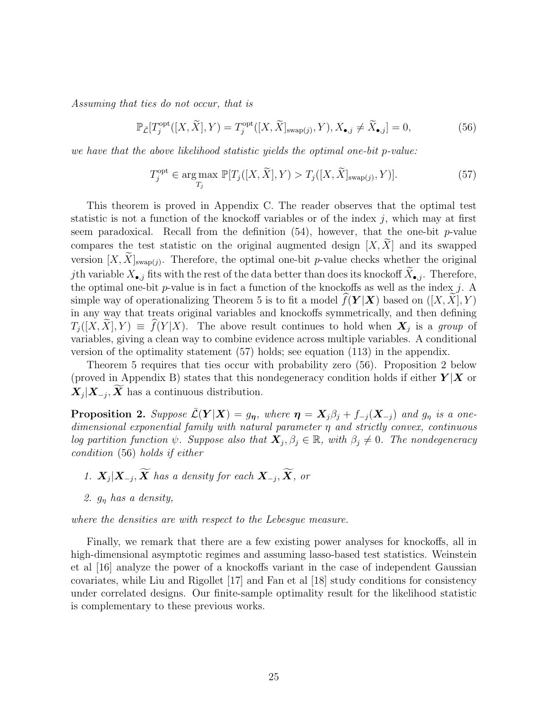Assuming that ties do not occur, that is

<span id="page-24-1"></span>
$$
\mathbb{P}_{\bar{\mathcal{L}}}[T_j^{\text{opt}}([X,\widetilde{X}],Y) = T_j^{\text{opt}}([X,\widetilde{X}]_{\text{swap}(j)},Y), X_{\bullet,j} \neq \widetilde{X}_{\bullet,j}] = 0,\tag{56}
$$

we have that the above likelihood statistic yields the optimal one-bit p-value:

<span id="page-24-0"></span>
$$
T_j^{\text{opt}} \in \underset{T_j}{\text{arg}\max} \ \mathbb{P}[T_j([X,\widetilde{X}],Y) > T_j([X,\widetilde{X}]_{\text{swap}(j)},Y)]. \tag{57}
$$

This theorem is proved in Appendix [C.](#page-41-0) The reader observes that the optimal test statistic is not a function of the knockoff variables or of the index  $j$ , which may at first seem paradoxical. Recall from the definition  $(54)$ , however, that the one-bit p-value compares the test statistic on the original augmented design  $[X, \tilde{X}]$  and its swapped version  $[X, X]_{\text{swap}(j)}$ . Therefore, the optimal one-bit p-value checks whether the original jth variable  $X_{\bullet,j}$  fits with the rest of the data better than does its knockoff  $X_{\bullet,j}$ . Therefore, the optimal one-bit  $p$ -value is in fact a function of the knockoffs as well as the index  $j$ . A simple way of operationalizing Theorem [5](#page-23-2) is to fit a model  $f(Y | X)$  based on  $([X, X], Y)$ in any way that treats original variables and knockoffs symmetrically, and then defining  $T_j([X,X],Y) \equiv f(Y|X)$ . The above result continues to hold when  $X_j$  is a group of variables, giving a clean way to combine evidence across multiple variables. A conditional version of the optimality statement [\(57\)](#page-24-0) holds; see equation [\(113\)](#page-42-0) in the appendix.

Theorem [5](#page-23-2) requires that ties occur with probability zero [\(56\)](#page-24-1). Proposition [2](#page-24-2) below (proved in Appendix [B\)](#page-30-1) states that this nondegeneracy condition holds if either  $Y|X$  or  $X_j | X_{-j}, X$  has a continuous distribution.

<span id="page-24-2"></span>**Proposition 2.** Suppose  $\bar{\mathcal{L}}(\mathbf{Y}|\mathbf{X}) = g_{\eta}$ , where  $\eta = X_j \beta_j + f_{-j}(\mathbf{X}_{-j})$  and  $g_{\eta}$  is a onedimensional exponential family with natural parameter  $\eta$  and strictly convex, continuous log partition function  $\psi$ . Suppose also that  $\mathbf{X}_j, \beta_j \in \mathbb{R}$ , with  $\beta_j \neq 0$ . The nondegeneracy condition [\(56\)](#page-24-1) holds if either

- 1.  $\mathbf{X}_j | \mathbf{X}_{-j}, \mathbf{X}$  has a density for each  $\mathbf{X}_{-j}, \mathbf{X},$  or
- 2.  $g_n$  has a density,

where the densities are with respect to the Lebesgue measure.

Finally, we remark that there are a few existing power analyses for knockoffs, all in high-dimensional asymptotic regimes and assuming lasso-based test statistics. Weinstein et al [\[16\]](#page-27-4) analyze the power of a knockoffs variant in the case of independent Gaussian covariates, while Liu and Rigollet [\[17\]](#page-27-5) and Fan et al [\[18\]](#page-27-6) study conditions for consistency under correlated designs. Our finite-sample optimality result for the likelihood statistic is complementary to these previous works.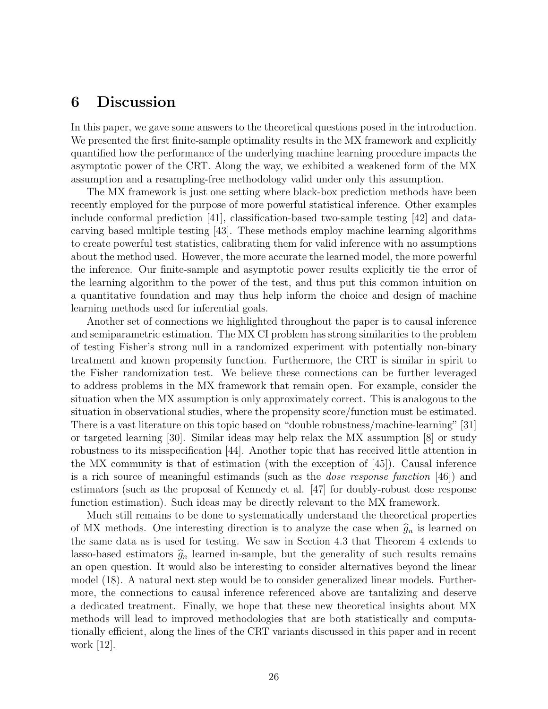### 6 Discussion

In this paper, we gave some answers to the theoretical questions posed in the introduction. We presented the first finite-sample optimality results in the MX framework and explicitly quantified how the performance of the underlying machine learning procedure impacts the asymptotic power of the CRT. Along the way, we exhibited a weakened form of the MX assumption and a resampling-free methodology valid under only this assumption.

The MX framework is just one setting where black-box prediction methods have been recently employed for the purpose of more powerful statistical inference. Other examples include conformal prediction [\[41\]](#page-28-14), classification-based two-sample testing [\[42\]](#page-29-1) and datacarving based multiple testing [\[43\]](#page-29-2). These methods employ machine learning algorithms to create powerful test statistics, calibrating them for valid inference with no assumptions about the method used. However, the more accurate the learned model, the more powerful the inference. Our finite-sample and asymptotic power results explicitly tie the error of the learning algorithm to the power of the test, and thus put this common intuition on a quantitative foundation and may thus help inform the choice and design of machine learning methods used for inferential goals.

Another set of connections we highlighted throughout the paper is to causal inference and semiparametric estimation. The MX CI problem has strong similarities to the problem of testing Fisher's strong null in a randomized experiment with potentially non-binary treatment and known propensity function. Furthermore, the CRT is similar in spirit to the Fisher randomization test. We believe these connections can be further leveraged to address problems in the MX framework that remain open. For example, consider the situation when the MX assumption is only approximately correct. This is analogous to the situation in observational studies, where the propensity score/function must be estimated. There is a vast literature on this topic based on "double robustness/machine-learning" [\[31\]](#page-28-4) or targeted learning [\[30\]](#page-28-3). Similar ideas may help relax the MX assumption [\[8\]](#page-26-7) or study robustness to its misspecification [\[44\]](#page-29-3). Another topic that has received little attention in the MX community is that of estimation (with the exception of [\[45\]](#page-29-4)). Causal inference is a rich source of meaningful estimands (such as the dose response function [\[46\]](#page-29-5)) and estimators (such as the proposal of Kennedy et al. [\[47\]](#page-29-6) for doubly-robust dose response function estimation). Such ideas may be directly relevant to the MX framework.

Much still remains to be done to systematically understand the theoretical properties of MX methods. One interesting direction is to analyze the case when  $\hat{g}_n$  is learned on the same data as is used for testing. We saw in Section [4.3](#page-21-0) that Theorem [4](#page-19-1) extends to lasso-based estimators  $\hat{g}_n$  learned in-sample, but the generality of such results remains an open question. It would also be interesting to consider alternatives beyond the linear model [\(18\)](#page-8-2). A natural next step would be to consider generalized linear models. Furthermore, the connections to causal inference referenced above are tantalizing and deserve a dedicated treatment. Finally, we hope that these new theoretical insights about MX methods will lead to improved methodologies that are both statistically and computationally efficient, along the lines of the CRT variants discussed in this paper and in recent work [\[12\]](#page-27-0).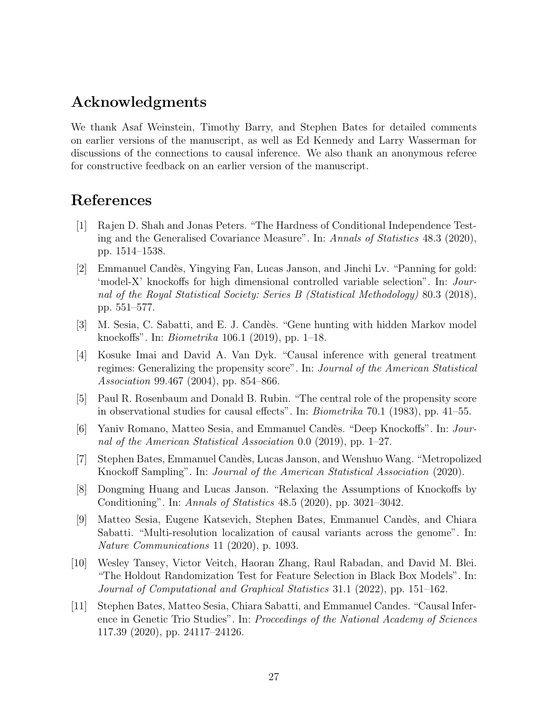# Acknowledgments

We thank Asaf Weinstein, Timothy Barry, and Stephen Bates for detailed comments on earlier versions of the manuscript, as well as Ed Kennedy and Larry Wasserman for discussions of the connections to causal inference. We also thank an anonymous referee for constructive feedback on an earlier version of the manuscript.

# References

- <span id="page-26-0"></span>[1] Rajen D. Shah and Jonas Peters. "The Hardness of Conditional Independence Testing and the Generalised Covariance Measure". In: Annals of Statistics 48.3 (2020), pp. 1514–1538.
- <span id="page-26-1"></span>[2] Emmanuel Cand`es, Yingying Fan, Lucas Janson, and Jinchi Lv. "Panning for gold: 'model-X' knockoffs for high dimensional controlled variable selection". In: Journal of the Royal Statistical Society: Series B (Statistical Methodology) 80.3 (2018), pp. 551–577.
- <span id="page-26-2"></span>[3] M. Sesia, C. Sabatti, and E. J. Candès. "Gene hunting with hidden Markov model knockoffs". In: Biometrika 106.1 (2019), pp. 1–18.
- <span id="page-26-3"></span>[4] Kosuke Imai and David A. Van Dyk. "Causal inference with general treatment regimes: Generalizing the propensity score". In: Journal of the American Statistical Association 99.467 (2004), pp. 854–866.
- <span id="page-26-4"></span>[5] Paul R. Rosenbaum and Donald B. Rubin. "The central role of the propensity score in observational studies for causal effects". In: Biometrika 70.1 (1983), pp. 41–55.
- <span id="page-26-5"></span>[6] Yaniv Romano, Matteo Sesia, and Emmanuel Cand`es. "Deep Knockoffs". In: Journal of the American Statistical Association 0.0 (2019), pp. 1–27.
- <span id="page-26-6"></span>[7] Stephen Bates, Emmanuel Cand`es, Lucas Janson, and Wenshuo Wang. "Metropolized Knockoff Sampling". In: Journal of the American Statistical Association (2020).
- <span id="page-26-7"></span>[8] Dongming Huang and Lucas Janson. "Relaxing the Assumptions of Knockoffs by Conditioning". In: Annals of Statistics 48.5 (2020), pp. 3021–3042.
- <span id="page-26-8"></span>[9] Matteo Sesia, Eugene Katsevich, Stephen Bates, Emmanuel Cand`es, and Chiara Sabatti. "Multi-resolution localization of causal variants across the genome". In: Nature Communications 11 (2020), p. 1093.
- <span id="page-26-9"></span>[10] Wesley Tansey, Victor Veitch, Haoran Zhang, Raul Rabadan, and David M. Blei. "The Holdout Randomization Test for Feature Selection in Black Box Models". In: Journal of Computational and Graphical Statistics 31.1 (2022), pp. 151–162.
- <span id="page-26-10"></span>[11] Stephen Bates, Matteo Sesia, Chiara Sabatti, and Emmanuel Candes. "Causal Inference in Genetic Trio Studies". In: Proceedings of the National Academy of Sciences 117.39 (2020), pp. 24117–24126.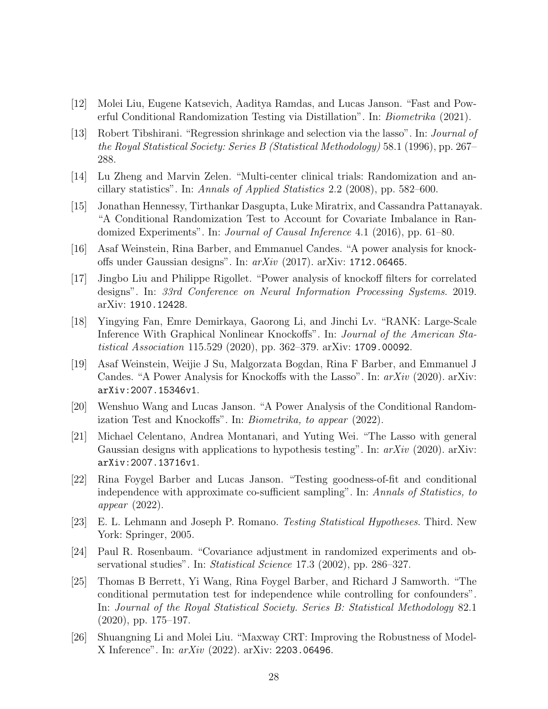- <span id="page-27-0"></span>[12] Molei Liu, Eugene Katsevich, Aaditya Ramdas, and Lucas Janson. "Fast and Powerful Conditional Randomization Testing via Distillation". In: Biometrika (2021).
- <span id="page-27-1"></span>[13] Robert Tibshirani. "Regression shrinkage and selection via the lasso". In: Journal of the Royal Statistical Society: Series B (Statistical Methodology) 58.1 (1996), pp. 267– 288.
- <span id="page-27-2"></span>[14] Lu Zheng and Marvin Zelen. "Multi-center clinical trials: Randomization and ancillary statistics". In: Annals of Applied Statistics 2.2 (2008), pp. 582–600.
- <span id="page-27-3"></span>[15] Jonathan Hennessy, Tirthankar Dasgupta, Luke Miratrix, and Cassandra Pattanayak. "A Conditional Randomization Test to Account for Covariate Imbalance in Randomized Experiments". In: *Journal of Causal Inference* 4.1 (2016), pp. 61–80.
- <span id="page-27-4"></span>[16] Asaf Weinstein, Rina Barber, and Emmanuel Candes. "A power analysis for knockoffs under Gaussian designs". In:  $arXiv$  (2017). arXiv: [1712.06465](https://arxiv.org/abs/1712.06465).
- <span id="page-27-5"></span>[17] Jingbo Liu and Philippe Rigollet. "Power analysis of knockoff filters for correlated designs". In: 33rd Conference on Neural Information Processing Systems. 2019. arXiv: [1910.12428](https://arxiv.org/abs/1910.12428).
- <span id="page-27-6"></span>[18] Yingying Fan, Emre Demirkaya, Gaorong Li, and Jinchi Lv. "RANK: Large-Scale Inference With Graphical Nonlinear Knockoffs". In: Journal of the American Statistical Association 115.529 (2020), pp. 362–379. arXiv: [1709.00092](https://arxiv.org/abs/1709.00092).
- <span id="page-27-7"></span>[19] Asaf Weinstein, Weijie J Su, Malgorzata Bogdan, Rina F Barber, and Emmanuel J Candes. "A Power Analysis for Knockoffs with the Lasso". In:  $arXiv$  (2020). arXiv: [arXiv:2007.15346v1](https://arxiv.org/abs/arXiv:2007.15346v1).
- <span id="page-27-8"></span>[20] Wenshuo Wang and Lucas Janson. "A Power Analysis of the Conditional Randomization Test and Knockoffs". In: Biometrika, to appear (2022).
- <span id="page-27-9"></span>[21] Michael Celentano, Andrea Montanari, and Yuting Wei. "The Lasso with general Gaussian designs with applications to hypothesis testing". In:  $arXiv$  (2020). arXiv: [arXiv:2007.13716v1](https://arxiv.org/abs/arXiv:2007.13716v1).
- <span id="page-27-10"></span>[22] Rina Foygel Barber and Lucas Janson. "Testing goodness-of-fit and conditional independence with approximate co-sufficient sampling". In: Annals of Statistics, to appear (2022).
- <span id="page-27-11"></span>[23] E. L. Lehmann and Joseph P. Romano. Testing Statistical Hypotheses. Third. New York: Springer, 2005.
- <span id="page-27-12"></span>[24] Paul R. Rosenbaum. "Covariance adjustment in randomized experiments and observational studies". In: Statistical Science 17.3 (2002), pp. 286–327.
- <span id="page-27-13"></span>[25] Thomas B Berrett, Yi Wang, Rina Foygel Barber, and Richard J Samworth. "The conditional permutation test for independence while controlling for confounders". In: Journal of the Royal Statistical Society. Series B: Statistical Methodology 82.1 (2020), pp. 175–197.
- <span id="page-27-14"></span>[26] Shuangning Li and Molei Liu. "Maxway CRT: Improving the Robustness of Model-X Inference". In: arXiv (2022). arXiv: [2203.06496](https://arxiv.org/abs/2203.06496).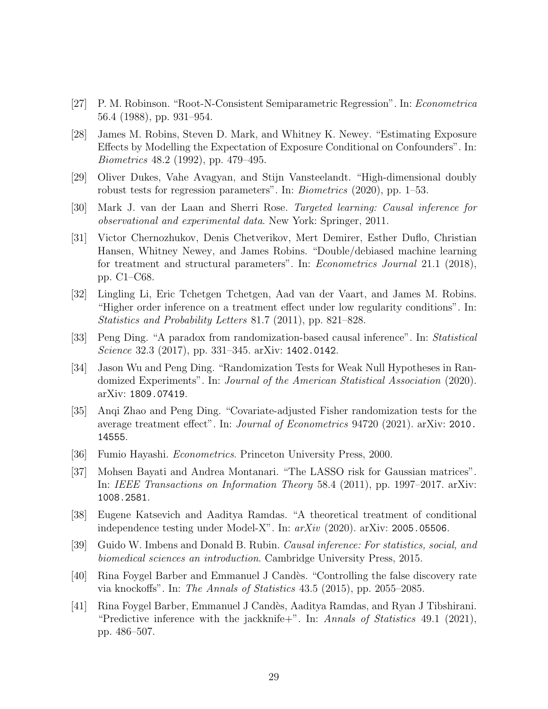- <span id="page-28-0"></span>[27] P. M. Robinson. "Root-N-Consistent Semiparametric Regression". In: Econometrica 56.4 (1988), pp. 931–954.
- <span id="page-28-1"></span>[28] James M. Robins, Steven D. Mark, and Whitney K. Newey. "Estimating Exposure Effects by Modelling the Expectation of Exposure Conditional on Confounders". In: Biometrics 48.2 (1992), pp. 479–495.
- <span id="page-28-2"></span>[29] Oliver Dukes, Vahe Avagyan, and Stijn Vansteelandt. "High-dimensional doubly robust tests for regression parameters". In: Biometrics (2020), pp. 1–53.
- <span id="page-28-3"></span>[30] Mark J. van der Laan and Sherri Rose. Targeted learning: Causal inference for observational and experimental data. New York: Springer, 2011.
- <span id="page-28-4"></span>[31] Victor Chernozhukov, Denis Chetverikov, Mert Demirer, Esther Duflo, Christian Hansen, Whitney Newey, and James Robins. "Double/debiased machine learning for treatment and structural parameters". In: Econometrics Journal 21.1 (2018), pp. C1–C68.
- <span id="page-28-5"></span>[32] Lingling Li, Eric Tchetgen Tchetgen, Aad van der Vaart, and James M. Robins. "Higher order inference on a treatment effect under low regularity conditions". In: Statistics and Probability Letters 81.7 (2011), pp. 821–828.
- <span id="page-28-6"></span>[33] Peng Ding. "A paradox from randomization-based causal inference". In: Statistical Science 32.3 (2017), pp. 331–345. arXiv: [1402.0142](https://arxiv.org/abs/1402.0142).
- <span id="page-28-7"></span>[34] Jason Wu and Peng Ding. "Randomization Tests for Weak Null Hypotheses in Randomized Experiments". In: Journal of the American Statistical Association (2020). arXiv: [1809.07419](https://arxiv.org/abs/1809.07419).
- <span id="page-28-8"></span>[35] Anqi Zhao and Peng Ding. "Covariate-adjusted Fisher randomization tests for the average treatment effect". In: Journal of Econometrics 94720 (2021). arXiv: [2010.](https://arxiv.org/abs/2010.14555) [14555](https://arxiv.org/abs/2010.14555).
- <span id="page-28-9"></span>[36] Fumio Hayashi. Econometrics. Princeton University Press, 2000.
- <span id="page-28-10"></span>[37] Mohsen Bayati and Andrea Montanari. "The LASSO risk for Gaussian matrices". In: IEEE Transactions on Information Theory 58.4 (2011), pp. 1997–2017. arXiv: [1008.2581](https://arxiv.org/abs/1008.2581).
- <span id="page-28-11"></span>[38] Eugene Katsevich and Aaditya Ramdas. "A theoretical treatment of conditional independence testing under Model-X". In:  $arXiv$  (2020).  $arXiv$ : [2005.05506](https://arxiv.org/abs/2005.05506).
- <span id="page-28-12"></span>[39] Guido W. Imbens and Donald B. Rubin. Causal inference: For statistics, social, and biomedical sciences an introduction. Cambridge University Press, 2015.
- <span id="page-28-13"></span>[40] Rina Foygel Barber and Emmanuel J Candès. "Controlling the false discovery rate via knockoffs". In: The Annals of Statistics 43.5 (2015), pp. 2055–2085.
- <span id="page-28-14"></span>[41] Rina Foygel Barber, Emmanuel J Cand`es, Aaditya Ramdas, and Ryan J Tibshirani. "Predictive inference with the jackknife+". In: Annals of Statistics 49.1 (2021), pp. 486–507.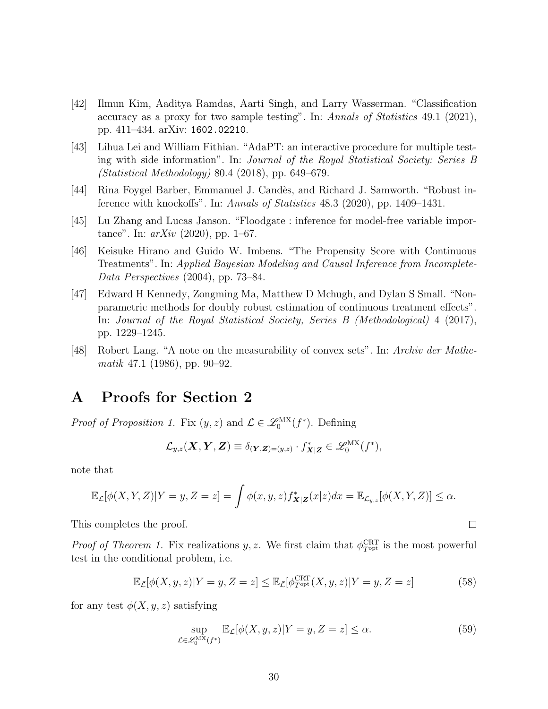- <span id="page-29-1"></span>[42] Ilmun Kim, Aaditya Ramdas, Aarti Singh, and Larry Wasserman. "Classification accuracy as a proxy for two sample testing". In: Annals of Statistics 49.1 (2021), pp. 411–434. arXiv: [1602.02210](https://arxiv.org/abs/1602.02210).
- <span id="page-29-2"></span>[43] Lihua Lei and William Fithian. "AdaPT: an interactive procedure for multiple testing with side information". In: Journal of the Royal Statistical Society: Series B (Statistical Methodology) 80.4 (2018), pp. 649–679.
- <span id="page-29-3"></span>[44] Rina Foygel Barber, Emmanuel J. Cand`es, and Richard J. Samworth. "Robust inference with knockoffs". In: Annals of Statistics 48.3 (2020), pp. 1409–1431.
- <span id="page-29-4"></span>[45] Lu Zhang and Lucas Janson. "Floodgate : inference for model-free variable importance". In:  $arXiv$  (2020), pp. 1–67.
- <span id="page-29-5"></span>[46] Keisuke Hirano and Guido W. Imbens. "The Propensity Score with Continuous Treatments". In: Applied Bayesian Modeling and Causal Inference from Incomplete-Data Perspectives (2004), pp. 73–84.
- <span id="page-29-6"></span>[47] Edward H Kennedy, Zongming Ma, Matthew D Mchugh, and Dylan S Small. "Nonparametric methods for doubly robust estimation of continuous treatment effects". In: Journal of the Royal Statistical Society, Series B (Methodological) 4 (2017), pp. 1229–1245.
- <span id="page-29-9"></span>[48] Robert Lang. "A note on the measurability of convex sets". In: Archiv der Mathematik 47.1 (1986), pp. 90–92.

### <span id="page-29-0"></span>A Proofs for Section [2](#page-5-0)

*Proof of Proposition [1.](#page-5-4)* Fix  $(y, z)$  and  $\mathcal{L} \in \mathcal{L}_0^{MX}(f^*)$ . Defining

$$
\mathcal{L}_{y,z}(\boldsymbol{X},\boldsymbol{Y},\boldsymbol{Z})\equiv \delta_{(\boldsymbol{Y},\boldsymbol{Z})=(y,z)}\cdot f^*_{\boldsymbol{X}|\boldsymbol{Z}}\in\mathscr{L}^{\text{MX}}_0(f^*),
$$

note that

$$
\mathbb{E}_{\mathcal{L}}[\phi(X,Y,Z)|Y=y,Z=z] = \int \phi(x,y,z)f_{\mathbf{X}|\mathbf{Z}}^*(x|z)dx = \mathbb{E}_{\mathcal{L}_{y,z}}[\phi(X,Y,Z)] \leq \alpha.
$$

This completes the proof.

*Proof of Theorem [1.](#page-6-2)* Fix realizations y, z. We first claim that  $\phi_{T^{opt}}^{CRT}$  is the most powerful test in the conditional problem, i.e.

<span id="page-29-7"></span>
$$
\mathbb{E}_{\bar{\mathcal{L}}}[\phi(X, y, z)|Y = y, Z = z] \le \mathbb{E}_{\bar{\mathcal{L}}}[\phi_{T^{\text{opt}}}^{\text{CRT}}(X, y, z)|Y = y, Z = z]
$$
(58)

for any test  $\phi(X, y, z)$  satisfying

<span id="page-29-8"></span>
$$
\sup_{\mathcal{L}\in\mathscr{L}^{\text{MX}}_0(f^*)} \mathbb{E}_{\mathcal{L}}[\phi(X, y, z)|Y = y, Z = z] \le \alpha.
$$
 (59)

 $\Box$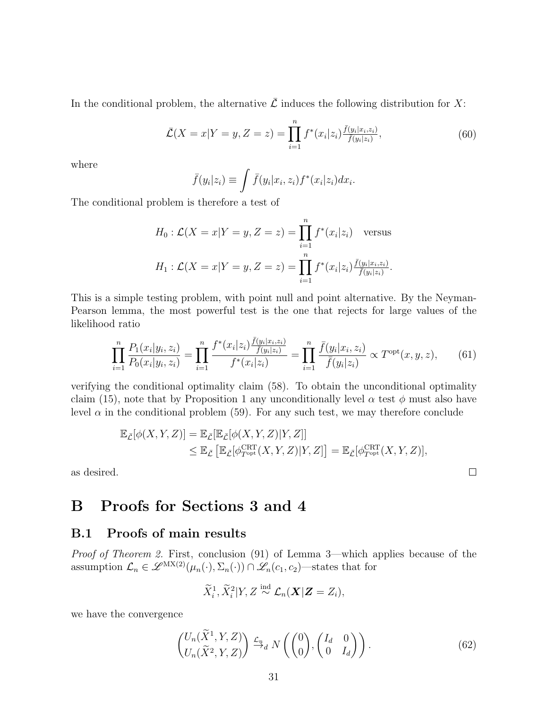In the conditional problem, the alternative  $\overline{\mathcal{L}}$  induces the following distribution for X:

$$
\bar{\mathcal{L}}(X=x|Y=y,Z=z) = \prod_{i=1}^{n} f^*(x_i|z_i) \frac{\bar{f}(y_i|x_i,z_i)}{\bar{f}(y_i|z_i)},
$$
\n(60)

where

$$
\bar{f}(y_i|z_i) \equiv \int \bar{f}(y_i|x_i, z_i) f^*(x_i|z_i) dx_i.
$$

The conditional problem is therefore a test of

$$
H_0: \mathcal{L}(X = x | Y = y, Z = z) = \prod_{i=1}^n f^*(x_i | z_i) \quad \text{versus}
$$

$$
H_1: \mathcal{L}(X = x | Y = y, Z = z) = \prod_{i=1}^n f^*(x_i | z_i) \frac{\bar{f}(y_i | x_i, z_i)}{\bar{f}(y_i | z_i)}.
$$

This is a simple testing problem, with point null and point alternative. By the Neyman-Pearson lemma, the most powerful test is the one that rejects for large values of the likelihood ratio

<span id="page-30-0"></span>
$$
\prod_{i=1}^{n} \frac{P_1(x_i|y_i, z_i)}{P_0(x_i|y_i, z_i)} = \prod_{i=1}^{n} \frac{f^*(x_i|z_i) \frac{\bar{f}(y_i|x_i, z_i)}{\bar{f}(y_i|z_i)}}{f^*(x_i|z_i)} = \prod_{i=1}^{n} \frac{\bar{f}(y_i|x_i, z_i)}{\bar{f}(y_i|z_i)} \propto T^{\text{opt}}(x, y, z), \quad (61)
$$

verifying the conditional optimality claim [\(58\)](#page-29-7). To obtain the unconditional optimality claim [\(15\)](#page-6-3), note that by Proposition [1](#page-5-4) any unconditionally level  $\alpha$  test  $\phi$  must also have level  $\alpha$  in the conditional problem [\(59\)](#page-29-8). For any such test, we may therefore conclude

$$
\mathbb{E}_{\bar{\mathcal{L}}}[\phi(X, Y, Z)] = \mathbb{E}_{\bar{\mathcal{L}}}[\mathbb{E}_{\bar{\mathcal{L}}}[\phi(X, Y, Z)|Y, Z]]
$$
  
\n
$$
\leq \mathbb{E}_{\bar{\mathcal{L}}}[\mathbb{E}_{\bar{\mathcal{L}}}[\phi_{T^{\text{opt}}}^{\text{CRT}}(X, Y, Z)|Y, Z]] = \mathbb{E}_{\bar{\mathcal{L}}}[\phi_{T^{\text{opt}}}^{\text{CRT}}(X, Y, Z)],
$$

as desired.

# <span id="page-30-1"></span>B Proofs for Sections [3](#page-8-0) and [4](#page-18-0)

### B.1 Proofs of main results

Proof of Theorem [2.](#page-11-0) First, conclusion [\(91\)](#page-37-0) of Lemma [3—](#page-37-1)which applies because of the assumption  $\mathcal{L}_n \in \mathscr{L}^{\mathrm{MX}(2)}(\mu_n(\cdot), \Sigma_n(\cdot)) \cap \mathscr{L}_n(c_1, c_2)$ —states that for

$$
\widetilde{X}_i^1, \widetilde{X}_i^2 | Y, Z \stackrel{\text{ind}}{\sim} \mathcal{L}_n(\mathbf{X} | \mathbf{Z} = Z_i),
$$

we have the convergence

$$
\begin{pmatrix} U_n(\widetilde{X}^1, Y, Z) \\ U_n(\widetilde{X}^2, Y, Z) \end{pmatrix} \xrightarrow{\mathcal{L}_n} N \left( \begin{pmatrix} 0 \\ 0 \end{pmatrix}, \begin{pmatrix} I_d & 0 \\ 0 & I_d \end{pmatrix} \right).
$$
 (62)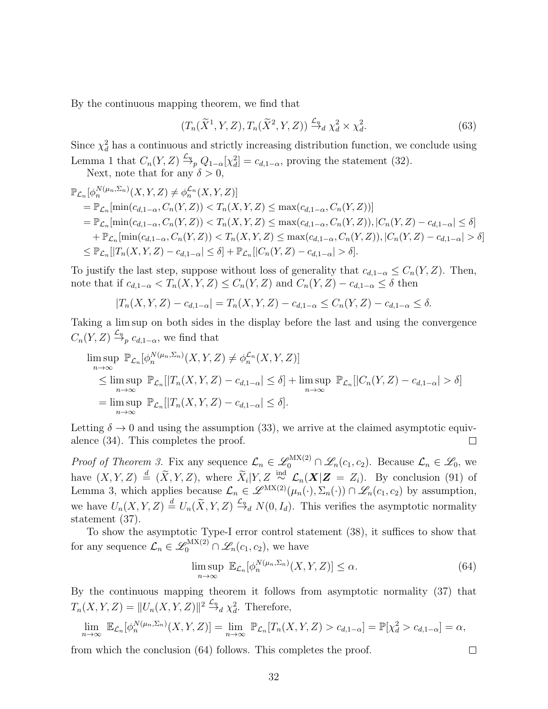By the continuous mapping theorem, we find that

$$
(T_n(\widetilde{X}^1, Y, Z), T_n(\widetilde{X}^2, Y, Z)) \xrightarrow{\mathcal{L}_n} \chi_d^2 \times \chi_d^2. \tag{63}
$$

Since  $\chi_d^2$  has a continuous and strictly increasing distribution function, we conclude using Lemma [1](#page-35-0) that  $C_n(Y, Z) \xrightarrow{\mathcal{L}_n} Q_{1-\alpha}[\chi_d^2] = c_{d,1-\alpha}$ , proving the statement [\(32\)](#page-11-3).

Next, note that for any  $\delta > 0$ ,

$$
\mathbb{P}_{\mathcal{L}_n}[\phi_n^{N(\mu_n, \Sigma_n)}(X, Y, Z) \neq \phi_n^{\mathcal{L}_n}(X, Y, Z)]
$$
\n
$$
= \mathbb{P}_{\mathcal{L}_n}[\min(c_{d, 1-\alpha}, C_n(Y, Z)) < T_n(X, Y, Z) \leq \max(c_{d, 1-\alpha}, C_n(Y, Z))]
$$
\n
$$
= \mathbb{P}_{\mathcal{L}_n}[\min(c_{d, 1-\alpha}, C_n(Y, Z)) < T_n(X, Y, Z) \leq \max(c_{d, 1-\alpha}, C_n(Y, Z)), |C_n(Y, Z) - c_{d, 1-\alpha}| \leq \delta]
$$
\n
$$
+ \mathbb{P}_{\mathcal{L}_n}[\min(c_{d, 1-\alpha}, C_n(Y, Z)) < T_n(X, Y, Z) \leq \max(c_{d, 1-\alpha}, C_n(Y, Z)), |C_n(Y, Z) - c_{d, 1-\alpha}| > \delta]
$$
\n
$$
\leq \mathbb{P}_{\mathcal{L}_n}[|T_n(X, Y, Z) - c_{d, 1-\alpha}| \leq \delta] + \mathbb{P}_{\mathcal{L}_n}[|C_n(Y, Z) - c_{d, 1-\alpha}| > \delta].
$$

To justify the last step, suppose without loss of generality that  $c_{d,1-\alpha} \leq C_n(Y, Z)$ . Then, note that if  $c_{d,1-\alpha} < T_n(X,Y,Z) \leq C_n(Y,Z)$  and  $C_n(Y,Z) - c_{d,1-\alpha} \leq \delta$  then

$$
|T_n(X, Y, Z) - c_{d, 1-\alpha}| = T_n(X, Y, Z) - c_{d, 1-\alpha} \le C_n(Y, Z) - c_{d, 1-\alpha} \le \delta.
$$

Taking a lim sup on both sides in the display before the last and using the convergence  $C_n(Y,Z) \stackrel{\mathcal{L}_n}{\rightarrow} c_{d,1-\alpha}$ , we find that

$$
\limsup_{n \to \infty} \mathbb{P}_{\mathcal{L}_n}[\phi_n^{N(\mu_n, \Sigma_n)}(X, Y, Z) \neq \phi_n^{\mathcal{L}_n}(X, Y, Z)]
$$
\n
$$
\leq \limsup_{n \to \infty} \mathbb{P}_{\mathcal{L}_n}[|T_n(X, Y, Z) - c_{d, 1-\alpha}| \leq \delta] + \limsup_{n \to \infty} \mathbb{P}_{\mathcal{L}_n}[|C_n(Y, Z) - c_{d, 1-\alpha}| > \delta]
$$
\n
$$
= \limsup_{n \to \infty} \mathbb{P}_{\mathcal{L}_n}[|T_n(X, Y, Z) - c_{d, 1-\alpha}| \leq \delta].
$$

Letting  $\delta \to 0$  and using the assumption [\(33\)](#page-11-4), we arrive at the claimed asymptotic equivalence [\(34\)](#page-11-2). This completes the proof.  $\Box$ 

*Proof of Theorem [3.](#page-13-1)* Fix any sequence  $\mathcal{L}_n \in \mathscr{L}_0^{\text{MX}(2)} \cap \mathscr{L}_n(c_1, c_2)$ . Because  $\mathcal{L}_n \in \mathscr{L}_0$ , we have  $(X, Y, Z) \triangleq (\widetilde{X}, Y, Z)$ , where  $\widetilde{X}_i | Y, Z \stackrel{\text{ind}}{\sim} \mathcal{L}_n(\mathbf{X} | \mathbf{Z} = Z_i)$ . By conclusion [\(91\)](#page-37-0) of Lemma [3,](#page-37-1) which applies because  $\mathcal{L}_n \in \mathscr{L}^{MX(2)}(\mu_n(\cdot), \Sigma_n(\cdot)) \cap \mathscr{L}_n(c_1, c_2)$  by assumption, we have  $U_n(X, Y, Z) \stackrel{d}{=} U_n(\widetilde{X}, Y, Z) \stackrel{\mathcal{L}_n}{\rightarrow} N(0, I_d)$ . This verifies the asymptotic normality statement [\(37\)](#page-13-2).

To show the asymptotic Type-I error control statement [\(38\)](#page-13-3), it suffices to show that for any sequence  $\mathcal{L}_n \in \mathscr{L}_0^{\text{MX}(2)} \cap \mathscr{L}_n(c_1, c_2)$ , we have

<span id="page-31-0"></span>
$$
\limsup_{n \to \infty} \ \mathbb{E}_{\mathcal{L}_n}[\phi_n^{N(\mu_n, \Sigma_n)}(X, Y, Z)] \le \alpha. \tag{64}
$$

 $\Box$ 

By the continuous mapping theorem it follows from asymptotic normality [\(37\)](#page-13-2) that  $T_n(X, Y, Z) = ||U_n(X, Y, Z)||^2 \stackrel{\mathcal{L}_n}{\rightarrow} \chi_d^2$ . Therefore,

$$
\lim_{n \to \infty} \mathbb{E}_{\mathcal{L}_n}[\phi_n^{N(\mu_n, \Sigma_n)}(X, Y, Z)] = \lim_{n \to \infty} \mathbb{P}_{\mathcal{L}_n}[T_n(X, Y, Z) > c_{d, 1 - \alpha}] = \mathbb{P}[\chi_d^2 > c_{d, 1 - \alpha}] = \alpha,
$$

from which the conclusion [\(64\)](#page-31-0) follows. This completes the proof.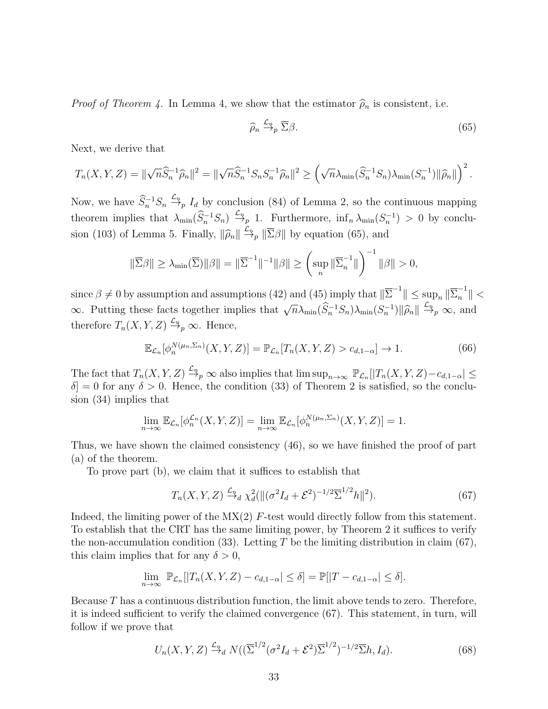*Proof of Theorem [4.](#page-19-1)* In Lemma [4,](#page-38-0) we show that the estimator  $\hat{\rho}_n$  is consistent, i.e.

<span id="page-32-0"></span>
$$
\widehat{\rho}_n \xrightarrow{\mathcal{L}_n} \overline{\Sigma}\beta. \tag{65}
$$

Next, we derive that

$$
T_n(X,Y,Z)=\|\sqrt{n}\widehat{S}_n^{-1}\widehat{\rho}_n\|^2=\|\sqrt{n}\widehat{S}_n^{-1}S_nS_n^{-1}\widehat{\rho}_n\|^2\geq \left(\sqrt{n}\lambda_{\min}(\widehat{S}_n^{-1}S_n)\lambda_{\min}(S_n^{-1})\|\widehat{\rho}_n\|\right)^2.
$$

Now, we have  $\hat{S}_n^{-1} S_n \stackrel{\mathcal{L}_n}{\rightarrow} I_d$  by conclusion [\(84\)](#page-36-0) of Lemma [2,](#page-36-1) so the continuous mapping theorem implies that  $\lambda_{\min}(\widehat{S}_n^{-1}S_n) \stackrel{\mathcal{L}_n}{\rightarrow} 1$ . Furthermore,  $\inf_n \lambda_{\min}(S_n^{-1}) > 0$  by conclu-sion [\(103\)](#page-39-0) of Lemma [5.](#page-39-1) Finally,  $\|\widehat{\rho}_n\| \xrightarrow{L_n} \|\overline{\Sigma}\beta\|$  by equation [\(65\)](#page-32-0), and

$$
\|\overline{\Sigma}\beta\| \geq \lambda_{\min}(\overline{\Sigma})\|\beta\| = \|\overline{\Sigma}^{-1}\|^{-1}\|\beta\| \geq \left(\sup_{n} \|\overline{\Sigma}_{n}^{-1}\|\right)^{-1}\|\beta\| > 0,
$$

 $\text{since } \beta \neq 0 \text{ by assumption and assumptions (42) and (45) imply that } \|\overline{\Sigma}^{-1}\| \leq \sup_n \|\overline{\Sigma}_n^{-1}\| < \infty$  $\text{since } \beta \neq 0 \text{ by assumption and assumptions (42) and (45) imply that } \|\overline{\Sigma}^{-1}\| \leq \sup_n \|\overline{\Sigma}_n^{-1}\| < \infty$  $\text{since } \beta \neq 0 \text{ by assumption and assumptions (42) and (45) imply that } \|\overline{\Sigma}^{-1}\| \leq \sup_n \|\overline{\Sigma}_n^{-1}\| < \infty$  $\text{since } \beta \neq 0 \text{ by assumption and assumptions (42) and (45) imply that } \|\overline{\Sigma}^{-1}\| \leq \sup_n \|\overline{\Sigma}_n^{-1}\| < \infty$  $\text{since } \beta \neq 0 \text{ by assumption and assumptions (42) and (45) imply that } \|\overline{\Sigma}^{-1}\| \leq \sup_n \|\overline{\Sigma}_n^{-1}\| < \infty$  $\infty$ . Putting these facts together implies that  $\sqrt{n}\lambda_{\min}(\hat{S}_n^{-1}S_n)\lambda_{\min}(S_n^{-1})\|\hat{\rho}_n\| \stackrel{\mathcal{L}_n}{\rightarrow}_p \infty$ , and therefore  $T_n(X, Y, Z) \stackrel{\mathcal{L}_n}{\rightarrow} \infty$ . Hence,

$$
\mathbb{E}_{\mathcal{L}_n}[\phi_n^{N(\mu_n,\Sigma_n)}(X,Y,Z)] = \mathbb{P}_{\mathcal{L}_n}[T_n(X,Y,Z) > c_{d,1-\alpha}] \to 1.
$$
 (66)

The fact that  $T_n(X, Y, Z) \stackrel{\mathcal{L}_n}{\rightarrow} \infty$  also implies that  $\limsup_{n\to\infty} \mathbb{P}_{\mathcal{L}_n}[|T_n(X, Y, Z) - c_{d,1-\alpha}| \leq$  $\delta$  = 0 for any  $\delta > 0$ . Hence, the condition [\(33\)](#page-11-4) of Theorem [2](#page-11-0) is satisfied, so the conclusion [\(34\)](#page-11-2) implies that

$$
\lim_{n \to \infty} \mathbb{E}_{\mathcal{L}_n}[\phi_n^{\mathcal{L}_n}(X, Y, Z)] = \lim_{n \to \infty} \mathbb{E}_{\mathcal{L}_n}[\phi_n^{N(\mu_n, \Sigma_n)}(X, Y, Z)] = 1.
$$

Thus, we have shown the claimed consistency [\(46\)](#page-19-7), so we have finished the proof of part (a) of the theorem.

To prove part (b), we claim that it suffices to establish that

<span id="page-32-1"></span>
$$
T_n(X, Y, Z) \xrightarrow{\mathcal{L}_n} \chi_d^2(||(\sigma^2 I_d + \mathcal{E}^2)^{-1/2} \overline{\Sigma}^{1/2} h||^2).
$$
 (67)

Indeed, the limiting power of the  $\text{MX}(2)$  F-test would directly follow from this statement. To establish that the CRT has the same limiting power, by Theorem [2](#page-11-0) it suffices to verify the non-accumulation condition [\(33\)](#page-11-4). Letting T be the limiting distribution in claim [\(67\)](#page-32-1), this claim implies that for any  $\delta > 0$ ,

$$
\lim_{n \to \infty} \mathbb{P}_{\mathcal{L}_n}[|T_n(X, Y, Z) - c_{d, 1-\alpha}| \le \delta] = \mathbb{P}[|T - c_{d, 1-\alpha}| \le \delta].
$$

Because  $T$  has a continuous distribution function, the limit above tends to zero. Therefore, it is indeed sufficient to verify the claimed convergence [\(67\)](#page-32-1). This statement, in turn, will follow if we prove that

<span id="page-32-2"></span>
$$
U_n(X,Y,Z) \xrightarrow{\mathcal{L}_n} N((\overline{\Sigma}^{1/2}(\sigma^2 I_d + \mathcal{E}^2)\overline{\Sigma}^{1/2})^{-1/2} \overline{\Sigma}h, I_d).
$$
 (68)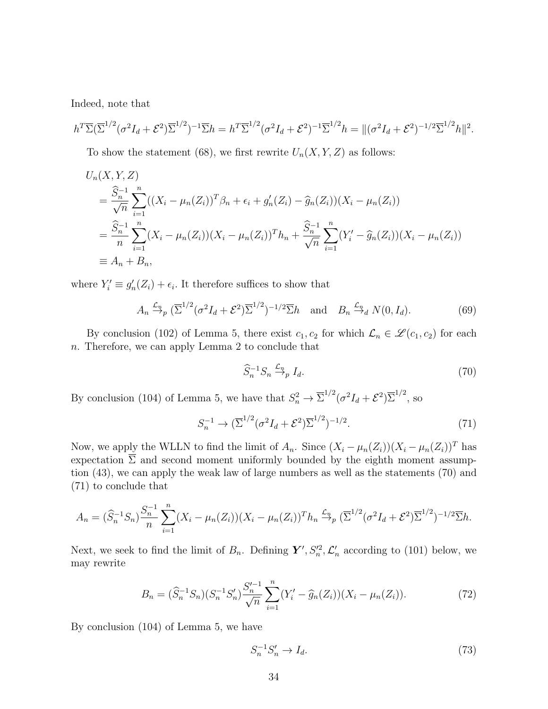Indeed, note that

$$
h^T \overline{\Sigma} (\overline{\Sigma}^{1/2} (\sigma^2 I_d + \mathcal{E}^2) \overline{\Sigma}^{1/2})^{-1} \overline{\Sigma} h = h^T \overline{\Sigma}^{1/2} (\sigma^2 I_d + \mathcal{E}^2)^{-1} \overline{\Sigma}^{1/2} h = ||(\sigma^2 I_d + \mathcal{E}^2)^{-1/2} \overline{\Sigma}^{1/2} h||^2.
$$

To show the statement [\(68\)](#page-32-2), we first rewrite  $U_n(X, Y, Z)$  as follows:

$$
U_n(X, Y, Z)
$$
  
=  $\frac{\widehat{S}_n^{-1}}{\sqrt{n}} \sum_{i=1}^n ((X_i - \mu_n(Z_i))^T \beta_n + \epsilon_i + g'_n(Z_i) - \widehat{g}_n(Z_i))(X_i - \mu_n(Z_i))$   
=  $\frac{\widehat{S}_n^{-1}}{n} \sum_{i=1}^n (X_i - \mu_n(Z_i))(X_i - \mu_n(Z_i))^T h_n + \frac{\widehat{S}_n^{-1}}{\sqrt{n}} \sum_{i=1}^n (Y_i' - \widehat{g}_n(Z_i))(X_i - \mu_n(Z_i))$   
\equiv  $A_n + B_n$ ,

where  $Y_i' \equiv g'_n(Z_i) + \epsilon_i$ . It therefore suffices to show that

<span id="page-33-3"></span>
$$
A_n \xrightarrow{\mathcal{L}_n} (\overline{\Sigma}^{1/2} (\sigma^2 I_d + \mathcal{E}^2) \overline{\Sigma}^{1/2})^{-1/2} \overline{\Sigma} h \quad \text{and} \quad B_n \xrightarrow{\mathcal{L}_n} N(0, I_d). \tag{69}
$$

By conclusion [\(102\)](#page-39-2) of Lemma [5,](#page-39-1) there exist  $c_1, c_2$  for which  $\mathcal{L}_n \in \mathcal{L}(c_1, c_2)$  for each n. Therefore, we can apply Lemma [2](#page-36-1) to conclude that

<span id="page-33-0"></span>
$$
\widehat{S}_n^{-1} S_n \xrightarrow{\mathcal{L}_n} I_d. \tag{70}
$$

By conclusion [\(104\)](#page-39-3) of Lemma [5,](#page-39-1) we have that  $S_n^2 \to \overline{\Sigma}^{1/2} (\sigma^2 I_d + \mathcal{E}^2) \overline{\Sigma}^{1/2}$ , so

<span id="page-33-1"></span>
$$
S_n^{-1} \to (\overline{\Sigma}^{1/2} (\sigma^2 I_d + \mathcal{E}^2) \overline{\Sigma}^{1/2})^{-1/2}.
$$
 (71)

Now, we apply the WLLN to find the limit of  $A_n$ . Since  $(X_i - \mu_n(Z_i))(X_i - \mu_n(Z_i))^T$  has expectation  $\overline{\Sigma}$  and second moment uniformly bounded by the eighth moment assumption [\(43\)](#page-19-3), we can apply the weak law of large numbers as well as the statements [\(70\)](#page-33-0) and [\(71\)](#page-33-1) to conclude that

$$
A_n = (\widehat{S}_n^{-1} S_n) \frac{S_n^{-1}}{n} \sum_{i=1}^n (X_i - \mu_n(Z_i))(X_i - \mu_n(Z_i))^T h_n \xrightarrow{\mathcal{L}_n} (\overline{\Sigma}^{1/2} (\sigma^2 I_d + \mathcal{E}^2) \overline{\Sigma}^{1/2})^{-1/2} \overline{\Sigma} h.
$$

Next, we seek to find the limit of  $B_n$ . Defining  $\boldsymbol{Y}', S_n'^2, \mathcal{L}'_n$  according to [\(101\)](#page-39-4) below, we may rewrite

$$
B_n = (\widehat{S}_n^{-1} S_n)(S_n^{-1} S_n') \frac{S_n'^{-1}}{\sqrt{n}} \sum_{i=1}^n (Y_i' - \widehat{g}_n(Z_i))(X_i - \mu_n(Z_i)).
$$
\n(72)

By conclusion [\(104\)](#page-39-3) of Lemma [5,](#page-39-1) we have

<span id="page-33-2"></span> $S_n^{-1} S_n' \to I_d.$  (73)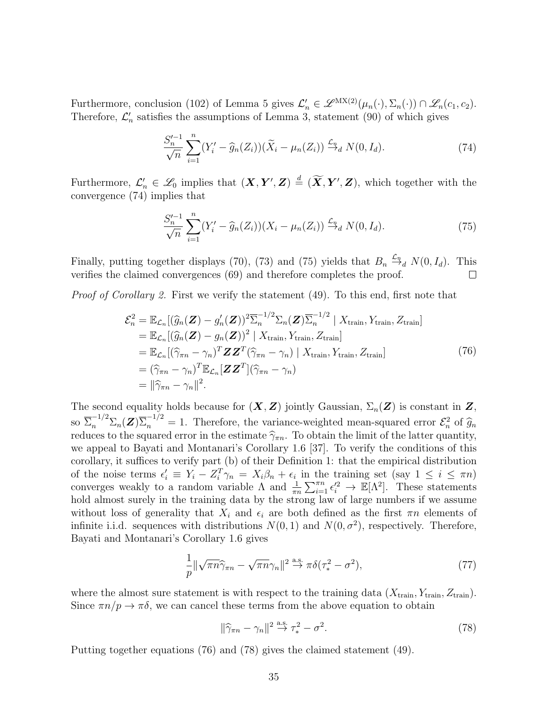Furthermore, conclusion [\(102\)](#page-39-2) of Lemma [5](#page-39-1) gives  $\mathcal{L}'_n \in \mathscr{L}^{MX(2)}(\mu_n(\cdot), \Sigma_n(\cdot)) \cap \mathscr{L}_n(c_1, c_2)$ . Therefore,  $\mathcal{L}'_n$  satisfies the assumptions of Lemma [3,](#page-37-1) statement [\(90\)](#page-37-2) of which gives

$$
\frac{S_n'}{\sqrt{n}} \sum_{i=1}^n (Y_i' - \widehat{g}_n(Z_i)) (\widetilde{X}_i - \mu_n(Z_i)) \xrightarrow{\mathcal{L}_n} N(0, I_d). \tag{74}
$$

<span id="page-34-0"></span>Furthermore,  $\mathcal{L}'_n \in \mathcal{L}_0$  implies that  $(\mathbf{X}, \mathbf{Y}', \mathbf{Z}) \stackrel{d}{=} (\widetilde{\mathbf{X}}, \mathbf{Y}', \mathbf{Z})$ , which together with the convergence [\(74\)](#page-34-0) implies that

$$
\frac{S_n'^{-1}}{\sqrt{n}} \sum_{i=1}^n (Y_i' - \widehat{g}_n(Z_i))(X_i - \mu_n(Z_i)) \xrightarrow{\mathcal{L}_n} N(0, I_d).
$$
 (75)

<span id="page-34-1"></span>Finally, putting together displays [\(70\)](#page-33-0), [\(73\)](#page-33-2) and [\(75\)](#page-34-1) yields that  $B_n \stackrel{\mathcal{L}_n}{\rightarrow} N(0, I_d)$ . This verifies the claimed convergences [\(69\)](#page-33-3) and therefore completes the proof.  $\Box$ 

<span id="page-34-2"></span>*Proof of Corollary [2.](#page-21-1)* First we verify the statement  $(49)$ . To this end, first note that

$$
\mathcal{E}_n^2 = \mathbb{E}_{\mathcal{L}_n} [(\widehat{g}_n(\mathbf{Z}) - g'_n(\mathbf{Z}))^2 \overline{\Sigma}_n^{-1/2} \Sigma_n(\mathbf{Z}) \overline{\Sigma}_n^{-1/2} | X_{\text{train}}, Y_{\text{train}}, Z_{\text{train}}]
$$
  
\n
$$
= \mathbb{E}_{\mathcal{L}_n} [(\widehat{g}_n(\mathbf{Z}) - g_n(\mathbf{Z}))^2 | X_{\text{train}}, Y_{\text{train}}, Z_{\text{train}}]
$$
  
\n
$$
= \mathbb{E}_{\mathcal{L}_n} [(\widehat{\gamma}_{\pi n} - \gamma_n)^T \mathbf{Z} \mathbf{Z}^T (\widehat{\gamma}_{\pi n} - \gamma_n) | X_{\text{train}}, Y_{\text{train}}, Z_{\text{train}}]
$$
  
\n
$$
= (\widehat{\gamma}_{\pi n} - \gamma_n)^T \mathbb{E}_{\mathcal{L}_n} [\mathbf{Z} \mathbf{Z}^T] (\widehat{\gamma}_{\pi n} - \gamma_n)
$$
  
\n
$$
= ||\widehat{\gamma}_{\pi n} - \gamma_n||^2.
$$
 (76)

The second equality holds because for  $(X, Z)$  jointly Gaussian,  $\Sigma_n(Z)$  is constant in Z, so  $\overline{\Sigma}_n^{-1/2} \Sigma_n(\mathbf{Z}) \overline{\Sigma}_n^{-1/2} = 1$ . Therefore, the variance-weighted mean-squared error  $\mathcal{E}_n^2$  of  $\widehat{g}_n$ <br>reduces to the squared error in the estimate  $\widehat{\mathcal{E}}_n$ . To obtain the limit of the latter quantit reduces to the squared error in the estimate  $\hat{\gamma}_{\pi n}$ . To obtain the limit of the latter quantity, we appeal to Bayati and Montanari's Corollary 1.6 [\[37\]](#page-28-10). To verify the conditions of this corollary, it suffices to verify part (b) of their Definition 1: that the empirical distribution of the noise terms  $\epsilon'_i \equiv Y_i - Z_i^T \gamma_n = X_i \beta_n + \epsilon_i$  in the training set (say  $1 \leq i \leq \pi n$ ) converges weakly to a random variable  $\Lambda$  and  $\frac{1}{\pi n} \sum_{i=1}^{\pi n} \epsilon_i'^2 \to \mathbb{E}[\Lambda^2]$ . These statements hold almost surely in the training data by the strong law of large numbers if we assume without loss of generality that  $X_i$  and  $\epsilon_i$  are both defined as the first  $\pi n$  elements of infinite i.i.d. sequences with distributions  $N(0, 1)$  and  $N(0, \sigma^2)$ , respectively. Therefore, Bayati and Montanari's Corollary 1.6 gives

$$
\frac{1}{p} \|\sqrt{\pi n} \hat{\gamma}_{\pi n} - \sqrt{\pi n} \gamma_n\|^2 \stackrel{\text{a.s.}}{\to} \pi \delta(\tau_*^2 - \sigma^2),\tag{77}
$$

where the almost sure statement is with respect to the training data  $(X_{\text{train}}, Y_{\text{train}}, Z_{\text{train}})$ . Since  $\pi n/p \to \pi \delta$ , we can cancel these terms from the above equation to obtain

<span id="page-34-3"></span>
$$
\|\hat{\gamma}_{\pi n} - \gamma_n\|^2 \stackrel{\text{a.s.}}{\to} \tau_*^2 - \sigma^2. \tag{78}
$$

Putting together equations [\(76\)](#page-34-2) and [\(78\)](#page-34-3) gives the claimed statement [\(49\)](#page-21-3).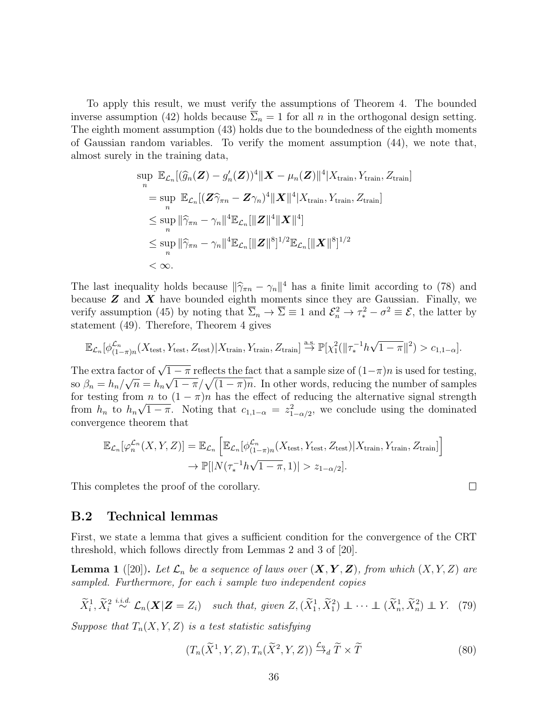To apply this result, we must verify the assumptions of Theorem [4.](#page-19-1) The bounded inverse assumption [\(42\)](#page-19-2) holds because  $\overline{\Sigma}_n = 1$  for all n in the orthogonal design setting. The eighth moment assumption [\(43\)](#page-19-3) holds due to the boundedness of the eighth moments of Gaussian random variables. To verify the moment assumption [\(44\)](#page-19-4), we note that, almost surely in the training data,

$$
\sup_{n} \mathbb{E}_{\mathcal{L}_n} [(\widehat{g}_n(\mathbf{Z}) - g'_n(\mathbf{Z}))^4 || \mathbf{X} - \mu_n(\mathbf{Z}) ||^4 | X_{\text{train}}, Y_{\text{train}}, Z_{\text{train}}]
$$
\n
$$
= \sup_{n} \mathbb{E}_{\mathcal{L}_n} [(\mathbf{Z}\widehat{\gamma}_{\pi n} - \mathbf{Z}\gamma_n)^4 || \mathbf{X} ||^4 | X_{\text{train}}, Y_{\text{train}}, Z_{\text{train}}]
$$
\n
$$
\leq \sup_{n} ||\widehat{\gamma}_{\pi n} - \gamma_n||^4 \mathbb{E}_{\mathcal{L}_n} [||\mathbf{Z}||^4 || \mathbf{X}||^4]
$$
\n
$$
\leq \sup_{n} ||\widehat{\gamma}_{\pi n} - \gamma_n||^4 \mathbb{E}_{\mathcal{L}_n} [||\mathbf{Z}||^8]^{1/2} \mathbb{E}_{\mathcal{L}_n} [||\mathbf{X}||^8]^{1/2}
$$
\n
$$
< \infty.
$$

The last inequality holds because  $\|\hat{\gamma}_{\pi n} - \gamma_n\|^4$  has a finite limit according to [\(78\)](#page-34-3) and because **Z** and **X** have bounded eighth moments since they are Caussian. Finally, we because  $Z$  and  $X$  have bounded eighth moments since they are Gaussian. Finally, we verify assumption [\(45\)](#page-19-6) by noting that  $\overline{\Sigma}_n \to \overline{\Sigma} \equiv 1$  and  $\mathcal{E}_n^2 \to \tau_*^2 - \sigma^2 \equiv \mathcal{E}$ , the latter by statement [\(49\)](#page-21-3). Therefore, Theorem [4](#page-19-1) gives

$$
\mathbb{E}_{\mathcal{L}_n}[\phi_{(1-\pi)n}^{\mathcal{L}_n}(X_{\text{test}}, Y_{\text{test}}, Z_{\text{test}})|X_{\text{train}}, Y_{\text{train}}, Z_{\text{train}}] \stackrel{\text{a.s.}}{\rightarrow} \mathbb{P}[\chi_1^2(||\tau_*^{-1}h\sqrt{1-\pi}||^2) > c_{1,1-\alpha}].
$$

The extra factor of  $\sqrt{1-\pi}$  reflects the fact that a sample size of  $(1-\pi)n$  is used for testing, so  $\beta_n = h_n / \sqrt{n} = h_n \sqrt{1 - \pi} / \sqrt{(1 - \pi)n}$ . In other words, reducing the number of samples for testing from  $n$  to  $(1 - \pi)n$  has the effect of reducing the alternative signal strength from  $h_n$  to  $h_n\sqrt{1-\pi}$ . Noting that  $c_{1,1-\alpha} = z_{1-\alpha/2}^2$ , we conclude using the dominated convergence theorem that

$$
\mathbb{E}_{\mathcal{L}_n}[\varphi_n^{\mathcal{L}_n}(X, Y, Z)] = \mathbb{E}_{\mathcal{L}_n} \left[ \mathbb{E}_{\mathcal{L}_n}[\varphi_{(1-\pi)n}^{\mathcal{L}_n}(X_{\text{test}}, Y_{\text{test}}, Z_{\text{test}}) | X_{\text{train}}, Y_{\text{train}}, Z_{\text{train}}] \right]
$$
  

$$
\to \mathbb{P}[|N(\tau_*^{-1}h\sqrt{1-\pi}, 1)| > z_{1-\alpha/2}].
$$

This completes the proof of the corollary.

#### B.2 Technical lemmas

First, we state a lemma that gives a sufficient condition for the convergence of the CRT threshold, which follows directly from Lemmas 2 and 3 of [\[20\]](#page-27-8).

<span id="page-35-0"></span>**Lemma 1** ([\[20\]](#page-27-8)). Let  $\mathcal{L}_n$  be a sequence of laws over  $(\mathbf{X}, \mathbf{Y}, \mathbf{Z})$ , from which  $(X, Y, Z)$  are sampled. Furthermore, for each i sample two independent copies

<span id="page-35-1"></span>
$$
\widetilde{X}_i^1, \widetilde{X}_i^2 \stackrel{i.i.d.}{\sim} \mathcal{L}_n(\mathbf{X}|\mathbf{Z}=Z_i) \quad such\,\,that,\,\,given\,\,Z, (\widetilde{X}_1^1, \widetilde{X}_1^2) \perp \cdots \perp (\widetilde{X}_n^1, \widetilde{X}_n^2) \perp Y. \tag{79}
$$

Suppose that  $T_n(X, Y, Z)$  is a test statistic satisfying

$$
(T_n(\widetilde{X}^1, Y, Z), T_n(\widetilde{X}^2, Y, Z)) \xrightarrow{\mathcal{L}_n} \widetilde{T} \times \widetilde{T}
$$
\n
$$
(80)
$$

 $\Box$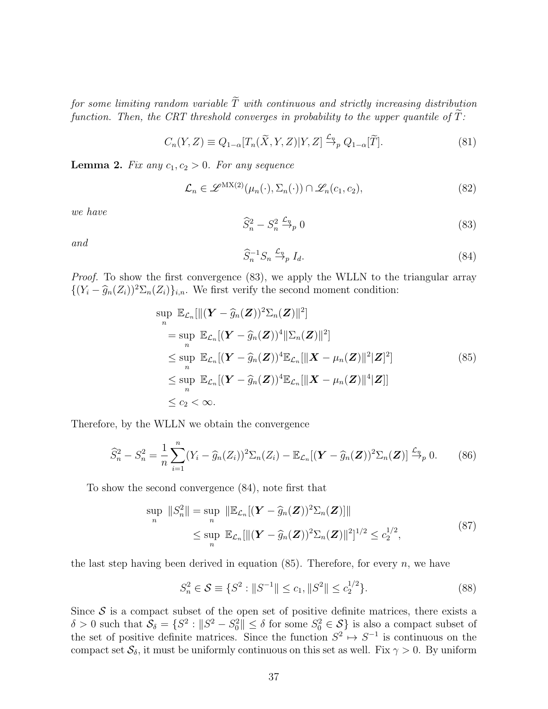for some limiting random variable  $\widetilde{T}$  with continuous and strictly increasing distribution function. Then, the CRT threshold converges in probability to the upper quantile of  $T$ :

$$
C_n(Y, Z) \equiv Q_{1-\alpha}[T_n(\tilde{X}, Y, Z)|Y, Z] \xrightarrow{\mathcal{L}_n} Q_{1-\alpha}[\tilde{T}].
$$
\n(81)

<span id="page-36-1"></span>**Lemma 2.** Fix any  $c_1, c_2 > 0$ . For any sequence

$$
\mathcal{L}_n \in \mathscr{L}^{\mathrm{MX}(2)}(\mu_n(\cdot), \Sigma_n(\cdot)) \cap \mathscr{L}_n(c_1, c_2),
$$
\n(82)

we have

<span id="page-36-2"></span>
$$
\widehat{S}_n^2 - S_n^2 \xrightarrow{L_n} 0 \tag{83}
$$

and

<span id="page-36-0"></span>
$$
\widehat{S}_n^{-1} S_n \xrightarrow{\mathcal{L}_n} I_d. \tag{84}
$$

*Proof.* To show the first convergence [\(83\)](#page-36-2), we apply the WLLN to the triangular array  $\{(Y_i - \hat{g}_n(Z_i))^2 \Sigma_n(Z_i)\}_{i,n}$ . We first verify the second moment condition:

$$
\sup_{n} \mathbb{E}_{\mathcal{L}_n}[\|(\mathbf{Y} - \widehat{g}_n(\mathbf{Z}))^2 \Sigma_n(\mathbf{Z})\|^2]
$$
\n
$$
= \sup_{n} \mathbb{E}_{\mathcal{L}_n}[(\mathbf{Y} - \widehat{g}_n(\mathbf{Z}))^4 \|\Sigma_n(\mathbf{Z})\|^2]
$$
\n
$$
\leq \sup_{n} \mathbb{E}_{\mathcal{L}_n}[(\mathbf{Y} - \widehat{g}_n(\mathbf{Z}))^4 \mathbb{E}_{\mathcal{L}_n}[\|\mathbf{X} - \mu_n(\mathbf{Z})\|^2 \|\mathbf{Z}\|^2]
$$
\n
$$
\leq \sup_{n} \mathbb{E}_{\mathcal{L}_n}[(\mathbf{Y} - \widehat{g}_n(\mathbf{Z}))^4 \mathbb{E}_{\mathcal{L}_n}[\|\mathbf{X} - \mu_n(\mathbf{Z})\|^4 \|\mathbf{Z}]]
$$
\n
$$
\leq c_2 < \infty.
$$
\n(85)

<span id="page-36-3"></span>Therefore, by the WLLN we obtain the convergence

$$
\widehat{S}_n^2 - S_n^2 = \frac{1}{n} \sum_{i=1}^n (Y_i - \widehat{g}_n(Z_i))^2 \Sigma_n(Z_i) - \mathbb{E}_{\mathcal{L}_n} [(\mathbf{Y} - \widehat{g}_n(\mathbf{Z}))^2 \Sigma_n(\mathbf{Z})] \xrightarrow{\mathcal{L}_n} 0. \tag{86}
$$

To show the second convergence [\(84\)](#page-36-0), note first that

$$
\sup_{n} \|\mathcal{S}_{n}^{2}\| = \sup_{n} \|\mathbb{E}_{\mathcal{L}_{n}}[(\boldsymbol{Y} - \widehat{g}_{n}(\boldsymbol{Z}))^{2}\Sigma_{n}(\boldsymbol{Z})]\|
$$
  

$$
\leq \sup_{n} \mathbb{E}_{\mathcal{L}_{n}}[\|(\boldsymbol{Y} - \widehat{g}_{n}(\boldsymbol{Z}))^{2}\Sigma_{n}(\boldsymbol{Z})\|^{2}]^{1/2} \leq c_{2}^{1/2},
$$
\n(87)

the last step having been derived in equation  $(85)$ . Therefore, for every n, we have

$$
S_n^2 \in \mathcal{S} \equiv \{ S^2 : ||S^{-1}|| \le c_1, ||S^2|| \le c_2^{1/2} \}. \tag{88}
$$

Since  $S$  is a compact subset of the open set of positive definite matrices, there exists a  $\delta > 0$  such that  $\mathcal{S}_{\delta} = \{S^2 : ||S^2 - S_0^2|| \leq \delta \text{ for some } S_0^2 \in \mathcal{S}\}\$ is also a compact subset of the set of positive definite matrices. Since the function  $S^2 \mapsto S^{-1}$  is continuous on the compact set  $S_\delta$ , it must be uniformly continuous on this set as well. Fix  $\gamma > 0$ . By uniform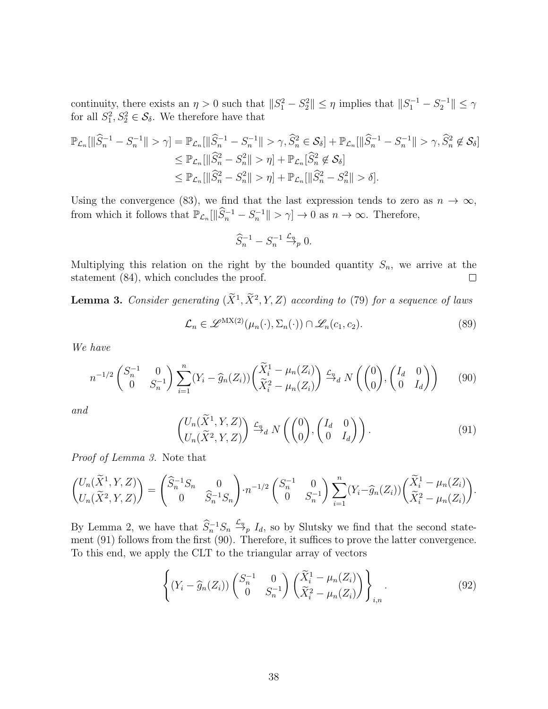continuity, there exists an  $\eta > 0$  such that  $||S_1^2 - S_2^2|| \leq \eta$  implies that  $||S_1^{-1} - S_2^{-1}|| \leq \gamma$ for all  $S_1^2, S_2^2 \in \mathcal{S}_{\delta}$ . We therefore have that

$$
\mathbb{P}_{\mathcal{L}_n}[\|\widehat{S}_n^{-1} - S_n^{-1}\| > \gamma] = \mathbb{P}_{\mathcal{L}_n}[\|\widehat{S}_n^{-1} - S_n^{-1}\| > \gamma, \widehat{S}_n^2 \in \mathcal{S}_{\delta}] + \mathbb{P}_{\mathcal{L}_n}[\|\widehat{S}_n^{-1} - S_n^{-1}\| > \gamma, \widehat{S}_n^2 \notin \mathcal{S}_{\delta}]
$$
  
\n
$$
\leq \mathbb{P}_{\mathcal{L}_n}[\|\widehat{S}_n^2 - S_n^2\| > \eta] + \mathbb{P}_{\mathcal{L}_n}[\widehat{S}_n^2 \notin \mathcal{S}_{\delta}]
$$
  
\n
$$
\leq \mathbb{P}_{\mathcal{L}_n}[\|\widehat{S}_n^2 - S_n^2\| > \eta] + \mathbb{P}_{\mathcal{L}_n}[\|\widehat{S}_n^2 - S_n^2\| > \delta].
$$

Using the convergence [\(83\)](#page-36-2), we find that the last expression tends to zero as  $n \to \infty$ , from which it follows that  $\mathbb{P}_{\mathcal{L}_n}[\|\widehat{S}_n^{-1} - S_n^{-1}\| > \gamma] \to 0$  as  $n \to \infty$ . Therefore,

$$
\widehat{S}_n^{-1} - S_n^{-1} \xrightarrow{\mathcal{L}_n} 0.
$$

Multiplying this relation on the right by the bounded quantity  $S_n$ , we arrive at the statement [\(84\)](#page-36-0), which concludes the proof.  $\Box$ 

<span id="page-37-1"></span>**Lemma 3.** Consider generating  $(X^1, X^2, Y, Z)$  according to [\(79\)](#page-35-1) for a sequence of laws

$$
\mathcal{L}_n \in \mathscr{L}^{\mathrm{MX}(2)}(\mu_n(\cdot), \Sigma_n(\cdot)) \cap \mathscr{L}_n(c_1, c_2). \tag{89}
$$

We have

<span id="page-37-2"></span>
$$
n^{-1/2} \begin{pmatrix} S_n^{-1} & 0 \\ 0 & S_n^{-1} \end{pmatrix} \sum_{i=1}^n (Y_i - \widehat{g}_n(Z_i)) \begin{pmatrix} \widetilde{X}_i^1 - \mu_n(Z_i) \\ \widetilde{X}_i^2 - \mu_n(Z_i) \end{pmatrix} \xrightarrow{\mathcal{L}_n} N \begin{pmatrix} \begin{pmatrix} 0 \\ 0 \end{pmatrix}, \begin{pmatrix} I_d & 0 \\ 0 & I_d \end{pmatrix} \end{pmatrix} \tag{90}
$$

and

<span id="page-37-0"></span>
$$
\begin{pmatrix} U_n(\widetilde{X}^1, Y, Z) \\ U_n(\widetilde{X}^2, Y, Z) \end{pmatrix} \xrightarrow{\mathcal{L}_n} N \left( \begin{pmatrix} 0 \\ 0 \end{pmatrix}, \begin{pmatrix} I_d & 0 \\ 0 & I_d \end{pmatrix} \right).
$$
 (91)

Proof of Lemma [3.](#page-37-1) Note that

$$
\begin{pmatrix} U_n(\tilde{X}^1, Y, Z) \\ U_n(\tilde{X}^2, Y, Z) \end{pmatrix} = \begin{pmatrix} \hat{S}_n^{-1} S_n & 0 \\ 0 & \hat{S}_n^{-1} S_n \end{pmatrix} \cdot n^{-1/2} \begin{pmatrix} S_n^{-1} & 0 \\ 0 & S_n^{-1} \end{pmatrix} \sum_{i=1}^n (Y_i - \hat{g}_n(Z_i)) \begin{pmatrix} \tilde{X}_i^1 - \mu_n(Z_i) \\ \tilde{X}_i^2 - \mu_n(Z_i) \end{pmatrix}.
$$

By Lemma [2,](#page-36-1) we have that  $\hat{S}_n^{-1} S_n \stackrel{\mathcal{L}_n}{\rightarrow} I_d$ , so by Slutsky we find that the second statement [\(91\)](#page-37-0) follows from the first [\(90\)](#page-37-2). Therefore, it suffices to prove the latter convergence. To this end, we apply the CLT to the triangular array of vectors

$$
\left\{ \left(Y_i - \widehat{g}_n(Z_i)\right) \begin{pmatrix} S_n^{-1} & 0\\ 0 & S_n^{-1} \end{pmatrix} \begin{pmatrix} \widetilde{X}_i^1 - \mu_n(Z_i) \\ \widetilde{X}_i^2 - \mu_n(Z_i) \end{pmatrix} \right\}_{i,n} . \tag{92}
$$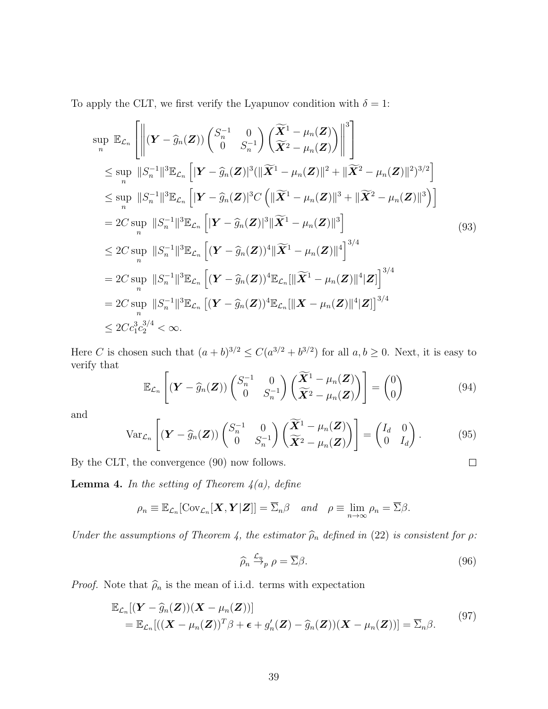To apply the CLT, we first verify the Lyapunov condition with  $\delta = 1$ :

$$
\sup_{n} \mathbb{E}_{\mathcal{L}_{n}} \left[ \left\| (\mathbf{Y} - \widehat{g}_{n}(\mathbf{Z})) \begin{pmatrix} S_{n}^{-1} & 0 \\ 0 & S_{n}^{-1} \end{pmatrix} \left( \frac{\widetilde{\mathbf{X}}^{1} - \mu_{n}(\mathbf{Z})}{\widetilde{\mathbf{X}}^{2} - \mu_{n}(\mathbf{Z})} \right) \right\|^{3} \right]
$$
\n
$$
\leq \sup_{n} \|S_{n}^{-1}\|^{3} \mathbb{E}_{\mathcal{L}_{n}} \left[ |\mathbf{Y} - \widehat{g}_{n}(\mathbf{Z})|^{3} ( \|\widetilde{\mathbf{X}}^{1} - \mu_{n}(\mathbf{Z}) \|^{2} + \|\widetilde{\mathbf{X}}^{2} - \mu_{n}(\mathbf{Z})\|^{2})^{3/2} \right]
$$
\n
$$
\leq \sup_{n} \|S_{n}^{-1}\|^{3} \mathbb{E}_{\mathcal{L}_{n}} \left[ |\mathbf{Y} - \widehat{g}_{n}(\mathbf{Z})|^{3} C \left( \|\widetilde{\mathbf{X}}^{1} - \mu_{n}(\mathbf{Z})\|^{3} + \|\widetilde{\mathbf{X}}^{2} - \mu_{n}(\mathbf{Z})\|^{3} \right) \right]
$$
\n
$$
= 2C \sup_{n} \|S_{n}^{-1}\|^{3} \mathbb{E}_{\mathcal{L}_{n}} \left[ |\mathbf{Y} - \widehat{g}_{n}(\mathbf{Z})|^{3} \|\widetilde{\mathbf{X}}^{1} - \mu_{n}(\mathbf{Z})\|^{3} \right] \qquad (93)
$$
\n
$$
\leq 2C \sup_{n} \|S_{n}^{-1}\|^{3} \mathbb{E}_{\mathcal{L}_{n}} \left[ (\mathbf{Y} - \widehat{g}_{n}(\mathbf{Z}))^{4} \|\widetilde{\mathbf{X}}^{1} - \mu_{n}(\mathbf{Z})\|^{4} \right]^{3/4}
$$
\n
$$
= 2C \sup_{n} \|S_{n}^{-1}\|^{3} \mathbb{E}_{\mathcal{L}_{n}} \left[ (\mathbf{Y} - \widehat{g}_{n}(\mathbf{Z}))^{4} \mathbb{E}_{\mathcal{L}_{n}} \left[ \|\widetilde{\mathbf{X}}^{1}
$$

Here C is chosen such that  $(a+b)^{3/2} \leq C(a^{3/2}+b^{3/2})$  for all  $a,b \geq 0$ . Next, it is easy to verify that

$$
\mathbb{E}_{\mathcal{L}_n}\left[\left(\mathbf{Y}-\widehat{g}_n(\mathbf{Z})\right)\begin{pmatrix}S_n^{-1} & 0\\ 0 & S_n^{-1}\end{pmatrix}\begin{pmatrix}\widetilde{\mathbf{X}}^1-\mu_n(\mathbf{Z})\\ \widetilde{\mathbf{X}}^2-\mu_n(\mathbf{Z})\end{pmatrix}\right]=\begin{pmatrix}0\\ 0\end{pmatrix}
$$
(94)

and

$$
\operatorname{Var}_{\mathcal{L}_n}\left[ (\boldsymbol{Y} - \widehat{g}_n(\boldsymbol{Z})) \begin{pmatrix} S_n^{-1} & 0 \\ 0 & S_n^{-1} \end{pmatrix} \begin{pmatrix} \widetilde{\boldsymbol{X}}^1 - \mu_n(\boldsymbol{Z}) \\ \widetilde{\boldsymbol{X}}^2 - \mu_n(\boldsymbol{Z}) \end{pmatrix} \right] = \begin{pmatrix} I_d & 0 \\ 0 & I_d \end{pmatrix}.
$$
 (95)

By the CLT, the convergence [\(90\)](#page-37-2) now follows.

<span id="page-38-0"></span>**Lemma 4.** In the setting of Theorem  $4(a)$ , define

$$
\rho_n \equiv \mathbb{E}_{\mathcal{L}_n}[\text{Cov}_{\mathcal{L}_n}[\boldsymbol{X}, \boldsymbol{Y}|\boldsymbol{Z}]] = \overline{\Sigma}_n \beta \text{ and } \rho \equiv \lim_{n \to \infty} \rho_n = \overline{\Sigma} \beta.
$$

Under the assumptions of Theorem [4,](#page-19-1) the estimator  $\hat{\rho}_n$  defined in [\(22\)](#page-9-2) is consistent for  $\rho$ :

<span id="page-38-1"></span>
$$
\widehat{\rho}_n \stackrel{\mathcal{L}_n}{\rightarrow}_p \rho = \overline{\Sigma}\beta. \tag{96}
$$

 $\Box$ 

*Proof.* Note that  $\hat{\rho}_n$  is the mean of i.i.d. terms with expectation

$$
\mathbb{E}_{\mathcal{L}_n}[(\mathbf{Y} - \widehat{g}_n(\mathbf{Z}))(\mathbf{X} - \mu_n(\mathbf{Z}))]
$$
  
= 
$$
\mathbb{E}_{\mathcal{L}_n}[(\mathbf{X} - \mu_n(\mathbf{Z}))^T \beta + \boldsymbol{\epsilon} + g'_n(\mathbf{Z}) - \widehat{g}_n(\mathbf{Z}))(\mathbf{X} - \mu_n(\mathbf{Z}))] = \overline{\Sigma}_n \beta.
$$
 (97)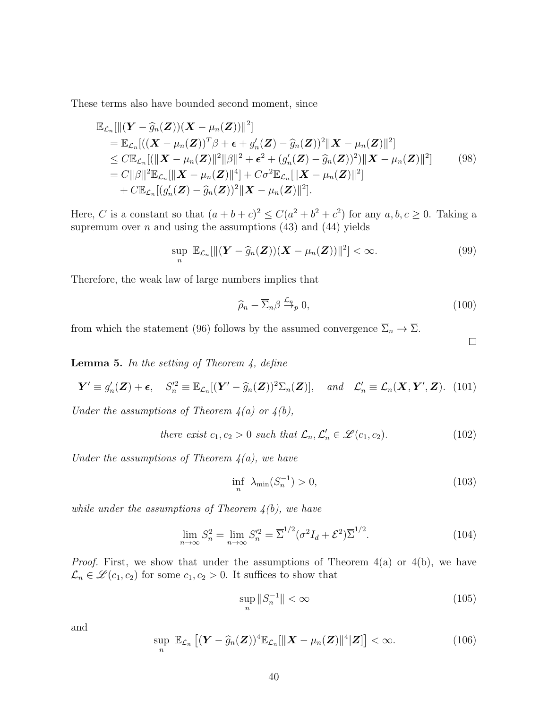These terms also have bounded second moment, since

$$
\mathbb{E}_{\mathcal{L}_n}[\|(\mathbf{Y} - \widehat{g}_n(\mathbf{Z}))( \mathbf{X} - \mu_n(\mathbf{Z}))\|^2] \n= \mathbb{E}_{\mathcal{L}_n}[( (\mathbf{X} - \mu_n(\mathbf{Z}))^T \beta + \boldsymbol{\epsilon} + g'_n(\mathbf{Z}) - \widehat{g}_n(\mathbf{Z}))^2 \| \mathbf{X} - \mu_n(\mathbf{Z})\|^2] \n\leq C \mathbb{E}_{\mathcal{L}_n}[(\| \mathbf{X} - \mu_n(\mathbf{Z})\|^2 \|\beta\|^2 + \boldsymbol{\epsilon}^2 + (g'_n(\mathbf{Z}) - \widehat{g}_n(\mathbf{Z}))^2) \| \mathbf{X} - \mu_n(\mathbf{Z})\|^2] \n= C \|\beta\|^2 \mathbb{E}_{\mathcal{L}_n}[\| \mathbf{X} - \mu_n(\mathbf{Z})\|^4] + C \sigma^2 \mathbb{E}_{\mathcal{L}_n}[\| \mathbf{X} - \mu_n(\mathbf{Z})\|^2] \n+ C \mathbb{E}_{\mathcal{L}_n}[(g'_n(\mathbf{Z}) - \widehat{g}_n(\mathbf{Z}))^2 \| \mathbf{X} - \mu_n(\mathbf{Z})\|^2].
$$
\n(98)

Here, C is a constant so that  $(a+b+c)^2 \leq C(a^2+b^2+c^2)$  for any  $a, b, c \geq 0$ . Taking a supremum over  $n$  and using the assumptions [\(43\)](#page-19-3) and [\(44\)](#page-19-4) yields

$$
\sup_{n} \mathbb{E}_{\mathcal{L}_n}[\|(\boldsymbol{Y} - \widehat{g}_n(\boldsymbol{Z}))( \boldsymbol{X} - \mu_n(\boldsymbol{Z})) \|^2] < \infty.
$$
 (99)

Therefore, the weak law of large numbers implies that

$$
\widehat{\rho}_n - \overline{\Sigma}_n \beta \xrightarrow{\mathcal{L}_n} 0, \tag{100}
$$

from which the statement [\(96\)](#page-38-1) follows by the assumed convergence  $\overline{\Sigma}_n \to \overline{\Sigma}$ .

 $\Box$ 

<span id="page-39-1"></span>**Lemma 5.** In the setting of Theorem  $\lambda$ , define

<span id="page-39-4"></span>
$$
\mathbf{Y}' \equiv g'_n(\mathbf{Z}) + \boldsymbol{\epsilon}, \quad S_n'^2 \equiv \mathbb{E}_{\mathcal{L}_n}[(\mathbf{Y}' - \widehat{g}_n(\mathbf{Z}))^2 \Sigma_n(\mathbf{Z})], \quad \text{and} \quad \mathcal{L}'_n \equiv \mathcal{L}_n(\mathbf{X}, \mathbf{Y}', \mathbf{Z}). \tag{101}
$$

Under the assumptions of Theorem  $4(a)$  or  $4(b)$ ,

<span id="page-39-2"></span>there exist 
$$
c_1, c_2 > 0
$$
 such that  $\mathcal{L}_n, \mathcal{L}'_n \in \mathcal{L}(c_1, c_2)$ . (102)

Under the assumptions of Theorem  $\mathcal{A}(a)$ , we have

<span id="page-39-0"></span>
$$
\inf_{n} \ \lambda_{\min}(S_n^{-1}) > 0,\tag{103}
$$

while under the assumptions of Theorem  $4(b)$ , we have

<span id="page-39-3"></span>
$$
\lim_{n \to \infty} S_n^2 = \lim_{n \to \infty} S_n'^2 = \overline{\Sigma}^{1/2} (\sigma^2 I_d + \mathcal{E}^2) \overline{\Sigma}^{1/2}.
$$
 (104)

*Proof.* First, we show that under the assumptions of Theorem  $4(a)$  or  $4(b)$ , we have  $\mathcal{L}_n \in \mathscr{L}(c_1, c_2)$  for some  $c_1, c_2 > 0$ . It suffices to show that

<span id="page-39-5"></span>
$$
\sup_{n} \|S_n^{-1}\| < \infty \tag{105}
$$

and

<span id="page-39-6"></span>
$$
\sup_{n} \mathbb{E}_{\mathcal{L}_n} \left[ (\boldsymbol{Y} - \widehat{g}_n(\boldsymbol{Z}))^4 \mathbb{E}_{\mathcal{L}_n} [\|\boldsymbol{X} - \mu_n(\boldsymbol{Z})\|^4 | \boldsymbol{Z}] \right] < \infty.
$$
 (106)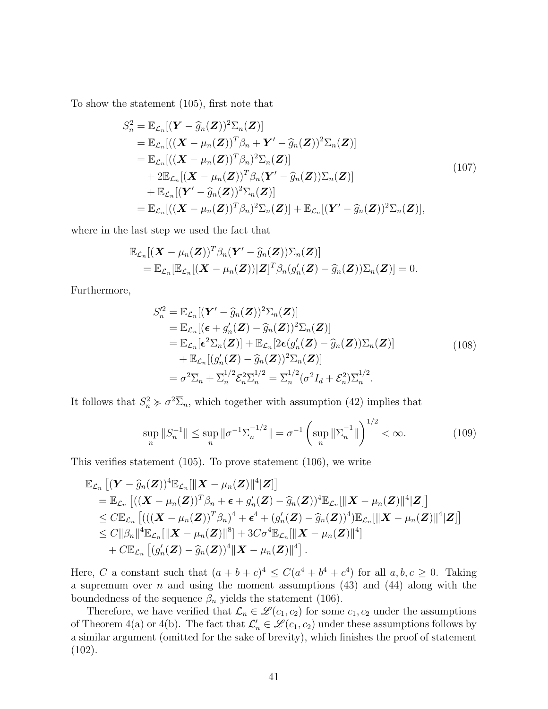<span id="page-40-0"></span>To show the statement [\(105\)](#page-39-5), first note that

$$
S_n^2 = \mathbb{E}_{\mathcal{L}_n}[(\mathbf{Y} - \widehat{g}_n(\mathbf{Z}))^2 \Sigma_n(\mathbf{Z})]
$$
  
\n
$$
= \mathbb{E}_{\mathcal{L}_n}[(\mathbf{X} - \mu_n(\mathbf{Z}))^T \beta_n + \mathbf{Y}' - \widehat{g}_n(\mathbf{Z}))^2 \Sigma_n(\mathbf{Z})]
$$
  
\n
$$
= \mathbb{E}_{\mathcal{L}_n}[(\mathbf{X} - \mu_n(\mathbf{Z}))^T \beta_n)^2 \Sigma_n(\mathbf{Z})]
$$
  
\n
$$
+ 2\mathbb{E}_{\mathcal{L}_n}[(\mathbf{X} - \mu_n(\mathbf{Z}))^T \beta_n(\mathbf{Y}' - \widehat{g}_n(\mathbf{Z})) \Sigma_n(\mathbf{Z})]
$$
  
\n
$$
+ \mathbb{E}_{\mathcal{L}_n}[(\mathbf{Y}' - \widehat{g}_n(\mathbf{Z}))^2 \Sigma_n(\mathbf{Z})]
$$
  
\n
$$
= \mathbb{E}_{\mathcal{L}_n}[(\mathbf{X} - \mu_n(\mathbf{Z}))^T \beta_n)^2 \Sigma_n(\mathbf{Z})] + \mathbb{E}_{\mathcal{L}_n}[(\mathbf{Y}' - \widehat{g}_n(\mathbf{Z}))^2 \Sigma_n(\mathbf{Z})],
$$
  
\n(107)

where in the last step we used the fact that

$$
\mathbb{E}_{\mathcal{L}_n}[(\boldsymbol{X}-\mu_n(\boldsymbol{Z}))^T\beta_n(\boldsymbol{Y}'-\widehat{g}_n(\boldsymbol{Z}))\Sigma_n(\boldsymbol{Z})] \n= \mathbb{E}_{\mathcal{L}_n}[\mathbb{E}_{\mathcal{L}_n}[(\boldsymbol{X}-\mu_n(\boldsymbol{Z}))|\boldsymbol{Z}]^T\beta_n(g'_n(\boldsymbol{Z})-\widehat{g}_n(\boldsymbol{Z}))\Sigma_n(\boldsymbol{Z})] = 0.
$$

<span id="page-40-1"></span>Furthermore,

$$
S_n'^2 = \mathbb{E}_{\mathcal{L}_n}[(\mathbf{Y}' - \widehat{g}_n(\mathbf{Z}))^2 \Sigma_n(\mathbf{Z})]
$$
  
\n
$$
= \mathbb{E}_{\mathcal{L}_n}[(\boldsymbol{\epsilon} + g'_n(\mathbf{Z}) - \widehat{g}_n(\mathbf{Z}))^2 \Sigma_n(\mathbf{Z})]
$$
  
\n
$$
= \mathbb{E}_{\mathcal{L}_n}[\boldsymbol{\epsilon}^2 \Sigma_n(\mathbf{Z})] + \mathbb{E}_{\mathcal{L}_n}[2\boldsymbol{\epsilon}(g'_n(\mathbf{Z}) - \widehat{g}_n(\mathbf{Z})) \Sigma_n(\mathbf{Z})]
$$
  
\n
$$
+ \mathbb{E}_{\mathcal{L}_n}[(g'_n(\mathbf{Z}) - \widehat{g}_n(\mathbf{Z}))^2 \Sigma_n(\mathbf{Z})]
$$
  
\n
$$
= \sigma^2 \overline{\Sigma}_n + \overline{\Sigma}_n^{1/2} \mathcal{E}_n^{2} \overline{\Sigma}_n^{1/2} = \overline{\Sigma}_n^{1/2} (\sigma^2 I_d + \mathcal{E}_n^2) \overline{\Sigma}_n^{1/2}.
$$
\n(108)

It follows that  $S_n^2 \succcurlyeq \sigma^2 \overline{\Sigma}_n$ , which together with assumption [\(42\)](#page-19-2) implies that

$$
\sup_{n} \|S_{n}^{-1}\| \le \sup_{n} \|\sigma^{-1}\overline{\Sigma}_{n}^{-1/2}\| = \sigma^{-1} \left(\sup_{n} \|\overline{\Sigma}_{n}^{-1}\|\right)^{1/2} < \infty.
$$
 (109)

This verifies statement [\(105\)](#page-39-5). To prove statement [\(106\)](#page-39-6), we write

$$
\mathbb{E}_{\mathcal{L}_n}\left[ (\boldsymbol{Y} - \widehat{g}_n(\boldsymbol{Z}))^4 \mathbb{E}_{\mathcal{L}_n}[\|\boldsymbol{X} - \mu_n(\boldsymbol{Z})\|^4 | \boldsymbol{Z}] \right] \n= \mathbb{E}_{\mathcal{L}_n}\left[ ((\boldsymbol{X} - \mu_n(\boldsymbol{Z}))^T \beta_n + \boldsymbol{\epsilon} + g'_n(\boldsymbol{Z}) - \widehat{g}_n(\boldsymbol{Z}))^4 \mathbb{E}_{\mathcal{L}_n}[\|\boldsymbol{X} - \mu_n(\boldsymbol{Z})\|^4 | \boldsymbol{Z}] \right] \n\leq C \mathbb{E}_{\mathcal{L}_n}\left[ (((\boldsymbol{X} - \mu_n(\boldsymbol{Z}))^T \beta_n)^4 + \boldsymbol{\epsilon}^4 + (g'_n(\boldsymbol{Z}) - \widehat{g}_n(\boldsymbol{Z}))^4) \mathbb{E}_{\mathcal{L}_n}[\|\boldsymbol{X} - \mu_n(\boldsymbol{Z})\|^4 | \boldsymbol{Z}] \right] \n\leq C \|\beta_n\|^4 \mathbb{E}_{\mathcal{L}_n}[\|\boldsymbol{X} - \mu_n(\boldsymbol{Z})\|^8] + 3C \sigma^4 \mathbb{E}_{\mathcal{L}_n}[\|\boldsymbol{X} - \mu_n(\boldsymbol{Z})\|^4] \n+ C \mathbb{E}_{\mathcal{L}_n}\left[ (g'_n(\boldsymbol{Z}) - \widehat{g}_n(\boldsymbol{Z}))^4 \|\boldsymbol{X} - \mu_n(\boldsymbol{Z})\|^4 \right].
$$

Here, C a constant such that  $(a + b + c)^4 \leq C(a^4 + b^4 + c^4)$  for all  $a, b, c \geq 0$ . Taking a supremum over  $n$  and using the moment assumptions [\(43\)](#page-19-3) and [\(44\)](#page-19-4) along with the boundedness of the sequence  $\beta_n$  yields the statement [\(106\)](#page-39-6).

Therefore, we have verified that  $\mathcal{L}_n \in \mathcal{L}(c_1, c_2)$  for some  $c_1, c_2$  under the assumptions of Theorem [4\(](#page-19-1)a) or 4(b). The fact that  $\mathcal{L}'_n \in \mathcal{L}(c_1, c_2)$  under these assumptions follows by a similar argument (omitted for the sake of brevity), which finishes the proof of statement  $(102)$ .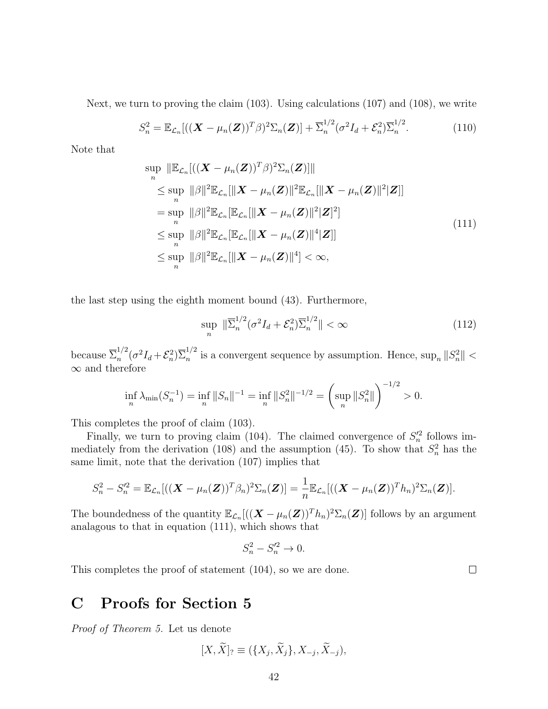Next, we turn to proving the claim [\(103\)](#page-39-0). Using calculations [\(107\)](#page-40-0) and [\(108\)](#page-40-1), we write

$$
S_n^2 = \mathbb{E}_{\mathcal{L}_n} [((\boldsymbol{X} - \mu_n(\boldsymbol{Z}))^T \beta)^2 \Sigma_n(\boldsymbol{Z})] + \overline{\Sigma}_n^{1/2} (\sigma^2 I_d + \mathcal{E}_n^2) \overline{\Sigma}_n^{1/2}.
$$
 (110)

<span id="page-41-1"></span>Note that

$$
\sup_{n} \|\mathbb{E}_{\mathcal{L}_n}[((\mathbf{X} - \mu_n(\mathbf{Z}))^T \beta)^2 \Sigma_n(\mathbf{Z})]\|
$$
\n
$$
\leq \sup_{n} \|\beta\|^2 \mathbb{E}_{\mathcal{L}_n}[\|\mathbf{X} - \mu_n(\mathbf{Z})\|^2 \mathbb{E}_{\mathcal{L}_n}[\|\mathbf{X} - \mu_n(\mathbf{Z})\|^2 \mathbf{Z}]]
$$
\n
$$
= \sup_{n} \|\beta\|^2 \mathbb{E}_{\mathcal{L}_n}[\mathbb{E}_{\mathcal{L}_n}[\|\mathbf{X} - \mu_n(\mathbf{Z})\|^2 \mathbf{Z}]^2]
$$
\n
$$
\leq \sup_{n} \|\beta\|^2 \mathbb{E}_{\mathcal{L}_n}[\mathbb{E}_{\mathcal{L}_n}[\|\mathbf{X} - \mu_n(\mathbf{Z})\|^4 \mathbf{Z}]]
$$
\n
$$
\leq \sup_{n} \|\beta\|^2 \mathbb{E}_{\mathcal{L}_n}[\|\mathbf{X} - \mu_n(\mathbf{Z})\|^4] < \infty,
$$
\n(111)

the last step using the eighth moment bound [\(43\)](#page-19-3). Furthermore,

$$
\sup_{n} \|\overline{\Sigma}_{n}^{1/2}(\sigma^2 I_d + \mathcal{E}_n^2)\overline{\Sigma}_{n}^{1/2}\| < \infty
$$
\n(112)

because  $\overline{\Sigma}_n^{1/2}$  $\sum_n^{1/2} (\sigma^2 I_d + \mathcal{E}_n^2) \overline{\Sigma}_n^{1/2}$  $\sum_{n=1}^{\infty}$  is a convergent sequence by assumption. Hence,  $\sup_{n} ||S_{n}^{2}|| <$  $\infty$  and therefore

$$
\inf_{n} \lambda_{\min}(S_n^{-1}) = \inf_{n} \|S_n\|^{-1} = \inf_{n} \|S_n^2\|^{-1/2} = \left(\sup_{n} \|S_n^2\|\right)^{-1/2} > 0.
$$

This completes the proof of claim [\(103\)](#page-39-0).

Finally, we turn to proving claim [\(104\)](#page-39-3). The claimed convergence of  $S_n^2$  follows im-mediately from the derivation [\(108\)](#page-40-1) and the assumption [\(45\)](#page-19-6). To show that  $S_n^2$  has the same limit, note that the derivation [\(107\)](#page-40-0) implies that

$$
S_n^2 - S_n'^2 = \mathbb{E}_{\mathcal{L}_n}[(\left(\mathbf{X} - \mu_n(\mathbf{Z})\right)^T \beta_n)^2 \Sigma_n(\mathbf{Z})] = \frac{1}{n} \mathbb{E}_{\mathcal{L}_n}[(\left(\mathbf{X} - \mu_n(\mathbf{Z})\right)^T h_n)^2 \Sigma_n(\mathbf{Z})].
$$

The boundedness of the quantity  $\mathbb{E}_{\mathcal{L}_n}[(\mathbf{X} - \mu_n(\mathbf{Z}))^T h_n)^2 \Sigma_n(\mathbf{Z})]$  follows by an argument analagous to that in equation [\(111\)](#page-41-1), which shows that

$$
S_n^2 - S_n^2 \to 0.
$$

This completes the proof of statement [\(104\)](#page-39-3), so we are done.

# <span id="page-41-0"></span>C Proofs for Section [5](#page-22-0)

Proof of Theorem [5.](#page-23-2) Let us denote

$$
[X,\widetilde{X}]_? \equiv (\{X_j,\widetilde{X}_j\},X_{-j},\widetilde{X}_{-j}),
$$

 $\Box$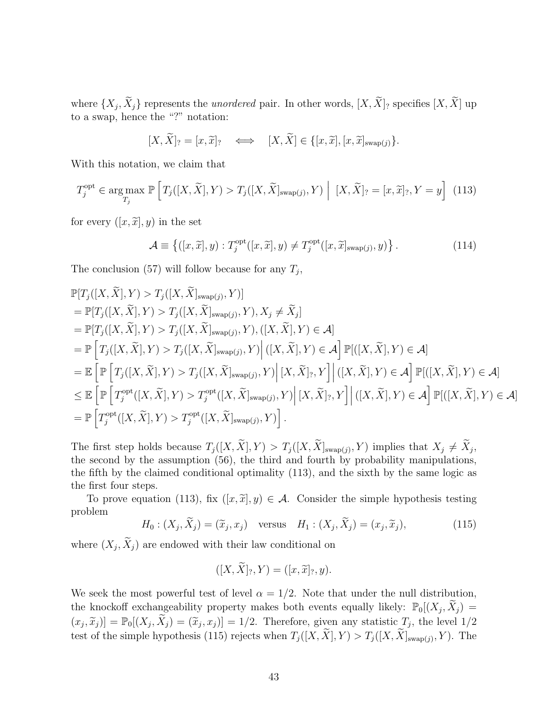where  $\{X_j, X_j\}$  represents the *unordered* pair. In other words,  $[X, X]$  specifies  $[X, X]$  up to a swap, hence the "?" notation:

$$
[X,\widetilde{X}]_? = [x,\widetilde{x}]_? \iff [X,\widetilde{X}] \in \{[x,\widetilde{x}], [x,\widetilde{x}]_{\text{swap}(j)}\}.
$$

With this notation, we claim that

<span id="page-42-0"></span>
$$
T_j^{\text{opt}} \in \underset{T_j}{\text{arg}\max} \mathbb{P}\left[T_j([X,\widetilde{X}],Y) > T_j([X,\widetilde{X}]_{\text{swap}(j)},Y)\ \Big|\ [X,\widetilde{X}]_? = [x,\widetilde{x}]_?,Y = y\right] \tag{113}
$$

for every  $([x, \tilde{x}], y)$  in the set

$$
\mathcal{A} \equiv \left\{ ([x, \widetilde{x}], y) : T_j^{\text{opt}}([x, \widetilde{x}], y) \neq T_j^{\text{opt}}([x, \widetilde{x}]_{\text{swap}(j)}, y) \right\}. \tag{114}
$$

The conclusion [\(57\)](#page-24-0) will follow because for any  $T_j$ ,

$$
\mathbb{P}[T_j([X,\widetilde{X}],Y) > T_j([X,\widetilde{X}]_{swap(j)},Y)]
$$
\n
$$
= \mathbb{P}[T_j([X,\widetilde{X}],Y) > T_j([X,\widetilde{X}]_{swap(j)},Y), X_j \neq \widetilde{X}_j]
$$
\n
$$
= \mathbb{P}[T_j([X,\widetilde{X}],Y) > T_j([X,\widetilde{X}]_{swap(j)},Y), ([X,\widetilde{X}],Y) \in \mathcal{A}]
$$
\n
$$
= \mathbb{P}\Big[T_j([X,\widetilde{X}],Y) > T_j([X,\widetilde{X}]_{swap(j)},Y)\Big| ([X,\widetilde{X}],Y) \in \mathcal{A}\Big] \mathbb{P}[([X,\widetilde{X}],Y) \in \mathcal{A}]
$$
\n
$$
= \mathbb{E}\Big[\mathbb{P}\Big[T_j([X,\widetilde{X}],Y) > T_j([X,\widetilde{X}]_{swap(j)},Y)\Big| [X,\widetilde{X}]_?,Y\Big] \Big| ([X,\widetilde{X}],Y) \in \mathcal{A}\Big] \mathbb{P}[([X,\widetilde{X}],Y) \in \mathcal{A}]
$$
\n
$$
\leq \mathbb{E}\Big[\mathbb{P}\Big[T_j^{opt}([X,\widetilde{X}],Y) > T_j^{opt}([X,\widetilde{X}]_{swap(j)},Y)\Big| [X,\widetilde{X}]_?,Y\Big] \Big| ([X,\widetilde{X}],Y) \in \mathcal{A}\Big] \mathbb{P}[([X,\widetilde{X}],Y) \in \mathcal{A}]
$$
\n
$$
= \mathbb{P}\Big[T_j^{opt}([X,\widetilde{X}],Y) > T_j^{opt}([X,\widetilde{X}]_{swap(j)},Y)\Big].
$$

The first step holds because  $T_j([X,X],Y) > T_j([X,X]_{\text{swap}(j)},Y)$  implies that  $X_j \neq X_j$ , the second by the assumption [\(56\)](#page-24-1), the third and fourth by probability manipulations, the fifth by the claimed conditional optimality [\(113\)](#page-42-0), and the sixth by the same logic as the first four steps.

To prove equation [\(113\)](#page-42-0), fix  $([x, \tilde{x}], y) \in \mathcal{A}$ . Consider the simple hypothesis testing problem

<span id="page-42-1"></span>
$$
H_0: (X_j, \widetilde{X}_j) = (\widetilde{x}_j, x_j) \quad \text{versus} \quad H_1: (X_j, \widetilde{X}_j) = (x_j, \widetilde{x}_j), \tag{115}
$$

where  $(X_j, X_j)$  are endowed with their law conditional on

$$
([X,\widetilde{X}]_?,Y) = ([x,\widetilde{x}]_?,y).
$$

We seek the most powerful test of level  $\alpha = 1/2$ . Note that under the null distribution, the knockoff exchangeability property makes both events equally likely:  $\mathbb{P}_0[(X_j, \tilde{X}_j)$  $(x_j, \widetilde{x}_j)$  =  $\mathbb{P}_0[(X_j, \widetilde{X}_j) = (\widetilde{x}_j, x_j)] = 1/2$ . Therefore, given any statistic  $T_j$ , the level  $1/2$ test of the simple hypothesis [\(115\)](#page-42-1) rejects when  $T_j([X,X], Y) > T_j([X,X]_{\text{swap}(j)}, Y)$ . The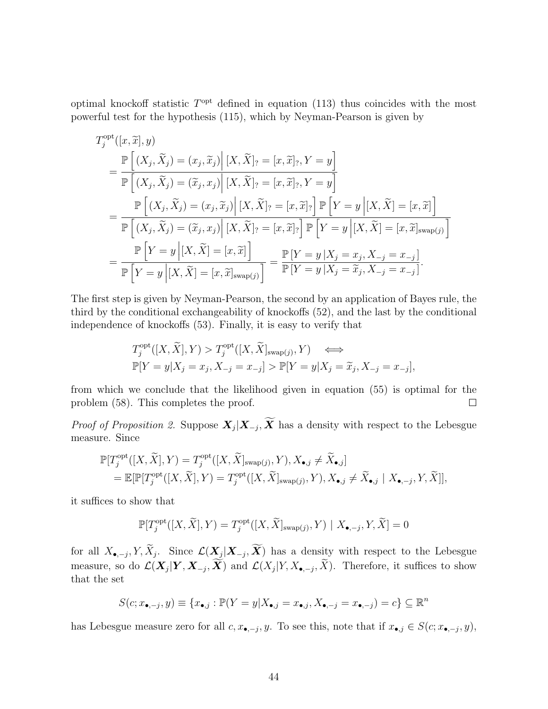optimal knockoff statistic  $T^{\text{opt}}$  defined in equation [\(113\)](#page-42-0) thus coincides with the most powerful test for the hypothesis [\(115\)](#page-42-1), which by Neyman-Pearson is given by

$$
T_j^{\text{opt}}([x, \tilde{x}], y)
$$
  
= 
$$
\frac{\mathbb{P}\left[(X_j, \tilde{X}_j) = (x_j, \tilde{x}_j) \middle| [X, \tilde{X}]_? = [x, \tilde{x}]_?, Y = y\right]}{\mathbb{P}\left[(X_j, \tilde{X}_j) = (\tilde{x}_j, x_j) \middle| [X, \tilde{X}]_? = [x, \tilde{x}]_?, Y = y\right]}
$$
  
= 
$$
\frac{\mathbb{P}\left[(X_j, \tilde{X}_j) = (x_j, \tilde{x}_j) \middle| [X, \tilde{X}]_? = [x, \tilde{x}]_? \right] \mathbb{P}\left[Y = y \middle| [X, \tilde{X}] = [x, \tilde{x}]\right]}{\mathbb{P}\left[(X_j, \tilde{X}_j) = (\tilde{x}_j, x_j) \middle| [X, \tilde{X}]_? = [x, \tilde{x}]_? \right] \mathbb{P}\left[Y = y \middle| [X, \tilde{X}] = [x, \tilde{x}]_{swap(j)}\right]}
$$
  
= 
$$
\frac{\mathbb{P}\left[Y = y \middle| [X, \tilde{X}] = [x, \tilde{x}]\right]}{\mathbb{P}\left[Y = y \middle| [X, \tilde{X}] = [x, \tilde{x}]_{swap(j)}\right]} = \frac{\mathbb{P}\left[Y = y \middle| X_j = x_j, X_{-j} = x_{-j}\right]}{\mathbb{P}\left[Y = y \middle| X_j = \tilde{x}_j, X_{-j} = x_{-j}\right]}.
$$

The first step is given by Neyman-Pearson, the second by an application of Bayes rule, the third by the conditional exchangeability of knockoffs [\(52\)](#page-23-3), and the last by the conditional independence of knockoffs [\(53\)](#page-23-4). Finally, it is easy to verify that

$$
T_j^{\text{opt}}([X,\widetilde{X}],Y) > T_j^{\text{opt}}([X,\widetilde{X}]_{\text{swap}(j)},Y) \iff
$$
  

$$
\mathbb{P}[Y=y|X_j=x_j, X_{-j}=x_{-j}] > \mathbb{P}[Y=y|X_j=\widetilde{x}_j, X_{-j}=x_{-j}],
$$

from which we conclude that the likelihood given in equation [\(55\)](#page-23-5) is optimal for the problem [\(58\)](#page-29-7). This completes the proof.  $\Box$ 

*Proof of Proposition [2.](#page-24-2)* Suppose  $X_j | X_{-j}, X$  has a density with respect to the Lebesgue measure. Since

$$
\mathbb{P}[T_j^{\text{opt}}([X,\widetilde{X}],Y) = T_j^{\text{opt}}([X,\widetilde{X}]_{\text{swap}(j)},Y), X_{\bullet,j} \neq \widetilde{X}_{\bullet,j}] \n= \mathbb{E}[\mathbb{P}[T_j^{\text{opt}}([X,\widetilde{X}],Y) = T_j^{\text{opt}}([X,\widetilde{X}]_{\text{swap}(j)},Y), X_{\bullet,j} \neq \widetilde{X}_{\bullet,j} | X_{\bullet,-j},Y,\widetilde{X}]],
$$

it suffices to show that

$$
\mathbb{P}[T_j^{\text{opt}}([X,\widetilde{X}],Y) = T_j^{\text{opt}}([X,\widetilde{X}]_{\text{swap}(j)},Y) | X_{\bullet,-j},Y,\widetilde{X}] = 0
$$

for all  $X_{\bullet,-j}$ ,  $Y, X_j$ . Since  $\mathcal{L}(\mathbf{X}_j|\mathbf{X}_{-j}, \mathbf{X})$  has a density with respect to the Lebesgue measure, so do  $\mathcal{L}(\mathbf{X}_j | \mathbf{Y}, \mathbf{X}_{-j}, \mathbf{X})$  and  $\mathcal{L}(X_j | Y, X_{\bullet, -j}, X)$ . Therefore, it suffices to show that the set

$$
S(c; x_{\bullet,-j}, y) \equiv \{x_{\bullet,j} : \mathbb{P}(Y=y | X_{\bullet,j}=x_{\bullet,j}, X_{\bullet,-j}=x_{\bullet,-j}) = c\} \subseteq \mathbb{R}^n
$$

has Lebesgue measure zero for all  $c, x_{\bullet,-j}, y$ . To see this, note that if  $x_{\bullet,j} \in S(c; x_{\bullet,-j}, y)$ ,